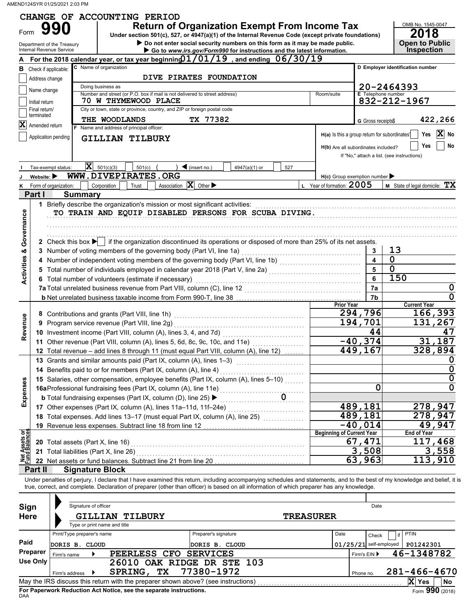AMEND124SYR 01/25/2021 2:03 PM

|                                |                             |                                                |                              | CHANGE OF ACCOUNTING PERIOD                                                                                                                                                                                                                                                                                              |                                   |                                                                             |     |                                               |                                            |                           |                                                    |                                                    |  |  |  |
|--------------------------------|-----------------------------|------------------------------------------------|------------------------------|--------------------------------------------------------------------------------------------------------------------------------------------------------------------------------------------------------------------------------------------------------------------------------------------------------------------------|-----------------------------------|-----------------------------------------------------------------------------|-----|-----------------------------------------------|--------------------------------------------|---------------------------|----------------------------------------------------|----------------------------------------------------|--|--|--|
| Form                           |                             | Department of the Treasury                     |                              | <b>Return of Organization Exempt From Income Tax</b><br>Under section 501(c), 527, or 4947(a)(1) of the Internal Revenue Code (except private foundations)                                                                                                                                                               |                                   | Do not enter social security numbers on this form as it may be made public. |     |                                               |                                            |                           | OMB No. 1545-0047<br>2018<br><b>Open to Public</b> |                                                    |  |  |  |
|                                |                             | Internal Revenue Service                       |                              | For the 2018 calendar year, or tax year beginning $01/01/19$ , and ending $06/30/19$                                                                                                                                                                                                                                     |                                   | Go to www.irs.gov/Form990 for instructions and the latest information.      |     |                                               |                                            |                           | <b>Inspection</b>                                  |                                                    |  |  |  |
| в                              |                             | Check if applicable:                           | C Name of organization       |                                                                                                                                                                                                                                                                                                                          |                                   |                                                                             |     |                                               |                                            |                           | D Employer identification number                   |                                                    |  |  |  |
|                                | Address change              |                                                |                              | DIVE PIRATES FOUNDATION                                                                                                                                                                                                                                                                                                  |                                   |                                                                             |     |                                               |                                            |                           |                                                    |                                                    |  |  |  |
|                                |                             |                                                | Doing business as            |                                                                                                                                                                                                                                                                                                                          |                                   |                                                                             |     |                                               |                                            | 20-2464393                |                                                    |                                                    |  |  |  |
|                                | Name change                 |                                                |                              | Number and street (or P.O. box if mail is not delivered to street address)                                                                                                                                                                                                                                               |                                   |                                                                             |     | Room/suite                                    |                                            | <b>E</b> Telephone number |                                                    |                                                    |  |  |  |
|                                | Initial return              |                                                |                              | 70 W THYMEWOOD PLACE                                                                                                                                                                                                                                                                                                     |                                   |                                                                             |     |                                               |                                            | 832-212-1967              |                                                    |                                                    |  |  |  |
|                                | Final return/<br>terminated |                                                |                              | City or town, state or province, country, and ZIP or foreign postal code                                                                                                                                                                                                                                                 |                                   |                                                                             |     |                                               |                                            |                           |                                                    |                                                    |  |  |  |
| $ \mathbf{X} $                 | Amended return              |                                                | THE WOODLANDS                |                                                                                                                                                                                                                                                                                                                          | TX 77382                          |                                                                             |     |                                               | G Gross receipts\$                         |                           | 422,266                                            |                                                    |  |  |  |
|                                |                             |                                                |                              | F Name and address of principal officer:                                                                                                                                                                                                                                                                                 |                                   |                                                                             |     | H(a) Is this a group return for subordinates? |                                            |                           | Yes                                                | $ {\bf X} $<br>No                                  |  |  |  |
|                                |                             | Application pending<br><b>GILLIAN TILBURY</b>  |                              |                                                                                                                                                                                                                                                                                                                          |                                   |                                                                             |     |                                               |                                            |                           |                                                    |                                                    |  |  |  |
|                                |                             |                                                |                              |                                                                                                                                                                                                                                                                                                                          |                                   |                                                                             |     | H(b) Are all subordinates included?           |                                            |                           | Yes                                                | No                                                 |  |  |  |
|                                |                             |                                                |                              |                                                                                                                                                                                                                                                                                                                          |                                   |                                                                             |     |                                               | If "No," attach a list. (see instructions) |                           |                                                    |                                                    |  |  |  |
|                                |                             | Tax-exempt status:                             | $ \mathbf{X} $ 501(c)(3)     | 501(c)                                                                                                                                                                                                                                                                                                                   | $\blacktriangleleft$ (insert no.) | 4947(a)(1) or                                                               | 527 |                                               |                                            |                           |                                                    |                                                    |  |  |  |
|                                | Website:                    |                                                |                              | WWW.DIVEPIRATES.ORG                                                                                                                                                                                                                                                                                                      |                                   |                                                                             |     | $H(c)$ Group exemption number                 |                                            |                           |                                                    |                                                    |  |  |  |
| κ                              |                             | Form of organization:                          | Corporation                  | Trust<br>Association                                                                                                                                                                                                                                                                                                     | $\overline{\mathbf{X}}$ Other     |                                                                             |     | L Year of formation: 2005                     |                                            |                           | $M$ State of legal domicile: $TX$                  |                                                    |  |  |  |
|                                | Part I                      | <b>Summary</b>                                 |                              |                                                                                                                                                                                                                                                                                                                          |                                   |                                                                             |     |                                               |                                            |                           |                                                    |                                                    |  |  |  |
| Governance                     |                             |                                                |                              | 1 Briefly describe the organization's mission or most significant activities:<br>TO TRAIN AND EQUIP DISABLED PERSONS FOR SCUBA DIVING.                                                                                                                                                                                   |                                   |                                                                             |     |                                               |                                            |                           |                                                    |                                                    |  |  |  |
|                                |                             |                                                |                              |                                                                                                                                                                                                                                                                                                                          |                                   |                                                                             |     |                                               |                                            |                           |                                                    |                                                    |  |  |  |
|                                |                             |                                                |                              |                                                                                                                                                                                                                                                                                                                          |                                   |                                                                             |     |                                               |                                            |                           |                                                    |                                                    |  |  |  |
|                                |                             |                                                |                              | 2 Check this box $\blacktriangleright$ if the organization discontinued its operations or disposed of more than 25% of its net assets.                                                                                                                                                                                   |                                   |                                                                             |     |                                               |                                            |                           |                                                    |                                                    |  |  |  |
|                                |                             |                                                |                              | 3 Number of voting members of the governing body (Part VI, line 1a)                                                                                                                                                                                                                                                      |                                   |                                                                             |     |                                               | 3                                          | 13                        |                                                    |                                                    |  |  |  |
|                                |                             |                                                |                              |                                                                                                                                                                                                                                                                                                                          |                                   |                                                                             |     |                                               | $\overline{4}$                             | $\overline{0}$            |                                                    |                                                    |  |  |  |
| <b>Activities &amp;</b>        |                             |                                                |                              |                                                                                                                                                                                                                                                                                                                          |                                   |                                                                             |     |                                               | 5                                          | $\overline{0}$            |                                                    |                                                    |  |  |  |
|                                |                             |                                                |                              | 6 Total number of volunteers (estimate if necessary)                                                                                                                                                                                                                                                                     |                                   |                                                                             |     |                                               | 6                                          | 150                       |                                                    |                                                    |  |  |  |
|                                |                             |                                                |                              |                                                                                                                                                                                                                                                                                                                          |                                   |                                                                             |     |                                               | 7a                                         |                           |                                                    | 0                                                  |  |  |  |
|                                |                             |                                                |                              |                                                                                                                                                                                                                                                                                                                          |                                   |                                                                             |     |                                               | 7b                                         |                           |                                                    | 0                                                  |  |  |  |
|                                |                             |                                                |                              |                                                                                                                                                                                                                                                                                                                          |                                   |                                                                             |     | <b>Prior Year</b>                             |                                            |                           | <b>Current Year</b>                                |                                                    |  |  |  |
|                                |                             |                                                |                              | 8 Contributions and grants (Part VIII, line 1h)                                                                                                                                                                                                                                                                          |                                   |                                                                             |     |                                               | 294,796<br>194,701                         |                           | 166,393                                            |                                                    |  |  |  |
| Revenue                        |                             | 9 Program service revenue (Part VIII, line 2g) |                              |                                                                                                                                                                                                                                                                                                                          |                                   | 44                                                                          |     | 131,267                                       | 47                                         |                           |                                                    |                                                    |  |  |  |
|                                |                             |                                                |                              |                                                                                                                                                                                                                                                                                                                          |                                   |                                                                             |     |                                               | $-40,374$                                  |                           | 31,187                                             |                                                    |  |  |  |
|                                |                             |                                                |                              | 11 Other revenue (Part VIII, column (A), lines 5, 6d, 8c, 9c, 10c, and 11e) [[[[[[[[[[[[[[[[[[[[[[[[[[[[[[[[                                                                                                                                                                                                             |                                   |                                                                             |     |                                               | 449,167                                    |                           | 328,894                                            |                                                    |  |  |  |
|                                |                             |                                                |                              | 12 Total revenue - add lines 8 through 11 (must equal Part VIII, column (A), line 12)                                                                                                                                                                                                                                    |                                   |                                                                             |     |                                               |                                            |                           |                                                    |                                                    |  |  |  |
|                                |                             |                                                |                              |                                                                                                                                                                                                                                                                                                                          |                                   |                                                                             |     |                                               |                                            |                           |                                                    | $\overline{\mathbf{0}}$<br>$\overline{\mathbf{0}}$ |  |  |  |
|                                |                             |                                                |                              | 14 Benefits paid to or for members (Part IX, column (A), line 4)<br>15 Salaries, other compensation, employee benefits (Part IX, column (A), lines 5-10)                                                                                                                                                                 |                                   |                                                                             |     |                                               |                                            |                           |                                                    | $\pmb{0}$                                          |  |  |  |
|                                |                             |                                                |                              |                                                                                                                                                                                                                                                                                                                          |                                   |                                                                             |     |                                               | $\mathbf 0$                                |                           |                                                    | $\mathbf 0$                                        |  |  |  |
| Expenses                       |                             |                                                |                              | 16aProfessional fundraising fees (Part IX, column (A), line 11e)                                                                                                                                                                                                                                                         |                                   | $\overline{\text{O}}$                                                       |     |                                               |                                            |                           |                                                    |                                                    |  |  |  |
|                                |                             |                                                |                              | <b>b</b> Total fundraising expenses (Part IX, column (D), line 25) ▶                                                                                                                                                                                                                                                     |                                   |                                                                             |     |                                               |                                            |                           | 278,947                                            |                                                    |  |  |  |
|                                |                             |                                                |                              | 17 Other expenses (Part IX, column (A), lines 11a-11d, 11f-24e)                                                                                                                                                                                                                                                          |                                   |                                                                             |     |                                               | 489,181<br>$\overline{489}$ , 181          |                           | 278,947                                            |                                                    |  |  |  |
|                                |                             |                                                |                              | 18 Total expenses. Add lines 13-17 (must equal Part IX, column (A), line 25) [[[[[[[[[[[[[[[[[[[[[[[                                                                                                                                                                                                                     |                                   |                                                                             |     |                                               | $-40,014$                                  |                           | 49,947                                             |                                                    |  |  |  |
|                                |                             |                                                |                              | 19 Revenue less expenses. Subtract line 18 from line 12                                                                                                                                                                                                                                                                  |                                   |                                                                             |     | <b>Beginning of Current Year</b>              |                                            |                           | <b>End of Year</b>                                 |                                                    |  |  |  |
| Net Assets or<br>Fund Balances |                             | 20 Total assets (Part X, line 16)              |                              |                                                                                                                                                                                                                                                                                                                          |                                   |                                                                             |     |                                               | 67,471                                     |                           | 117,468                                            |                                                    |  |  |  |
|                                |                             | 21 Total liabilities (Part X, line 26)         |                              |                                                                                                                                                                                                                                                                                                                          |                                   |                                                                             |     |                                               | 3,508                                      |                           |                                                    | 3,558                                              |  |  |  |
|                                |                             |                                                |                              | 22 Net assets or fund balances. Subtract line 21 from line 20                                                                                                                                                                                                                                                            |                                   |                                                                             |     |                                               | 63,963                                     |                           | 113,910                                            |                                                    |  |  |  |
|                                | Part II                     | <b>Signature Block</b>                         |                              |                                                                                                                                                                                                                                                                                                                          |                                   |                                                                             |     |                                               |                                            |                           |                                                    |                                                    |  |  |  |
|                                |                             |                                                |                              | Under penalties of perjury, I declare that I have examined this return, including accompanying schedules and statements, and to the best of my knowledge and belief, it is<br>true, correct, and complete. Declaration of preparer (other than officer) is based on all information of which preparer has any knowledge. |                                   |                                                                             |     |                                               |                                            |                           |                                                    |                                                    |  |  |  |
|                                |                             |                                                |                              |                                                                                                                                                                                                                                                                                                                          |                                   |                                                                             |     |                                               |                                            |                           |                                                    |                                                    |  |  |  |
| Sign                           |                             | Signature of officer                           |                              |                                                                                                                                                                                                                                                                                                                          |                                   |                                                                             |     |                                               | Date                                       |                           |                                                    |                                                    |  |  |  |
| Here                           |                             |                                                |                              | <b>GILLIAN TILBURY</b>                                                                                                                                                                                                                                                                                                   |                                   |                                                                             |     | <b>TREASURER</b>                              |                                            |                           |                                                    |                                                    |  |  |  |
|                                |                             |                                                | Type or print name and title |                                                                                                                                                                                                                                                                                                                          |                                   |                                                                             |     |                                               |                                            |                           |                                                    |                                                    |  |  |  |
|                                |                             | Print/Type preparer's name                     |                              |                                                                                                                                                                                                                                                                                                                          | Preparer's signature              |                                                                             |     | Date                                          | Check                                      | if                        | <b>PTIN</b>                                        |                                                    |  |  |  |
| Paid                           |                             | DORIS B. CLOUD                                 |                              |                                                                                                                                                                                                                                                                                                                          | DORIS B. CLOUD                    |                                                                             |     |                                               | $01/25/21$ self-employed                   |                           | P01242301                                          |                                                    |  |  |  |
|                                | Preparer                    | Firm's name                                    |                              | PEERLESS CFO SERVICES                                                                                                                                                                                                                                                                                                    |                                   |                                                                             |     |                                               | Firm's EIN ▶                               |                           | 46-1348782                                         |                                                    |  |  |  |
|                                | <b>Use Only</b>             |                                                |                              | 26010 OAK RIDGE DR STE 103                                                                                                                                                                                                                                                                                               |                                   |                                                                             |     |                                               |                                            |                           |                                                    |                                                    |  |  |  |
|                                |                             | Firm's address                                 |                              | SPRING, TX                                                                                                                                                                                                                                                                                                               | 77380-1972                        |                                                                             |     |                                               | Phone no.                                  |                           | 281-466-4670                                       |                                                    |  |  |  |
|                                |                             |                                                |                              | May the IRS discuss this return with the preparer shown above? (see instructions)                                                                                                                                                                                                                                        |                                   |                                                                             |     |                                               |                                            |                           | X Yes                                              | No                                                 |  |  |  |

| Sign        | Signature of officer                                                                                                                                      |                                    | Date             |                          |                                                        |  |  |
|-------------|-----------------------------------------------------------------------------------------------------------------------------------------------------------|------------------------------------|------------------|--------------------------|--------------------------------------------------------|--|--|
| <b>Here</b> | <b>GILLIAN</b><br><b>TILBURY</b><br>Type or print name and title                                                                                          |                                    | <b>TREASURER</b> |                          |                                                        |  |  |
|             | Print/Type preparer's name                                                                                                                                | Preparer's signature               | Date             | Check                    | if PTIN                                                |  |  |
| Paid        | DORIS B. CLOUD                                                                                                                                            | DORIS B. CLOUD                     |                  | $01/25/21$ self-employed | P01242301                                              |  |  |
| Preparer    | PEERLESS CFO SERVICES<br>Firm's name                                                                                                                      |                                    |                  |                          |                                                        |  |  |
| Use Only    | 26010<br>TХ<br><b>SPRING</b><br>Firm's address                                                                                                            | OAK RIDGE DR STE 103<br>77380-1972 |                  | Phone no.                | 281-466-4670                                           |  |  |
|             | May the IRS discuss this return with the preparer shown above? (see instructions)<br>Fee Benemical: Bediration, Ant Nation, and the expended instrumings. |                                    |                  |                          | X Yes<br><b>No</b><br>0.00<br>$\overline{\phantom{0}}$ |  |  |

**For Paperwork Reduction Act Notice, see the separate instructions.**<br><sub>DAA</sub>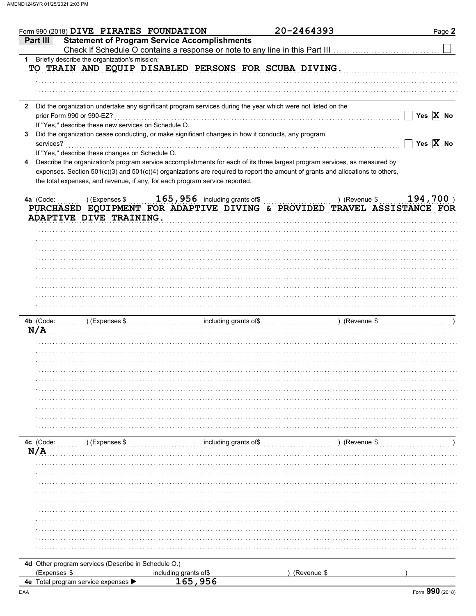|              | Form 990 (2018) DIVE PIRATES FOUNDATION                                                                      |                                                     | 20-2464393                                                                                                                     | Page 2                                                  |
|--------------|--------------------------------------------------------------------------------------------------------------|-----------------------------------------------------|--------------------------------------------------------------------------------------------------------------------------------|---------------------------------------------------------|
|              | Part III                                                                                                     | <b>Statement of Program Service Accomplishments</b> |                                                                                                                                |                                                         |
|              |                                                                                                              |                                                     | Check if Schedule O contains a response or note to any line in this Part III [11] [11] [11] [11] [11] [11] [1                  |                                                         |
|              | 1 Briefly describe the organization's mission:                                                               |                                                     |                                                                                                                                |                                                         |
|              | TO TRAIN AND EQUIP DISABLED PERSONS FOR SCUBA DIVING.                                                        |                                                     |                                                                                                                                |                                                         |
|              |                                                                                                              |                                                     |                                                                                                                                |                                                         |
|              |                                                                                                              |                                                     |                                                                                                                                |                                                         |
|              |                                                                                                              |                                                     |                                                                                                                                |                                                         |
|              |                                                                                                              |                                                     |                                                                                                                                |                                                         |
| $\mathbf{2}$ | Did the organization undertake any significant program services during the year which were not listed on the |                                                     |                                                                                                                                |                                                         |
|              | prior Form 990 or 990-EZ?                                                                                    |                                                     |                                                                                                                                | $\Box$ Yes $\overline{X}$ No                            |
|              | If "Yes," describe these new services on Schedule O.                                                         |                                                     |                                                                                                                                |                                                         |
| 3            | Did the organization cease conducting, or make significant changes in how it conducts, any program           |                                                     |                                                                                                                                |                                                         |
|              | services?                                                                                                    |                                                     |                                                                                                                                | $\overline{\phantom{x}}$ Yes $\overline{\textbf{X}}$ No |
|              | If "Yes," describe these changes on Schedule O.                                                              |                                                     |                                                                                                                                |                                                         |
| 4            |                                                                                                              |                                                     | Describe the organization's program service accomplishments for each of its three largest program services, as measured by     |                                                         |
|              |                                                                                                              |                                                     | expenses. Section 501(c)(3) and 501(c)(4) organizations are required to report the amount of grants and allocations to others, |                                                         |
|              | the total expenses, and revenue, if any, for each program service reported.                                  |                                                     |                                                                                                                                |                                                         |
|              |                                                                                                              |                                                     |                                                                                                                                |                                                         |
|              | 4a (Code:<br>) (Expenses \$                                                                                  | $165$ , $956$ including grants of\$                 | ) (Revenue \$                                                                                                                  | $194,700$ )                                             |
|              |                                                                                                              |                                                     | PURCHASED EQUIPMENT FOR ADAPTIVE DIVING & PROVIDED TRAVEL ASSISTANCE FOR                                                       |                                                         |
|              | ADAPTIVE DIVE TRAINING.                                                                                      |                                                     |                                                                                                                                |                                                         |
|              |                                                                                                              |                                                     |                                                                                                                                |                                                         |
|              |                                                                                                              |                                                     |                                                                                                                                |                                                         |
|              |                                                                                                              |                                                     |                                                                                                                                |                                                         |
|              |                                                                                                              |                                                     |                                                                                                                                |                                                         |
|              |                                                                                                              |                                                     |                                                                                                                                |                                                         |
|              |                                                                                                              |                                                     |                                                                                                                                |                                                         |
|              |                                                                                                              |                                                     |                                                                                                                                |                                                         |
|              |                                                                                                              |                                                     |                                                                                                                                |                                                         |
|              |                                                                                                              |                                                     |                                                                                                                                |                                                         |
|              |                                                                                                              |                                                     |                                                                                                                                |                                                         |
|              |                                                                                                              |                                                     |                                                                                                                                |                                                         |
|              |                                                                                                              |                                                     |                                                                                                                                |                                                         |
|              |                                                                                                              |                                                     |                                                                                                                                |                                                         |
|              |                                                                                                              |                                                     |                                                                                                                                |                                                         |
|              | N/A                                                                                                          |                                                     |                                                                                                                                |                                                         |
|              |                                                                                                              |                                                     |                                                                                                                                |                                                         |
|              |                                                                                                              |                                                     |                                                                                                                                |                                                         |
|              |                                                                                                              |                                                     |                                                                                                                                |                                                         |
|              |                                                                                                              |                                                     |                                                                                                                                |                                                         |
|              |                                                                                                              |                                                     |                                                                                                                                |                                                         |
|              |                                                                                                              |                                                     |                                                                                                                                |                                                         |
|              |                                                                                                              |                                                     |                                                                                                                                |                                                         |
|              |                                                                                                              |                                                     |                                                                                                                                |                                                         |
|              |                                                                                                              |                                                     |                                                                                                                                |                                                         |
|              |                                                                                                              |                                                     |                                                                                                                                |                                                         |
|              |                                                                                                              |                                                     |                                                                                                                                |                                                         |
|              |                                                                                                              |                                                     |                                                                                                                                |                                                         |
|              | 4c (Code:<br>$(\mathsf{Expenses}\$ \$                                                                        | $\ldots$ including grants of \$                     | ) (Revenue \$                                                                                                                  |                                                         |
|              | N/A                                                                                                          |                                                     |                                                                                                                                |                                                         |
|              |                                                                                                              |                                                     |                                                                                                                                |                                                         |
|              |                                                                                                              |                                                     |                                                                                                                                |                                                         |
|              |                                                                                                              |                                                     |                                                                                                                                |                                                         |
|              |                                                                                                              |                                                     |                                                                                                                                |                                                         |
|              |                                                                                                              |                                                     |                                                                                                                                |                                                         |
|              |                                                                                                              |                                                     |                                                                                                                                |                                                         |
|              |                                                                                                              |                                                     |                                                                                                                                |                                                         |
|              |                                                                                                              |                                                     |                                                                                                                                |                                                         |
|              |                                                                                                              |                                                     |                                                                                                                                |                                                         |
|              |                                                                                                              |                                                     |                                                                                                                                |                                                         |
|              |                                                                                                              |                                                     |                                                                                                                                |                                                         |
|              |                                                                                                              |                                                     |                                                                                                                                |                                                         |
|              | 4d Other program services (Describe in Schedule O.)                                                          |                                                     |                                                                                                                                |                                                         |
|              | (Expenses \$<br>4e Total program service expenses >                                                          | including grants of\$<br>165,956                    | (Revenue \$                                                                                                                    |                                                         |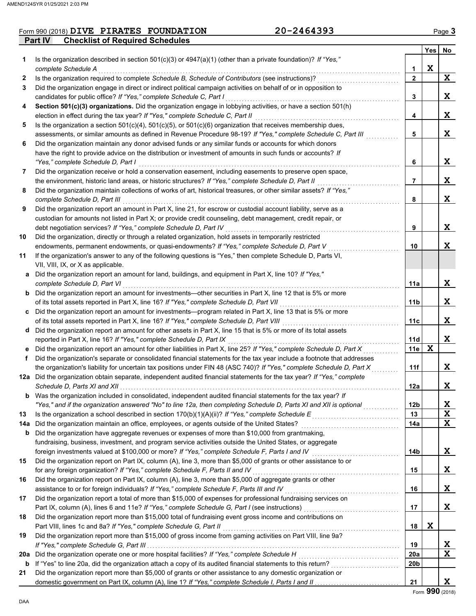### **Part IV Checklist of Required Schedules** Form 990 (2018) Page **3 DIVE PIRATES FOUNDATION 20-2464393**

|     |                                                                                                                                                                                                                             |                | Yes         | No          |
|-----|-----------------------------------------------------------------------------------------------------------------------------------------------------------------------------------------------------------------------------|----------------|-------------|-------------|
| 1   | Is the organization described in section 501(c)(3) or 4947(a)(1) (other than a private foundation)? If "Yes,"                                                                                                               |                |             |             |
|     | complete Schedule A                                                                                                                                                                                                         | 1              | X           |             |
| 2   | Is the organization required to complete Schedule B, Schedule of Contributors (see instructions)?                                                                                                                           | $\mathbf{2}$   |             | X           |
| 3   | Did the organization engage in direct or indirect political campaign activities on behalf of or in opposition to                                                                                                            |                |             |             |
|     | candidates for public office? If "Yes," complete Schedule C, Part I                                                                                                                                                         | 3              |             | X           |
| 4   | Section 501(c)(3) organizations. Did the organization engage in lobbying activities, or have a section 501(h)                                                                                                               |                |             |             |
|     | election in effect during the tax year? If "Yes," complete Schedule C, Part II                                                                                                                                              | 4              |             | X           |
| 5   | Is the organization a section $501(c)(4)$ , $501(c)(5)$ , or $501(c)(6)$ organization that receives membership dues,                                                                                                        |                |             |             |
|     | assessments, or similar amounts as defined in Revenue Procedure 98-19? If "Yes," complete Schedule C, Part III                                                                                                              | 5              |             | X           |
| 6   | Did the organization maintain any donor advised funds or any similar funds or accounts for which donors                                                                                                                     |                |             |             |
|     | have the right to provide advice on the distribution or investment of amounts in such funds or accounts? If                                                                                                                 |                |             |             |
|     | "Yes," complete Schedule D, Part I                                                                                                                                                                                          | 6              |             | X           |
| 7   | Did the organization receive or hold a conservation easement, including easements to preserve open space,                                                                                                                   | $\overline{7}$ |             | X           |
| 8   | the environment, historic land areas, or historic structures? If "Yes," complete Schedule D, Part II<br>Did the organization maintain collections of works of art, historical treasures, or other similar assets? If "Yes," |                |             |             |
|     | complete Schedule D. Part III                                                                                                                                                                                               | 8              |             | X           |
| 9   | Did the organization report an amount in Part X, line 21, for escrow or custodial account liability, serve as a                                                                                                             |                |             |             |
|     | custodian for amounts not listed in Part X; or provide credit counseling, debt management, credit repair, or                                                                                                                |                |             |             |
|     | debt negotiation services? If "Yes," complete Schedule D, Part IV                                                                                                                                                           | 9              |             | X           |
| 10  | Did the organization, directly or through a related organization, hold assets in temporarily restricted                                                                                                                     |                |             |             |
|     | endowments, permanent endowments, or quasi-endowments? If "Yes," complete Schedule D, Part V                                                                                                                                | 10             |             | X           |
| 11  | If the organization's answer to any of the following questions is "Yes," then complete Schedule D, Parts VI,                                                                                                                |                |             |             |
|     | VII, VIII, IX, or X as applicable.                                                                                                                                                                                          |                |             |             |
| a   | Did the organization report an amount for land, buildings, and equipment in Part X, line 10? If "Yes,"                                                                                                                      |                |             |             |
|     | complete Schedule D, Part VI                                                                                                                                                                                                | 11a            |             | X           |
|     | <b>b</b> Did the organization report an amount for investments—other securities in Part X, line 12 that is 5% or more                                                                                                       |                |             |             |
|     | of its total assets reported in Part X, line 16? If "Yes," complete Schedule D, Part VII                                                                                                                                    | 11b            |             | X           |
| c   | Did the organization report an amount for investments—program related in Part X, line 13 that is 5% or more                                                                                                                 |                |             |             |
|     | of its total assets reported in Part X, line 16? If "Yes," complete Schedule D, Part VIII                                                                                                                                   | 11c            |             | X           |
| d   | Did the organization report an amount for other assets in Part X, line 15 that is 5% or more of its total assets                                                                                                            |                |             |             |
|     | reported in Part X, line 16? If "Yes," complete Schedule D, Part IX                                                                                                                                                         | <b>11d</b>     |             | X           |
|     | Did the organization report an amount for other liabilities in Part X, line 25? If "Yes," complete Schedule D, Part X                                                                                                       | 11e            | $\mathbf x$ |             |
| f   | Did the organization's separate or consolidated financial statements for the tax year include a footnote that addresses                                                                                                     |                |             |             |
|     | the organization's liability for uncertain tax positions under FIN 48 (ASC 740)? If "Yes," complete Schedule D, Part X                                                                                                      | 11f            |             | X           |
|     | 12a Did the organization obtain separate, independent audited financial statements for the tax year? If "Yes," complete                                                                                                     |                |             |             |
|     |                                                                                                                                                                                                                             | 12a            |             | X           |
|     | Was the organization included in consolidated, independent audited financial statements for the tax year? If                                                                                                                |                |             |             |
|     | "Yes," and if the organization answered "No" to line 12a, then completing Schedule D, Parts XI and XII is optional                                                                                                          | 12b            |             | X           |
| 13  |                                                                                                                                                                                                                             | 13             |             | X           |
| 14a | Did the organization maintain an office, employees, or agents outside of the United States?                                                                                                                                 | 14a            |             | $\mathbf x$ |
| b   | Did the organization have aggregate revenues or expenses of more than \$10,000 from grantmaking,                                                                                                                            |                |             |             |
|     | fundraising, business, investment, and program service activities outside the United States, or aggregate                                                                                                                   |                |             |             |
| 15  | foreign investments valued at \$100,000 or more? If "Yes," complete Schedule F, Parts I and IV                                                                                                                              | 14b            |             | X           |
|     | Did the organization report on Part IX, column (A), line 3, more than \$5,000 of grants or other assistance to or<br>for any foreign organization? If "Yes," complete Schedule F, Parts II and IV                           | 15             |             | X           |
| 16  | Did the organization report on Part IX, column (A), line 3, more than \$5,000 of aggregate grants or other                                                                                                                  |                |             |             |
|     | assistance to or for foreign individuals? If "Yes," complete Schedule F, Parts III and IV                                                                                                                                   | 16             |             | X           |
| 17  | Did the organization report a total of more than \$15,000 of expenses for professional fundraising services on                                                                                                              |                |             |             |
|     | Part IX, column (A), lines 6 and 11e? If "Yes," complete Schedule G, Part I (see instructions) [[[[[[[[[[[[[[                                                                                                               | 17             |             | X           |
| 18  | Did the organization report more than \$15,000 total of fundraising event gross income and contributions on                                                                                                                 |                |             |             |
|     | Part VIII, lines 1c and 8a? If "Yes," complete Schedule G, Part II                                                                                                                                                          | 18             | X           |             |
| 19  | Did the organization report more than \$15,000 of gross income from gaming activities on Part VIII, line 9a?                                                                                                                |                |             |             |
|     |                                                                                                                                                                                                                             | 19             |             | X           |
| 20a | Did the organization operate one or more hospital facilities? If "Yes," complete Schedule H                                                                                                                                 | 20a            |             | $\mathbf x$ |
| b   |                                                                                                                                                                                                                             | 20b            |             |             |
| 21  | Did the organization report more than \$5,000 of grants or other assistance to any domestic organization or                                                                                                                 |                |             |             |
|     |                                                                                                                                                                                                                             | 21             |             | X           |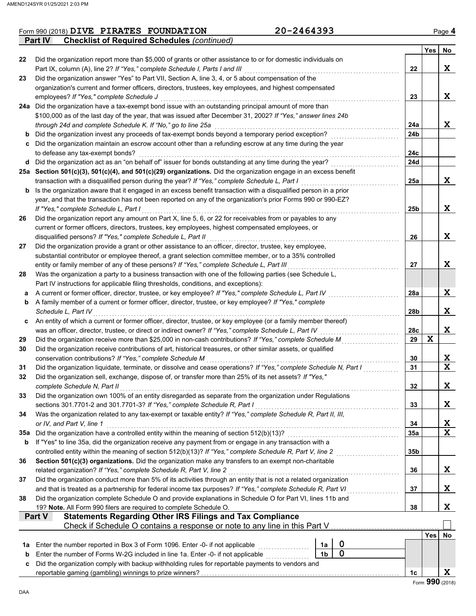|     | Form 990 (2018) DIVE PIRATES FOUNDATION                                                                                                                                                                                  | 20-2464393 |                |                  |                 |             | Page 4 |  |  |  |
|-----|--------------------------------------------------------------------------------------------------------------------------------------------------------------------------------------------------------------------------|------------|----------------|------------------|-----------------|-------------|--------|--|--|--|
|     | <b>Checklist of Required Schedules (continued)</b><br><b>Part IV</b>                                                                                                                                                     |            |                |                  |                 |             |        |  |  |  |
|     |                                                                                                                                                                                                                          |            |                |                  |                 | Yes         | No     |  |  |  |
| 22  | Did the organization report more than \$5,000 of grants or other assistance to or for domestic individuals on                                                                                                            |            |                |                  |                 |             |        |  |  |  |
|     | Part IX, column (A), line 2? If "Yes," complete Schedule I, Parts I and III                                                                                                                                              |            |                |                  | 22              |             | X      |  |  |  |
| 23  | Did the organization answer "Yes" to Part VII, Section A, line 3, 4, or 5 about compensation of the                                                                                                                      |            |                |                  |                 |             |        |  |  |  |
|     | organization's current and former officers, directors, trustees, key employees, and highest compensated                                                                                                                  |            |                |                  |                 |             |        |  |  |  |
|     | employees? If "Yes," complete Schedule J                                                                                                                                                                                 |            |                |                  | 23              |             | X      |  |  |  |
|     | 24a Did the organization have a tax-exempt bond issue with an outstanding principal amount of more than<br>\$100,000 as of the last day of the year, that was issued after December 31, 2002? If "Yes," answer lines 24b |            |                |                  |                 |             |        |  |  |  |
|     | through 24d and complete Schedule K. If "No," go to line 25a                                                                                                                                                             |            |                |                  | 24a             |             | X      |  |  |  |
| b   | Did the organization invest any proceeds of tax-exempt bonds beyond a temporary period exception?                                                                                                                        |            |                |                  | 24 <sub>b</sub> |             |        |  |  |  |
|     | c Did the organization maintain an escrow account other than a refunding escrow at any time during the year                                                                                                              |            |                |                  |                 |             |        |  |  |  |
|     | to defease any tax-exempt bonds?                                                                                                                                                                                         |            |                |                  | 24c             |             |        |  |  |  |
|     | d Did the organization act as an "on behalf of" issuer for bonds outstanding at any time during the year?                                                                                                                |            |                |                  | 24d             |             |        |  |  |  |
|     | 25a Section 501(c)(3), 501(c)(4), and 501(c)(29) organizations. Did the organization engage in an excess benefit                                                                                                         |            |                |                  |                 |             |        |  |  |  |
|     | transaction with a disqualified person during the year? If "Yes," complete Schedule L, Part I                                                                                                                            |            |                |                  | 25a             |             | X      |  |  |  |
| b   | Is the organization aware that it engaged in an excess benefit transaction with a disqualified person in a prior                                                                                                         |            |                |                  |                 |             |        |  |  |  |
|     | year, and that the transaction has not been reported on any of the organization's prior Forms 990 or 990-EZ?                                                                                                             |            |                |                  |                 |             |        |  |  |  |
|     | If "Yes," complete Schedule L, Part I                                                                                                                                                                                    |            |                |                  | 25 <sub>b</sub> |             | X      |  |  |  |
| 26  | Did the organization report any amount on Part X, line 5, 6, or 22 for receivables from or payables to any                                                                                                               |            |                |                  |                 |             |        |  |  |  |
|     | current or former officers, directors, trustees, key employees, highest compensated employees, or                                                                                                                        |            |                |                  |                 |             |        |  |  |  |
|     | disqualified persons? If "Yes," complete Schedule L, Part II                                                                                                                                                             |            |                |                  | 26              |             | X      |  |  |  |
| 27  | Did the organization provide a grant or other assistance to an officer, director, trustee, key employee,                                                                                                                 |            |                |                  |                 |             |        |  |  |  |
|     | substantial contributor or employee thereof, a grant selection committee member, or to a 35% controlled                                                                                                                  |            |                |                  |                 |             |        |  |  |  |
|     | entity or family member of any of these persons? If "Yes," complete Schedule L, Part III                                                                                                                                 |            |                |                  | 27              |             | X      |  |  |  |
| 28  | Was the organization a party to a business transaction with one of the following parties (see Schedule L,                                                                                                                |            |                |                  |                 |             |        |  |  |  |
|     | Part IV instructions for applicable filing thresholds, conditions, and exceptions):                                                                                                                                      |            |                |                  |                 |             |        |  |  |  |
| а   | A current or former officer, director, trustee, or key employee? If "Yes," complete Schedule L, Part IV                                                                                                                  |            |                |                  | 28a             |             | X      |  |  |  |
| b   | A family member of a current or former officer, director, trustee, or key employee? If "Yes," complete                                                                                                                   |            |                |                  |                 |             |        |  |  |  |
|     | Schedule L, Part IV                                                                                                                                                                                                      |            |                |                  | 28b             |             | X      |  |  |  |
| c   | An entity of which a current or former officer, director, trustee, or key employee (or a family member thereof)                                                                                                          |            |                |                  |                 |             |        |  |  |  |
|     | was an officer, director, trustee, or direct or indirect owner? If "Yes," complete Schedule L, Part IV                                                                                                                   |            |                |                  | 28c             |             | X      |  |  |  |
| 29  | Did the organization receive more than \$25,000 in non-cash contributions? If "Yes," complete Schedule M                                                                                                                 |            |                |                  | 29              | $\mathbf x$ |        |  |  |  |
| 30  | Did the organization receive contributions of art, historical treasures, or other similar assets, or qualified                                                                                                           |            |                |                  |                 |             |        |  |  |  |
|     | conservation contributions? If "Yes," complete Schedule M                                                                                                                                                                |            |                |                  | 30              |             | X      |  |  |  |
| 31  | Did the organization liquidate, terminate, or dissolve and cease operations? If "Yes," complete Schedule N, Part I                                                                                                       |            |                |                  | 31              |             | X      |  |  |  |
|     | Did the organization sell, exchange, dispose of, or transfer more than 25% of its net assets? If "Yes,"                                                                                                                  |            |                |                  |                 |             |        |  |  |  |
|     | complete Schedule N, Part II                                                                                                                                                                                             |            |                |                  | 32              |             | X      |  |  |  |
| 33  | Did the organization own 100% of an entity disregarded as separate from the organization under Regulations                                                                                                               |            |                |                  |                 |             |        |  |  |  |
|     | sections 301.7701-2 and 301.7701-3? If "Yes," complete Schedule R, Part I<br>Was the organization related to any tax-exempt or taxable entity? If "Yes," complete Schedule R, Part II, III,                              |            |                |                  | 33              |             | X      |  |  |  |
| 34  | or IV, and Part V, line 1                                                                                                                                                                                                |            |                |                  | 34              |             | X      |  |  |  |
| 35а | Did the organization have a controlled entity within the meaning of section 512(b)(13)?                                                                                                                                  |            |                |                  | 35a             |             | X      |  |  |  |
| b   | If "Yes" to line 35a, did the organization receive any payment from or engage in any transaction with a                                                                                                                  |            |                |                  |                 |             |        |  |  |  |
|     | controlled entity within the meaning of section 512(b)(13)? If "Yes," complete Schedule R, Part V, line 2                                                                                                                |            |                |                  | 35b             |             |        |  |  |  |
| 36  | Section 501(c)(3) organizations. Did the organization make any transfers to an exempt non-charitable                                                                                                                     |            |                |                  |                 |             |        |  |  |  |
|     | related organization? If "Yes," complete Schedule R, Part V, line 2                                                                                                                                                      |            |                |                  | 36              |             | X      |  |  |  |
| 37  | Did the organization conduct more than 5% of its activities through an entity that is not a related organization                                                                                                         |            |                |                  |                 |             |        |  |  |  |
|     | and that is treated as a partnership for federal income tax purposes? If "Yes," complete Schedule R, Part VI                                                                                                             |            |                |                  | 37              |             | Χ      |  |  |  |
| 38  | Did the organization complete Schedule O and provide explanations in Schedule O for Part VI, lines 11b and                                                                                                               |            |                |                  |                 |             |        |  |  |  |
|     | 19? Note. All Form 990 filers are required to complete Schedule O.                                                                                                                                                       |            |                |                  | 38              |             | X      |  |  |  |
|     | <b>Statements Regarding Other IRS Filings and Tax Compliance</b><br>Part V                                                                                                                                               |            |                |                  |                 |             |        |  |  |  |
|     | Check if Schedule O contains a response or note to any line in this Part V                                                                                                                                               |            |                |                  |                 |             |        |  |  |  |
|     |                                                                                                                                                                                                                          |            |                |                  |                 | Yes         | No     |  |  |  |
| 1a  | Enter the number reported in Box 3 of Form 1096. Enter -0- if not applicable                                                                                                                                             |            | 1a             | $\boldsymbol{0}$ |                 |             |        |  |  |  |
| b   | Enter the number of Forms W-2G included in line 1a. Enter -0- if not applicable                                                                                                                                          |            | 1 <sub>b</sub> | $\mathbf 0$      |                 |             |        |  |  |  |
| c   | Did the organization comply with backup withholding rules for reportable payments to vendors and                                                                                                                         |            |                |                  |                 |             |        |  |  |  |
|     |                                                                                                                                                                                                                          |            |                |                  | 1c              |             | X      |  |  |  |
|     |                                                                                                                                                                                                                          |            |                |                  |                 | nnn         |        |  |  |  |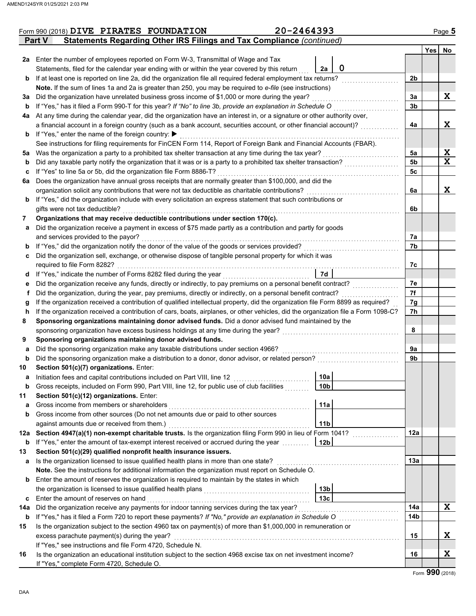|     | Form 990 (2018) DIVE PIRATES FOUNDATION                                                                                            | 20-2464393        |                | Page 5      |
|-----|------------------------------------------------------------------------------------------------------------------------------------|-------------------|----------------|-------------|
|     | Statements Regarding Other IRS Filings and Tax Compliance (continued)<br><b>Part V</b>                                             |                   |                |             |
|     |                                                                                                                                    |                   |                | Yes No      |
|     | 2a Enter the number of employees reported on Form W-3, Transmittal of Wage and Tax                                                 |                   |                |             |
|     | Statements, filed for the calendar year ending with or within the year covered by this return                                      | $\mathbf 0$<br>2a |                |             |
| b   | If at least one is reported on line 2a, did the organization file all required federal employment tax returns?                     |                   | 2b             |             |
|     | Note. If the sum of lines 1a and 2a is greater than 250, you may be required to e-file (see instructions)                          |                   |                |             |
| За  | Did the organization have unrelated business gross income of \$1,000 or more during the year?                                      |                   | 3a             | X           |
| b   | If "Yes," has it filed a Form 990-T for this year? If "No" to line 3b, provide an explanation in Schedule O                        |                   | 3 <sub>b</sub> |             |
| 4a  | At any time during the calendar year, did the organization have an interest in, or a signature or other authority over,            |                   |                |             |
|     | a financial account in a foreign country (such as a bank account, securities account, or other financial account)?                 |                   | 4a             | X           |
|     | <b>b</b> If "Yes," enter the name of the foreign country: ▶                                                                        |                   |                |             |
|     | See instructions for filing requirements for FinCEN Form 114, Report of Foreign Bank and Financial Accounts (FBAR).                |                   |                |             |
| 5a  | Was the organization a party to a prohibited tax shelter transaction at any time during the tax year?                              |                   | 5a             | X           |
| b   | Did any taxable party notify the organization that it was or is a party to a prohibited tax shelter transaction?                   |                   | 5 <sub>b</sub> | $\mathbf x$ |
| c   | If "Yes" to line 5a or 5b, did the organization file Form 8886-T?                                                                  |                   | 5c             |             |
| 6а  | Does the organization have annual gross receipts that are normally greater than \$100,000, and did the                             |                   |                |             |
|     | organization solicit any contributions that were not tax deductible as charitable contributions?                                   |                   | 6a             | X           |
| b   | If "Yes," did the organization include with every solicitation an express statement that such contributions or                     |                   |                |             |
|     | gifts were not tax deductible?                                                                                                     |                   | 6b             |             |
| 7   | Organizations that may receive deductible contributions under section 170(c).                                                      |                   |                |             |
| а   | Did the organization receive a payment in excess of \$75 made partly as a contribution and partly for goods                        |                   |                |             |
|     | and services provided to the payor?                                                                                                |                   | 7а             |             |
| b   | If "Yes," did the organization notify the donor of the value of the goods or services provided?                                    |                   | 7b             |             |
| c   | Did the organization sell, exchange, or otherwise dispose of tangible personal property for which it was                           |                   |                |             |
|     | required to file Form 8282?                                                                                                        |                   | 7c             |             |
| d   | If "Yes," indicate the number of Forms 8282 filed during the year                                                                  | 7d                |                |             |
| е   | Did the organization receive any funds, directly or indirectly, to pay premiums on a personal benefit contract?                    |                   | 7e             |             |
| f   | Did the organization, during the year, pay premiums, directly or indirectly, on a personal benefit contract?                       |                   | 7f             |             |
| g   | If the organization received a contribution of qualified intellectual property, did the organization file Form 8899 as required?   |                   | 7g             |             |
| h   | If the organization received a contribution of cars, boats, airplanes, or other vehicles, did the organization file a Form 1098-C? |                   | 7h             |             |
| 8   | Sponsoring organizations maintaining donor advised funds. Did a donor advised fund maintained by the                               |                   |                |             |
|     | sponsoring organization have excess business holdings at any time during the year?                                                 |                   | 8              |             |
| 9   | Sponsoring organizations maintaining donor advised funds.                                                                          |                   |                |             |
| а   | Did the sponsoring organization make any taxable distributions under section 4966?                                                 |                   | 9a             |             |
| b   | Did the sponsoring organization make a distribution to a donor, donor advisor, or related person?                                  |                   | 9b             |             |
| 10  | Section 501(c)(7) organizations. Enter:                                                                                            |                   |                |             |
|     | Initiation fees and capital contributions included on Part VIII, line 12                                                           | 10a               |                |             |
| b   | Gross receipts, included on Form 990, Part VIII, line 12, for public use of club facilities                                        | 10b               |                |             |
| 11  | Section 501(c)(12) organizations. Enter:                                                                                           |                   |                |             |
| a   | Gross income from members or shareholders                                                                                          | 11a               |                |             |
| b   | Gross income from other sources (Do not net amounts due or paid to other sources                                                   |                   |                |             |
|     | against amounts due or received from them.)                                                                                        | 11 <sub>b</sub>   |                |             |
| 12a | Section 4947(a)(1) non-exempt charitable trusts. Is the organization filing Form 990 in lieu of Form 1041?                         |                   | 12a            |             |
| b   | If "Yes," enter the amount of tax-exempt interest received or accrued during the year                                              | 12b               |                |             |
| 13  | Section 501(c)(29) qualified nonprofit health insurance issuers.                                                                   |                   |                |             |
| а   | Is the organization licensed to issue qualified health plans in more than one state?                                               |                   | 13a            |             |
|     | Note. See the instructions for additional information the organization must report on Schedule O.                                  |                   |                |             |
| b   | Enter the amount of reserves the organization is required to maintain by the states in which                                       |                   |                |             |
|     | the organization is licensed to issue qualified health plans                                                                       | 13b               |                |             |
| c   | Enter the amount of reserves on hand                                                                                               | 13 <sub>c</sub>   |                |             |
| 14a | Did the organization receive any payments for indoor tanning services during the tax year?                                         |                   | 14a            | X           |
| b   | If "Yes," has it filed a Form 720 to report these payments? If "No," provide an explanation in Schedule O                          |                   | 14b            |             |
| 15  | Is the organization subject to the section 4960 tax on payment(s) of more than \$1,000,000 in remuneration or                      |                   |                |             |
|     | excess parachute payment(s) during the year?                                                                                       |                   | 15             | X           |
|     | If "Yes," see instructions and file Form 4720, Schedule N.                                                                         |                   |                |             |
| 16  | Is the organization an educational institution subject to the section 4968 excise tax on net investment income?                    |                   | 16             | X           |
|     | If "Yes," complete Form 4720, Schedule O.                                                                                          |                   |                |             |
|     |                                                                                                                                    |                   |                |             |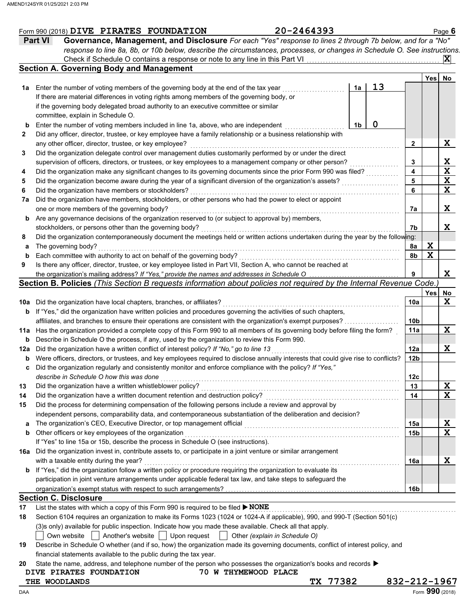|     | 20-2464393<br>Form 990 (2018) DIVE PIRATES FOUNDATION                                                                               |    |    |                 |             | Page $6$                |
|-----|-------------------------------------------------------------------------------------------------------------------------------------|----|----|-----------------|-------------|-------------------------|
|     | <b>Part VI</b><br>Governance, Management, and Disclosure For each "Yes" response to lines 2 through 7b below, and for a "No"        |    |    |                 |             |                         |
|     | response to line 8a, 8b, or 10b below, describe the circumstances, processes, or changes in Schedule O. See instructions.           |    |    |                 |             |                         |
|     | Check if Schedule O contains a response or note to any line in this Part VI                                                         |    |    |                 |             | $ \mathbf{X} $          |
|     | <b>Section A. Governing Body and Management</b>                                                                                     |    |    |                 |             |                         |
|     |                                                                                                                                     |    |    |                 | Yes         | No                      |
|     | <b>1a</b> Enter the number of voting members of the governing body at the end of the tax year                                       | 1a | 13 |                 |             |                         |
|     | If there are material differences in voting rights among members of the governing body, or                                          |    |    |                 |             |                         |
|     | if the governing body delegated broad authority to an executive committee or similar                                                |    |    |                 |             |                         |
|     | committee, explain in Schedule O.                                                                                                   |    |    |                 |             |                         |
|     | Enter the number of voting members included in line 1a, above, who are independent                                                  | 1b | 0  |                 |             |                         |
| 2   | Did any officer, director, trustee, or key employee have a family relationship or a business relationship with                      |    |    |                 |             |                         |
|     | any other officer, director, trustee, or key employee?                                                                              |    |    | 2               |             | X                       |
| 3   | Did the organization delegate control over management duties customarily performed by or under the direct                           |    |    |                 |             |                         |
|     | supervision of officers, directors, or trustees, or key employees to a management company or other person?                          |    |    | 3               |             | X                       |
| 4   | Did the organization make any significant changes to its governing documents since the prior Form 990 was filed?                    |    |    | 4               |             | $\overline{\mathbf{x}}$ |
| 5   | Did the organization become aware during the year of a significant diversion of the organization's assets?                          |    |    | 5               |             | $\overline{\mathbf{x}}$ |
| 6   | Did the organization have members or stockholders?                                                                                  |    |    | 6               |             | $\overline{\mathbf{x}}$ |
| 7a  | Did the organization have members, stockholders, or other persons who had the power to elect or appoint                             |    |    |                 |             |                         |
|     | one or more members of the governing body?                                                                                          |    |    | 7a              |             | X                       |
| b   | Are any governance decisions of the organization reserved to (or subject to approval by) members,                                   |    |    |                 |             |                         |
|     | stockholders, or persons other than the governing body?                                                                             |    |    | 7b              |             | X                       |
| 8   | Did the organization contemporaneously document the meetings held or written actions undertaken during the year by the following:   |    |    |                 |             |                         |
| а   | The governing body?                                                                                                                 |    |    | 8a              | X           |                         |
|     | Each committee with authority to act on behalf of the governing body?                                                               |    |    | 8b              | $\mathbf x$ |                         |
| 9   | Is there any officer, director, trustee, or key employee listed in Part VII, Section A, who cannot be reached at                    |    |    |                 |             |                         |
|     | the organization's mailing address? If "Yes," provide the names and addresses in Schedule O.                                        |    |    |                 |             | X                       |
|     | Section B. Policies (This Section B requests information about policies not required by the Internal Revenue Code.                  |    |    |                 |             |                         |
|     |                                                                                                                                     |    |    |                 | Yes         | No                      |
| 10a | Did the organization have local chapters, branches, or affiliates?                                                                  |    |    | 10a             |             | X                       |
|     | <b>b</b> If "Yes," did the organization have written policies and procedures governing the activities of such chapters,             |    |    |                 |             |                         |
|     | affiliates, and branches to ensure their operations are consistent with the organization's exempt purposes?                         |    |    | 10 <sub>b</sub> |             |                         |
| 11a | Has the organization provided a complete copy of this Form 990 to all members of its governing body before filing the form?         |    |    | 11a             |             | $\mathbf x$             |
| b   | Describe in Schedule O the process, if any, used by the organization to review this Form 990.                                       |    |    |                 |             |                         |
| 12a | Did the organization have a written conflict of interest policy? If "No," go to line 13                                             |    |    | 12a             |             | X                       |
| b   | Were officers, directors, or trustees, and key employees required to disclose annually interests that could give rise to conflicts? |    |    | 12 <sub>b</sub> |             |                         |
|     | Did the organization regularly and consistently monitor and enforce compliance with the policy? If "Yes,"                           |    |    |                 |             |                         |
|     | describe in Schedule O how this was done                                                                                            |    |    | 12c             |             |                         |
| 13  | Did the organization have a written whistleblower policy?                                                                           |    |    | 13              |             | X                       |
| 14  | Did the organization have a written document retention and destruction policy?                                                      |    |    | 14              |             | X                       |
| 15  | Did the process for determining compensation of the following persons include a review and approval by                              |    |    |                 |             |                         |
|     | independent persons, comparability data, and contemporaneous substantiation of the deliberation and decision?                       |    |    |                 |             |                         |
| а   | The organization's CEO, Executive Director, or top management official                                                              |    |    | 15a             |             | X                       |
| b   | Other officers or key employees of the organization                                                                                 |    |    | 15 <sub>b</sub> |             | X                       |
|     | If "Yes" to line 15a or 15b, describe the process in Schedule O (see instructions).                                                 |    |    |                 |             |                         |
|     | 16a Did the organization invest in, contribute assets to, or participate in a joint venture or similar arrangement                  |    |    |                 |             |                         |
|     | with a taxable entity during the year?                                                                                              |    |    | 16a             |             | X                       |
|     | b If "Yes," did the organization follow a written policy or procedure requiring the organization to evaluate its                    |    |    |                 |             |                         |
|     | participation in joint venture arrangements under applicable federal tax law, and take steps to safeguard the                       |    |    |                 |             |                         |
|     |                                                                                                                                     |    |    | 16b             |             |                         |
|     | <b>Section C. Disclosure</b>                                                                                                        |    |    |                 |             |                         |
| 17  | List the states with which a copy of this Form 990 is required to be filed $\triangleright$ NONE                                    |    |    |                 |             |                         |
| 18  | Section 6104 requires an organization to make its Forms 1023 (1024 or 1024-A if applicable), 990, and 990-T (Section 501(c)         |    |    |                 |             |                         |
|     | (3) sonly) available for public inspection. Indicate how you made these available. Check all that apply.                            |    |    |                 |             |                         |
|     | Own website<br>Another's website<br>Upon request<br>Other (explain in Schedule O)                                                   |    |    |                 |             |                         |
| 19  | Describe in Schedule O whether (and if so, how) the organization made its governing documents, conflict of interest policy, and     |    |    |                 |             |                         |
|     | financial statements available to the public during the tax year.                                                                   |    |    |                 |             |                         |
|     |                                                                                                                                     |    |    |                 |             |                         |

|  |  | 20 State the name, address, and telephone number of the person who possesses the organization's books and records $\blacktriangleright$ |  |
|--|--|-----------------------------------------------------------------------------------------------------------------------------------------|--|
|  |  |                                                                                                                                         |  |

### DIVE PIRATES FOUNDATION 70 W THYMEWOOD PLACE **THE WOODLANDS TX 77382 832-212-1967**

 $\blacksquare$   $\blacksquare$   $\blacksquare$   $\blacksquare$   $\blacksquare$   $\blacksquare$   $\blacksquare$   $\blacksquare$   $\blacksquare$   $\blacksquare$   $\blacksquare$   $\blacksquare$   $\blacksquare$   $\blacksquare$   $\blacksquare$   $\blacksquare$   $\blacksquare$   $\blacksquare$   $\blacksquare$   $\blacksquare$   $\blacksquare$   $\blacksquare$   $\blacksquare$   $\blacksquare$   $\blacksquare$   $\blacksquare$   $\blacksquare$   $\blacksquare$   $\blacksquare$   $\blacksquare$   $\blacksquare$   $\blacks$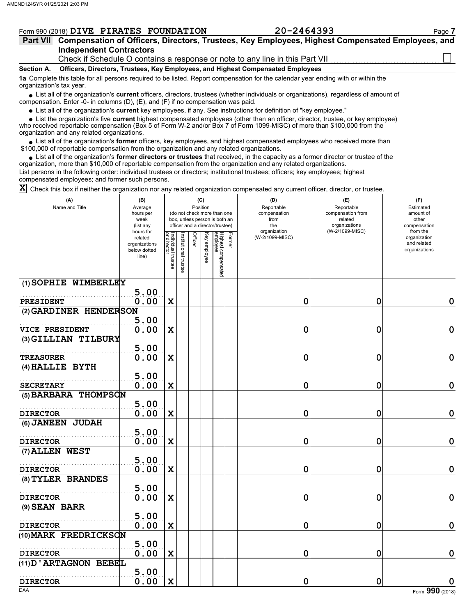|  | Form 990 (2018) DIVE PIRATES FOUNDATION | 20-2464393 | ⊇age |
|--|-----------------------------------------|------------|------|
|  |                                         |            |      |

| Part VII Compensation of Officers, Directors, Trustees, Key Employees, Highest Compensated Employees, and |
|-----------------------------------------------------------------------------------------------------------|
| <b>Independent Contractors</b>                                                                            |
| Check if Schedule O contains a response or note to any line in this Part VII                              |

#### **Section A. Officers, Directors, Trustees, Key Employees, and Highest Compensated Employees**

**1a** Complete this table for all persons required to be listed. Report compensation for the calendar year ending with or within the organization's tax year.

■ List all of the organization's **current** officers, directors, trustees (whether individuals or organizations), regardless of amount of compensation. Enter -0- in columns (D), (E), and (F) if no compensation was paid.

● List all of the organization's <mark>current</mark> key employees, if any. See instructions for definition of "key employee."<br>● List the organization's five **current** highest compensated employees (other than an officer, director, • List the organization's five current highest compensated employees (other than an officer, director, trustee, or key employee)

who received reportable compensation (Box 5 of Form W-2 and/or Box 7 of Form 1099-MISC) of more than \$100,000 from the organization and any related organizations.

• List all of the organization's **former** officers, key employees, and highest compensated employees who received more than<br>00,000 of reportable compensation from the organization and any related erganizations. \$100,000 of reportable compensation from the organization and any related organizations.

• List all of the organization's **former directors or trustees** that received, in the capacity as a former director or trustee of the organization, more than \$10,000 of reportable compensation from the organization and any related organizations. List persons in the following order: individual trustees or directors; institutional trustees; officers; key employees; highest

compensated employees; and former such persons.

Check this box if neither the organization nor any related organization compensated any current officer, director, or trustee. **X**

| (A)<br>Name and Title  | (B)<br>Average<br>hours per<br>week<br>(list any               |                                   |                       | Position       | (C)          | (do not check more than one<br>box, unless person is both an<br>officer and a director/trustee) | (D)<br>Reportable<br>compensation<br>from<br>the | (E)<br>Reportable<br>compensation from<br>related<br>organizations | (F)<br>Estimated<br>amount of<br>other<br>compensation   |
|------------------------|----------------------------------------------------------------|-----------------------------------|-----------------------|----------------|--------------|-------------------------------------------------------------------------------------------------|--------------------------------------------------|--------------------------------------------------------------------|----------------------------------------------------------|
|                        | hours for<br>related<br>organizations<br>below dotted<br>line) | Individual trustee<br>or director | Institutional trustee | <b>Officer</b> | Key employee | Former<br>Highest compensated<br>employee                                                       | organization<br>(W-2/1099-MISC)                  | (W-2/1099-MISC)                                                    | from the<br>organization<br>and related<br>organizations |
| (1) SOPHIE WIMBERLEY   |                                                                |                                   |                       |                |              |                                                                                                 |                                                  |                                                                    |                                                          |
| PRESIDENT              | 5.00<br>0.00                                                   | X                                 |                       |                |              |                                                                                                 | 0                                                | 0                                                                  | $\mathbf 0$                                              |
| (2) GARDINER HENDERSON |                                                                |                                   |                       |                |              |                                                                                                 |                                                  |                                                                    |                                                          |
| VICE PRESIDENT         | 5.00<br>0.00                                                   | X                                 |                       |                |              |                                                                                                 | 0                                                | 0                                                                  | $\mathbf 0$                                              |
| (3) GILLIAN TILBURY    |                                                                |                                   |                       |                |              |                                                                                                 |                                                  |                                                                    |                                                          |
|                        | 5.00                                                           |                                   |                       |                |              |                                                                                                 |                                                  |                                                                    |                                                          |
| <b>TREASURER</b>       | 0.00                                                           | X                                 |                       |                |              |                                                                                                 | 0                                                | 0                                                                  | $\mathbf 0$                                              |
| (4) HALLIE BYTH        |                                                                |                                   |                       |                |              |                                                                                                 |                                                  |                                                                    |                                                          |
| <b>SECRETARY</b>       | 5.00<br>0.00                                                   | $\mathbf x$                       |                       |                |              |                                                                                                 | 0                                                | 0                                                                  | $\mathbf 0$                                              |
| (5) BARBARA THOMPSON   |                                                                |                                   |                       |                |              |                                                                                                 |                                                  |                                                                    |                                                          |
|                        | 5.00                                                           |                                   |                       |                |              |                                                                                                 |                                                  |                                                                    |                                                          |
| <b>DIRECTOR</b>        | 0.00                                                           | X                                 |                       |                |              |                                                                                                 | 0                                                | 0                                                                  | $\mathbf 0$                                              |
| (6) JANEEN JUDAH       |                                                                |                                   |                       |                |              |                                                                                                 |                                                  |                                                                    |                                                          |
| <b>DIRECTOR</b>        | 5.00<br>0.00                                                   | $\mathbf X$                       |                       |                |              |                                                                                                 | 0                                                | 0                                                                  | $\mathbf 0$                                              |
| (7) ALLEN WEST         |                                                                |                                   |                       |                |              |                                                                                                 |                                                  |                                                                    |                                                          |
|                        | 5.00                                                           |                                   |                       |                |              |                                                                                                 |                                                  |                                                                    |                                                          |
| <b>DIRECTOR</b>        | 0.00                                                           | X                                 |                       |                |              |                                                                                                 | 0                                                | 0                                                                  | $\mathbf 0$                                              |
| (8) TYLER BRANDES      |                                                                |                                   |                       |                |              |                                                                                                 |                                                  |                                                                    |                                                          |
|                        | 5.00                                                           |                                   |                       |                |              |                                                                                                 |                                                  |                                                                    |                                                          |
| <b>DIRECTOR</b>        | 0.00                                                           | $\mathbf x$                       |                       |                |              |                                                                                                 | 0                                                | 0                                                                  | $\mathbf 0$                                              |
| (9) SEAN BARR          |                                                                |                                   |                       |                |              |                                                                                                 |                                                  |                                                                    |                                                          |
|                        | 5.00                                                           |                                   |                       |                |              |                                                                                                 |                                                  |                                                                    |                                                          |
| <b>DIRECTOR</b>        | 0.00                                                           | $\mathbf x$                       |                       |                |              |                                                                                                 | 0                                                | 0                                                                  | $\mathbf 0$                                              |
| (10) MARK FREDRICKSON  | 5.00                                                           |                                   |                       |                |              |                                                                                                 |                                                  |                                                                    |                                                          |
| <b>DIRECTOR</b>        | 0.00                                                           | X                                 |                       |                |              |                                                                                                 | 0                                                | 0                                                                  | $\mathbf 0$                                              |
| (11) D'ARTAGNON BEBEL  |                                                                |                                   |                       |                |              |                                                                                                 |                                                  |                                                                    |                                                          |
|                        | 5.00                                                           |                                   |                       |                |              |                                                                                                 |                                                  |                                                                    |                                                          |
| <b>DIRECTOR</b>        | 0.00                                                           | $\mathbf x$                       |                       |                |              |                                                                                                 | 0                                                | 0                                                                  | 0                                                        |
| DAA                    |                                                                |                                   |                       |                |              |                                                                                                 |                                                  |                                                                    | Form 990 (2018)                                          |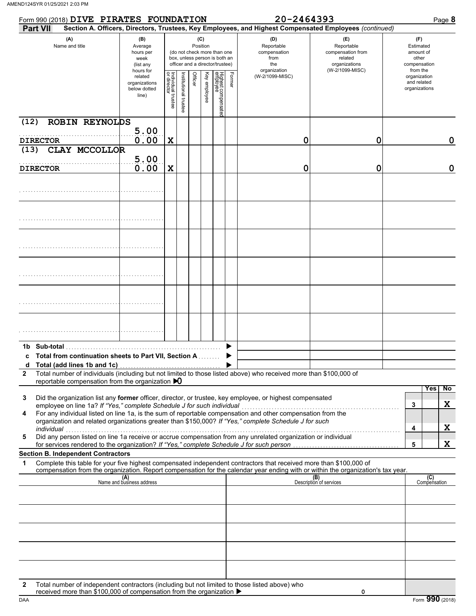| Form 990 (2018) DIVE PIRATES FOUNDATION                                                                                                                                                                                                                                                                                                                                                                              |                                                                |                                   |                       |                 |              |                                                                                                 |        | 20-2464393                                                                                             | Page 8                                                                                |                                                                    |  |
|----------------------------------------------------------------------------------------------------------------------------------------------------------------------------------------------------------------------------------------------------------------------------------------------------------------------------------------------------------------------------------------------------------------------|----------------------------------------------------------------|-----------------------------------|-----------------------|-----------------|--------------|-------------------------------------------------------------------------------------------------|--------|--------------------------------------------------------------------------------------------------------|---------------------------------------------------------------------------------------|--------------------------------------------------------------------|--|
| <b>Part VII</b>                                                                                                                                                                                                                                                                                                                                                                                                      |                                                                |                                   |                       |                 |              |                                                                                                 |        | Section A. Officers, Directors, Trustees, Key Employees, and Highest Compensated Employees (continued) |                                                                                       |                                                                    |  |
| (A)<br>Name and title                                                                                                                                                                                                                                                                                                                                                                                                | (B)<br>Average<br>hours per<br>week<br>(list any               |                                   |                       | (C)<br>Position |              | (do not check more than one<br>box, unless person is both an<br>officer and a director/trustee) |        | (D)<br>Reportable<br>compensation<br>from<br>the<br>organization                                       | (E)<br>Reportable<br>compensation from<br>related<br>organizations<br>(W-2/1099-MISC) | (F)<br>Estimated<br>amount of<br>other<br>compensation<br>from the |  |
|                                                                                                                                                                                                                                                                                                                                                                                                                      | hours for<br>related<br>organizations<br>below dotted<br>line) | Individual trustee<br>or director | Institutional trustee | Officer         | Key employee | Highest compensate<br>employee                                                                  | Former | (W-2/1099-MISC)                                                                                        |                                                                                       | organization<br>and related<br>organizations                       |  |
| (12)<br><b>ROBIN REYNOLDS</b>                                                                                                                                                                                                                                                                                                                                                                                        |                                                                |                                   |                       |                 |              |                                                                                                 |        |                                                                                                        |                                                                                       |                                                                    |  |
| <b>DIRECTOR</b>                                                                                                                                                                                                                                                                                                                                                                                                      | 5.00<br>0.00                                                   | $\mathbf X$                       |                       |                 |              |                                                                                                 |        | 0                                                                                                      | 0                                                                                     | 0                                                                  |  |
| CLAY MCCOLLOR<br>(13)                                                                                                                                                                                                                                                                                                                                                                                                |                                                                |                                   |                       |                 |              |                                                                                                 |        |                                                                                                        |                                                                                       |                                                                    |  |
|                                                                                                                                                                                                                                                                                                                                                                                                                      | 5.00                                                           |                                   |                       |                 |              |                                                                                                 |        |                                                                                                        |                                                                                       |                                                                    |  |
| <b>DIRECTOR</b>                                                                                                                                                                                                                                                                                                                                                                                                      | 0.00                                                           | $\mathbf X$                       |                       |                 |              |                                                                                                 |        | 0                                                                                                      | 0                                                                                     | $\mathbf 0$                                                        |  |
|                                                                                                                                                                                                                                                                                                                                                                                                                      |                                                                |                                   |                       |                 |              |                                                                                                 |        |                                                                                                        |                                                                                       |                                                                    |  |
|                                                                                                                                                                                                                                                                                                                                                                                                                      |                                                                |                                   |                       |                 |              |                                                                                                 |        |                                                                                                        |                                                                                       |                                                                    |  |
|                                                                                                                                                                                                                                                                                                                                                                                                                      |                                                                |                                   |                       |                 |              |                                                                                                 |        |                                                                                                        |                                                                                       |                                                                    |  |
|                                                                                                                                                                                                                                                                                                                                                                                                                      |                                                                |                                   |                       |                 |              |                                                                                                 |        |                                                                                                        |                                                                                       |                                                                    |  |
|                                                                                                                                                                                                                                                                                                                                                                                                                      |                                                                |                                   |                       |                 |              |                                                                                                 |        |                                                                                                        |                                                                                       |                                                                    |  |
|                                                                                                                                                                                                                                                                                                                                                                                                                      |                                                                |                                   |                       |                 |              |                                                                                                 |        |                                                                                                        |                                                                                       |                                                                    |  |
|                                                                                                                                                                                                                                                                                                                                                                                                                      |                                                                |                                   |                       |                 |              |                                                                                                 |        |                                                                                                        |                                                                                       |                                                                    |  |
| Total from continuation sheets to Part VII, Section A                                                                                                                                                                                                                                                                                                                                                                |                                                                |                                   |                       |                 |              |                                                                                                 |        |                                                                                                        |                                                                                       |                                                                    |  |
| Total number of individuals (including but not limited to those listed above) who received more than \$100,000 of<br>$\mathbf{2}$<br>reportable compensation from the organization $\mathbf{D}$                                                                                                                                                                                                                      |                                                                |                                   |                       |                 |              |                                                                                                 |        |                                                                                                        |                                                                                       |                                                                    |  |
| Did the organization list any former officer, director, or trustee, key employee, or highest compensated<br>3<br>employee on line 1a? If "Yes," complete Schedule J for such individual<br>For any individual listed on line 1a, is the sum of reportable compensation and other compensation from the<br>4<br>organization and related organizations greater than \$150,000? If "Yes," complete Schedule J for such |                                                                |                                   |                       |                 |              |                                                                                                 |        |                                                                                                        |                                                                                       | Yes<br>$\overline{N}$<br>X<br>3                                    |  |
| individual<br>narviauar<br>Did any person listed on line 1a receive or accrue compensation from any unrelated organization or individual<br>5                                                                                                                                                                                                                                                                        |                                                                |                                   |                       |                 |              |                                                                                                 |        |                                                                                                        |                                                                                       | X<br>4                                                             |  |
| for services rendered to the organization? If "Yes," complete Schedule J for such person<br><b>Section B. Independent Contractors</b>                                                                                                                                                                                                                                                                                |                                                                |                                   |                       |                 |              |                                                                                                 |        |                                                                                                        |                                                                                       | X<br>5                                                             |  |
| Complete this table for your five highest compensated independent contractors that received more than \$100,000 of<br>1                                                                                                                                                                                                                                                                                              |                                                                |                                   |                       |                 |              |                                                                                                 |        |                                                                                                        |                                                                                       |                                                                    |  |
| compensation from the organization. Report compensation for the calendar year ending with or within the organization's tax year.                                                                                                                                                                                                                                                                                     | (A)<br>Name and business address                               |                                   |                       |                 |              |                                                                                                 |        |                                                                                                        | (B)<br>Description of services                                                        | (C)<br>Compensation                                                |  |
|                                                                                                                                                                                                                                                                                                                                                                                                                      |                                                                |                                   |                       |                 |              |                                                                                                 |        |                                                                                                        |                                                                                       |                                                                    |  |
|                                                                                                                                                                                                                                                                                                                                                                                                                      |                                                                |                                   |                       |                 |              |                                                                                                 |        |                                                                                                        |                                                                                       |                                                                    |  |
|                                                                                                                                                                                                                                                                                                                                                                                                                      |                                                                |                                   |                       |                 |              |                                                                                                 |        |                                                                                                        |                                                                                       |                                                                    |  |
|                                                                                                                                                                                                                                                                                                                                                                                                                      |                                                                |                                   |                       |                 |              |                                                                                                 |        |                                                                                                        |                                                                                       |                                                                    |  |
| Total number of independent contractors (including but not limited to those listed above) who<br>2<br>received more than \$100,000 of compensation from the organization ▶                                                                                                                                                                                                                                           |                                                                |                                   |                       |                 |              |                                                                                                 |        |                                                                                                        | 0                                                                                     |                                                                    |  |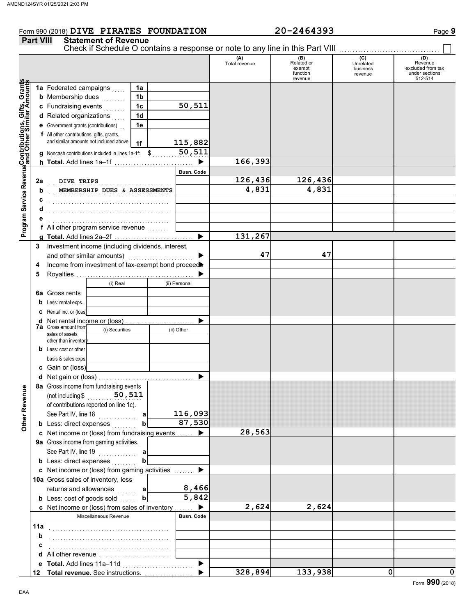#### Form 990 (2018) **DIVE PIRATES FOUNDATION** 20-2464393 Page 9 **DIVE PIRATES FOUNDATION 20-2464393**

|                                                                                                              | <b>Part VIII</b> | <b>Statement of Revenue</b>                         |                 |                       |                      |                                                    |                                         |                                                                  |
|--------------------------------------------------------------------------------------------------------------|------------------|-----------------------------------------------------|-----------------|-----------------------|----------------------|----------------------------------------------------|-----------------------------------------|------------------------------------------------------------------|
|                                                                                                              |                  |                                                     |                 |                       | (A)<br>Total revenue | (B)<br>Related or<br>exempt<br>function<br>revenue | (C)<br>Unrelated<br>business<br>revenue | (D)<br>Revenue<br>excluded from tax<br>under sections<br>512-514 |
|                                                                                                              |                  | 1a Federated campaigns                              | 1a              |                       |                      |                                                    |                                         |                                                                  |
|                                                                                                              |                  | <b>b</b> Membership dues<br>.                       | 1 <sub>b</sub>  |                       |                      |                                                    |                                         |                                                                  |
| Program Service RevenueContributions, Gifts, Grants<br>Program Service RevenueContributions, Gimilar Amounts |                  | c Fundraising events                                | 1 <sub>c</sub>  | 50,511                |                      |                                                    |                                         |                                                                  |
|                                                                                                              |                  | d Related organizations                             | 1d              |                       |                      |                                                    |                                         |                                                                  |
|                                                                                                              |                  | <b>e</b> Government grants (contributions)          | 1e              |                       |                      |                                                    |                                         |                                                                  |
|                                                                                                              |                  | f All other contributions, gifts, grants,           |                 |                       |                      |                                                    |                                         |                                                                  |
|                                                                                                              |                  | and similar amounts not included above              | 1f              | 115,882               |                      |                                                    |                                         |                                                                  |
|                                                                                                              |                  | g Noncash contributions included in lines 1a-1f: \$ |                 | 50, 511               |                      |                                                    |                                         |                                                                  |
|                                                                                                              |                  |                                                     |                 | $\blacktriangleright$ | 166,393              |                                                    |                                         |                                                                  |
|                                                                                                              |                  |                                                     |                 | <b>Busn. Code</b>     |                      |                                                    |                                         |                                                                  |
|                                                                                                              | 2a               | DIVE TRIPS                                          |                 |                       | 126,436              | 126,436                                            |                                         |                                                                  |
|                                                                                                              | b                | MEMBERSHIP DUES & ASSESSMENTS                       |                 |                       | 4,831                | 4,831                                              |                                         |                                                                  |
|                                                                                                              |                  |                                                     |                 |                       |                      |                                                    |                                         |                                                                  |
|                                                                                                              |                  |                                                     |                 |                       |                      |                                                    |                                         |                                                                  |
|                                                                                                              |                  |                                                     |                 |                       |                      |                                                    |                                         |                                                                  |
|                                                                                                              |                  | f All other program service revenue                 |                 |                       |                      |                                                    |                                         |                                                                  |
|                                                                                                              |                  |                                                     |                 | ▶                     | 131,267              |                                                    |                                         |                                                                  |
|                                                                                                              | 3                | Investment income (including dividends, interest,   |                 |                       |                      |                                                    |                                         |                                                                  |
|                                                                                                              |                  | and other similar amounts)                          |                 |                       | 47                   | 47                                                 |                                         |                                                                  |
|                                                                                                              | 4                | Income from investment of tax-exempt bond proceed   |                 |                       |                      |                                                    |                                         |                                                                  |
|                                                                                                              | 5                |                                                     |                 |                       |                      |                                                    |                                         |                                                                  |
|                                                                                                              |                  | (i) Real                                            |                 | (ii) Personal         |                      |                                                    |                                         |                                                                  |
|                                                                                                              | 6a               | Gross rents                                         |                 |                       |                      |                                                    |                                         |                                                                  |
|                                                                                                              |                  |                                                     |                 |                       |                      |                                                    |                                         |                                                                  |
|                                                                                                              | b                | Less: rental exps.                                  |                 |                       |                      |                                                    |                                         |                                                                  |
|                                                                                                              |                  | Rental inc. or (loss)                               |                 |                       |                      |                                                    |                                         |                                                                  |
|                                                                                                              | d                | Net rental income or (loss)<br>7a Gross amount from |                 |                       |                      |                                                    |                                         |                                                                  |
|                                                                                                              |                  | (i) Securities<br>sales of assets                   |                 | (ii) Other            |                      |                                                    |                                         |                                                                  |
|                                                                                                              |                  | other than inventor                                 |                 |                       |                      |                                                    |                                         |                                                                  |
|                                                                                                              | b                | Less: cost or other                                 |                 |                       |                      |                                                    |                                         |                                                                  |
|                                                                                                              |                  | basis & sales exps.                                 |                 |                       |                      |                                                    |                                         |                                                                  |
|                                                                                                              |                  | c Gain or (loss)                                    |                 |                       |                      |                                                    |                                         |                                                                  |
|                                                                                                              |                  |                                                     |                 |                       |                      |                                                    |                                         |                                                                  |
|                                                                                                              |                  | 8a Gross income from fundraising events             |                 |                       |                      |                                                    |                                         |                                                                  |
|                                                                                                              |                  | (not including \$                                   | 50,511          |                       |                      |                                                    |                                         |                                                                  |
|                                                                                                              |                  | of contributions reported on line 1c).              |                 |                       |                      |                                                    |                                         |                                                                  |
|                                                                                                              |                  | See Part IV, line 18<br>.                           | a               | 116,093               |                      |                                                    |                                         |                                                                  |
| Other Revenue                                                                                                |                  | <b>b</b> Less: direct expenses                      |                 | $\overline{87,530}$   |                      |                                                    |                                         |                                                                  |
|                                                                                                              |                  | c Net income or (loss) from fundraising events      |                 |                       | 28,563               |                                                    |                                         |                                                                  |
|                                                                                                              |                  | 9a Gross income from gaming activities.             |                 |                       |                      |                                                    |                                         |                                                                  |
|                                                                                                              |                  | See Part IV, line 19                                | a               |                       |                      |                                                    |                                         |                                                                  |
|                                                                                                              |                  | <b>b</b> Less: direct expenses                      |                 |                       |                      |                                                    |                                         |                                                                  |
|                                                                                                              |                  | c Net income or (loss) from gaming activities       |                 |                       |                      |                                                    |                                         |                                                                  |
|                                                                                                              |                  | 10a Gross sales of inventory, less                  |                 |                       |                      |                                                    |                                         |                                                                  |
|                                                                                                              |                  | returns and allowances                              | a<br>statistica | 8,466                 |                      |                                                    |                                         |                                                                  |
|                                                                                                              |                  | <b>b</b> Less: cost of goods sold                   | b               | $\overline{5}$ , 842  |                      |                                                    |                                         |                                                                  |
|                                                                                                              |                  | c Net income or (loss) from sales of inventory      |                 | $\blacktriangleright$ | 2,624                | 2,624                                              |                                         |                                                                  |
|                                                                                                              |                  | Miscellaneous Revenue                               |                 | <b>Busn. Code</b>     |                      |                                                    |                                         |                                                                  |
|                                                                                                              | 11a              |                                                     |                 |                       |                      |                                                    |                                         |                                                                  |
|                                                                                                              | b                |                                                     |                 |                       |                      |                                                    |                                         |                                                                  |
|                                                                                                              |                  |                                                     |                 |                       |                      |                                                    |                                         |                                                                  |
|                                                                                                              |                  | d All other revenue                                 |                 |                       |                      |                                                    |                                         |                                                                  |
|                                                                                                              |                  |                                                     |                 |                       |                      |                                                    |                                         |                                                                  |
|                                                                                                              |                  | 12 Total revenue. See instructions.                 |                 |                       | 328,894              | 133,938                                            | 0                                       | 0                                                                |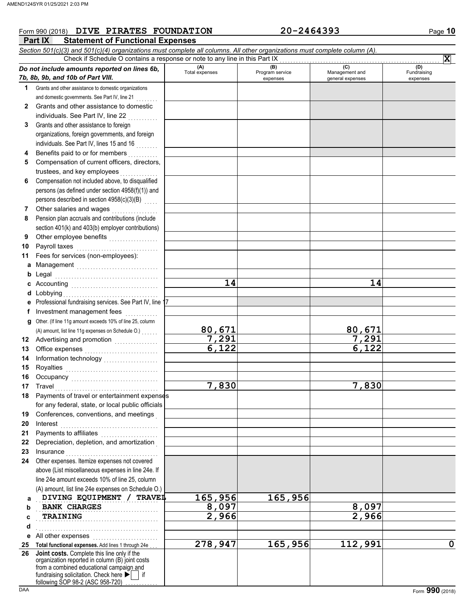#### **Part IX Statement of Functional Expenses** Form 990 (2018) Page **10 DIVE PIRATES FOUNDATION 20-2464393** *Section 501(c)(3) and 501(c)(4) organizations must complete all columns. All other organizations must complete column (A). Do not include amounts reported on lines 6b, 7b, 8b, 9b, and 10b of Part VIII.* **1 2 3 4 5 6 7 8 9 10 11 a** Management .............................. **b** Legal **c** Accounting . . . . . . . . . . . . . . . . . . . . . . . . . . . . . . . . **d** Lobbying . . . . . . . . . . . . . . . . . . . . . . . . . . . . . . . . . . . **e f g** Other. (If line 11g amount exceeds 10% of line 25, column **12** Advertising and promotion **. . . . . . . . . . . .** . . **13 14 15 16 17 18 19 20 21 22 23 24 a b c d e** All other expenses . . . . . . . . . . . . . . . . . . . . . . . . **25 Total functional expenses.** Add lines 1 through 24e . . . **26** Grants and other assistance to domestic organizations and domestic governments. See Part IV, line 21 Grants and other assistance to domestic individuals. See Part IV, line 22 Grants and other assistance to foreign organizations, foreign governments, and foreign individuals. See Part IV, lines 15 and 16 Benefits paid to or for members . . . . . . . . . . Compensation of current officers, directors, trustees, and key employees Compensation not included above, to disqualified persons (as defined under section 4958(f)(1)) and persons described in section 4958(c)(3)(B) Other salaries and wages .................. Pension plan accruals and contributions (include section 401(k) and 403(b) employer contributions) Other employee benefits ................... Payroll taxes Fees for services (non-employees): Legal . . . . . . . . . . . . . . . . . . . . . . . . . . . . . . . . . . . . . . Professional fundraising services. See Part IV, line 17 Investment management fees ............. Office expenses . . . . . . . . . . . . . . . . . . . . . . . . . . . Information technology . . . . . . . . . . . . . . . . . . . . Royalties . . . . . . . . . . . . . . . . . . . . . . . . . . . . . . . . . . Occupancy . . . . . . . . . . . . . . . . . . . . . . . . . . . . . . . . Travel . . . . . . . . . . . . . . . . . . . . . . . . . . . . . . . . . . . . . . Payments of travel or entertainment expenses for any federal, state, or local public officials Conferences, conventions, and meetings . Interest . . . . . . . . . . . . . . . . . . . . . . . . . . . . . . . . . . . . Payments to affiliates . . . . . . . . . . . . . . . Depreciation, depletion, and amortization . Insurance . . . . . . . . . . . . . . . . . . . . . . . . . . . . . . . . . . Other expenses. Itemize expenses not covered above (List miscellaneous expenses in line 24e. If line 24e amount exceeds 10% of line 25, column (A) amount, list line 24e expenses on Schedule O.) fundraising solicitation. Check here  $\blacktriangleright$  | if organization reported in column (B) joint costs from a combined educational campaign and **(A) (B)** (B) (B) (C) (C) (A) (D)<br>Total expenses Program service Management and Fundrai expenses and general expenses (D)<br>Fundraising expenses **DIVING EQUIPMENT / TRAVEL 165,956 165,956 BANK CHARGES 8,097 8,097 TRAINING** . . . . . . . . . . . . . . . . . . . . . . . . . . . . . . . . . . . . . . . . . . . . . Check if Schedule O contains a response or note to any line in this Part IX **Joint costs.** Complete this line only if the (A) amount, list line 11g expenses on Schedule O.) . . . . . . . **X 14 14 80,671 80,671 7,291 7,291 6,122 6,122 7,830 7,830 TRAINING 2,966 2,966 278,947 165,956 112,991 0**

following SOP 98-2 (ASC 958-720)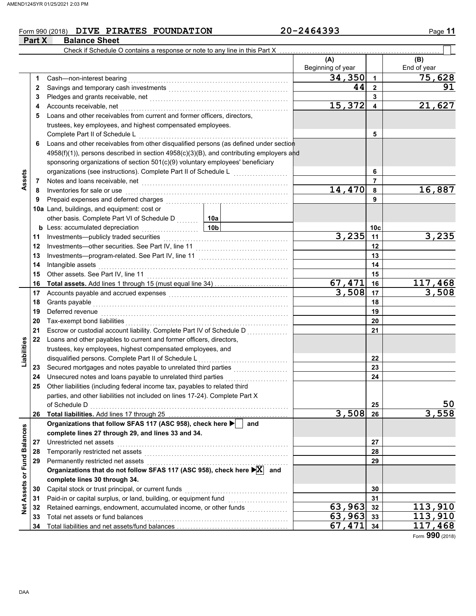#### Form 990 (2018) **DIVE PIRATES FOUNDATION** 20-2464393 Page 11 **Part X** Balance Sheet

 $\overline{\phantom{0}}$ 

|                 |    | Check if Schedule O contains a response or note to any line in this Part X                                                                                                                                                          |                          |                |                    |
|-----------------|----|-------------------------------------------------------------------------------------------------------------------------------------------------------------------------------------------------------------------------------------|--------------------------|----------------|--------------------|
|                 |    |                                                                                                                                                                                                                                     | (A)<br>Beginning of year |                | (B)<br>End of year |
|                 | 1  | Cash-non-interest bearing                                                                                                                                                                                                           | 34,350                   | $\overline{1}$ | 75,628             |
|                 | 2  |                                                                                                                                                                                                                                     | 44                       | $\mathbf{2}$   | 91                 |
|                 | 3  |                                                                                                                                                                                                                                     |                          | 3              |                    |
|                 | 4  | Accounts receivable, net                                                                                                                                                                                                            | 15,372                   | 4              | 21,627             |
|                 | 5  | Loans and other receivables from current and former officers, directors,                                                                                                                                                            |                          |                |                    |
|                 |    | trustees, key employees, and highest compensated employees.                                                                                                                                                                         |                          |                |                    |
|                 |    | Complete Part II of Schedule L                                                                                                                                                                                                      |                          | 5              |                    |
|                 |    | Loans and other receivables from other disqualified persons (as defined under section                                                                                                                                               |                          |                |                    |
|                 |    | 4958(f)(1)), persons described in section 4958(c)(3)(B), and contributing employers and                                                                                                                                             |                          |                |                    |
|                 |    | sponsoring organizations of section 501(c)(9) voluntary employees' beneficiary                                                                                                                                                      |                          |                |                    |
|                 |    | organizations (see instructions). Complete Part II of Schedule L                                                                                                                                                                    |                          | 6              |                    |
| Assets          | 7  | Notes and loans receivable, net <b>constructs</b> and in the second of the second of the second of the second of the second of the second of the second of the second of the second of the second of the second of the second of th |                          | 7              |                    |
|                 | 8  | Inventories for sale or use                                                                                                                                                                                                         | 14,470                   | 8              | 16,887             |
|                 | 9  | Prepaid expenses and deferred charges                                                                                                                                                                                               |                          | 9              |                    |
|                 |    | 10a Land, buildings, and equipment: cost or                                                                                                                                                                                         |                          |                |                    |
|                 |    | other basis. Complete Part VI of Schedule D<br>10a                                                                                                                                                                                  |                          |                |                    |
|                 |    | 10 <sub>b</sub><br><b>b</b> Less: accumulated depreciation<br>.                                                                                                                                                                     |                          | 10c            |                    |
|                 | 11 | Investments-publicly traded securities                                                                                                                                                                                              | 3,235                    | 11             | 3,235              |
|                 | 12 |                                                                                                                                                                                                                                     |                          | 12             |                    |
|                 | 13 |                                                                                                                                                                                                                                     |                          | 13             |                    |
|                 | 14 | Intangible assets                                                                                                                                                                                                                   |                          | 14             |                    |
|                 | 15 |                                                                                                                                                                                                                                     |                          | 15             |                    |
|                 | 16 | Total assets. Add lines 1 through 15 (must equal line 34)                                                                                                                                                                           | 67,471                   | 16             | 117,468            |
|                 | 17 |                                                                                                                                                                                                                                     | 3,508                    | 17             | 3,508              |
|                 | 18 | Grants payable                                                                                                                                                                                                                      |                          | 18             |                    |
|                 | 19 | Deferred revenue                                                                                                                                                                                                                    |                          | 19             |                    |
|                 | 20 | Tax-exempt bond liabilities                                                                                                                                                                                                         |                          | 20             |                    |
|                 | 21 | Escrow or custodial account liability. Complete Part IV of Schedule D                                                                                                                                                               |                          | 21             |                    |
|                 | 22 | Loans and other payables to current and former officers, directors,                                                                                                                                                                 |                          |                |                    |
| Liabilities     |    | trustees, key employees, highest compensated employees, and                                                                                                                                                                         |                          |                |                    |
|                 |    | disqualified persons. Complete Part II of Schedule L                                                                                                                                                                                |                          | 22             |                    |
|                 | 23 | .                                                                                                                                                                                                                                   |                          | 23             |                    |
|                 | 24 | Unsecured notes and loans payable to unrelated third parties                                                                                                                                                                        |                          | 24             |                    |
|                 | 25 | .<br>Other liabilities (including federal income tax, payables to related third                                                                                                                                                     |                          |                |                    |
|                 |    | parties, and other liabilities not included on lines 17-24). Complete Part X                                                                                                                                                        |                          |                |                    |
|                 |    |                                                                                                                                                                                                                                     |                          | 25             | 50                 |
|                 | 26 |                                                                                                                                                                                                                                     | 3,508                    | 26             | 3,558              |
|                 |    | Organizations that follow SFAS 117 (ASC 958), check here ▶  <br>and                                                                                                                                                                 |                          |                |                    |
| <b>Balances</b> |    | complete lines 27 through 29, and lines 33 and 34.                                                                                                                                                                                  |                          |                |                    |
|                 | 27 | Unrestricted net assets                                                                                                                                                                                                             |                          | 27             |                    |
|                 | 28 | Temporarily restricted net assets                                                                                                                                                                                                   |                          | 28             |                    |
|                 | 29 | Permanently restricted net assets                                                                                                                                                                                                   |                          | 29             |                    |
| or Fund         |    | Organizations that do not follow SFAS 117 (ASC 958), check here ▶ X and                                                                                                                                                             |                          |                |                    |
|                 |    | complete lines 30 through 34.                                                                                                                                                                                                       |                          |                |                    |
| Assets          | 30 | Capital stock or trust principal, or current funds                                                                                                                                                                                  |                          | 30             |                    |
|                 | 31 | Paid-in or capital surplus, or land, building, or equipment fund                                                                                                                                                                    |                          | 31             |                    |
| $\frac{1}{2}$   | 32 | Retained earnings, endowment, accumulated income, or other funds                                                                                                                                                                    | 63,963                   | 32             | 113,910            |
|                 | 33 | Total net assets or fund balances                                                                                                                                                                                                   | $63,963$ 33              |                | 113,910            |
|                 | 34 |                                                                                                                                                                                                                                     | 67, 471 34               |                | 117,468            |
|                 |    |                                                                                                                                                                                                                                     |                          |                |                    |

Form **990** (2018)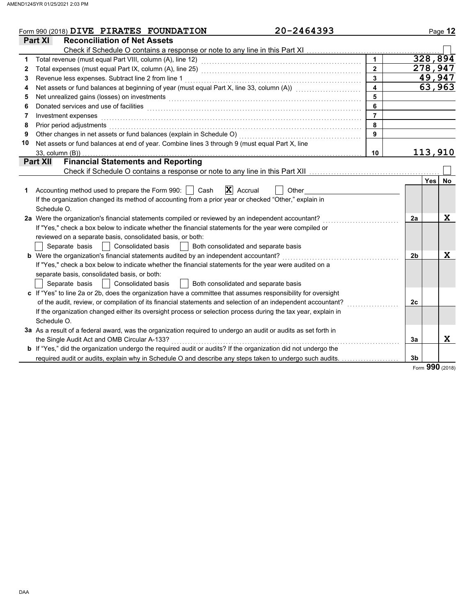|    | 20-2464393<br>Form 990 (2018) DIVE PIRATES FOUNDATION                                                                                                                                                                          |                         |    | Page 12          |
|----|--------------------------------------------------------------------------------------------------------------------------------------------------------------------------------------------------------------------------------|-------------------------|----|------------------|
|    | <b>Reconciliation of Net Assets</b><br><b>Part XI</b>                                                                                                                                                                          |                         |    |                  |
|    | Check if Schedule O contains a response or note to any line in this Part XI                                                                                                                                                    |                         |    |                  |
| 1  |                                                                                                                                                                                                                                |                         |    | 328,894          |
| 2  |                                                                                                                                                                                                                                | $\overline{2}$          |    | 278,947          |
| 3  | Revenue less expenses. Subtract line 2 from line 1                                                                                                                                                                             | $\overline{\mathbf{3}}$ |    | 49,947           |
| 4  | Net assets or fund balances at beginning of year (must equal Part X, line 33, column (A)) [[[[[[[[[[[[[[[[[[[                                                                                                                  | $\overline{\mathbf{4}}$ |    | 63,963           |
| 5  | Net unrealized gains (losses) on investments [11] with an intervention of the state of the state of the state of the state of the state of the state of the state of the state of the state of the state of the state of the s | 5                       |    |                  |
| 6  |                                                                                                                                                                                                                                | 6                       |    |                  |
| 7  | Investment expenses                                                                                                                                                                                                            | $\overline{7}$          |    |                  |
| 8  | Prior period adjustments                                                                                                                                                                                                       | 8                       |    |                  |
| 9  | Other changes in net assets or fund balances (explain in Schedule O)                                                                                                                                                           | 9                       |    |                  |
| 10 | Net assets or fund balances at end of year. Combine lines 3 through 9 (must equal Part X, line                                                                                                                                 |                         |    |                  |
|    | $33$ , column $(B)$ )                                                                                                                                                                                                          | 10                      |    | 113,910          |
|    | <b>Financial Statements and Reporting</b><br><b>Part XII</b>                                                                                                                                                                   |                         |    |                  |
|    | Check if Schedule O contains a response or note to any line in this Part XII                                                                                                                                                   |                         |    |                  |
|    |                                                                                                                                                                                                                                |                         |    | <b>Yes</b><br>No |
| 1  | Accounting method used to prepare the Form 990:  <br>Cash<br>$ \mathbf{X} $ Accrual<br>Other                                                                                                                                   |                         |    |                  |
|    | If the organization changed its method of accounting from a prior year or checked "Other," explain in                                                                                                                          |                         |    |                  |
|    | Schedule O.                                                                                                                                                                                                                    |                         |    |                  |
|    | 2a Were the organization's financial statements compiled or reviewed by an independent accountant?                                                                                                                             |                         | 2a | $\mathbf x$      |
|    | If "Yes," check a box below to indicate whether the financial statements for the year were compiled or                                                                                                                         |                         |    |                  |
|    | reviewed on a separate basis, consolidated basis, or both:                                                                                                                                                                     |                         |    |                  |
|    | Separate basis<br><b>Consolidated basis</b><br>Both consolidated and separate basis                                                                                                                                            |                         |    |                  |
|    | <b>b</b> Were the organization's financial statements audited by an independent accountant?                                                                                                                                    |                         | 2b | $\mathbf x$      |
|    | If "Yes," check a box below to indicate whether the financial statements for the year were audited on a                                                                                                                        |                         |    |                  |
|    | separate basis, consolidated basis, or both:                                                                                                                                                                                   |                         |    |                  |
|    | Separate basis<br>Consolidated basis<br>Both consolidated and separate basis                                                                                                                                                   |                         |    |                  |
|    | c If "Yes" to line 2a or 2b, does the organization have a committee that assumes responsibility for oversight                                                                                                                  |                         |    |                  |
|    | of the audit, review, or compilation of its financial statements and selection of an independent accountant?                                                                                                                   |                         | 2c |                  |
|    | If the organization changed either its oversight process or selection process during the tax year, explain in                                                                                                                  |                         |    |                  |
|    | Schedule O.                                                                                                                                                                                                                    |                         |    |                  |
|    | 3a As a result of a federal award, was the organization required to undergo an audit or audits as set forth in                                                                                                                 |                         |    |                  |
|    | the Single Audit Act and OMB Circular A-133?                                                                                                                                                                                   |                         | 3a | X                |
|    | <b>b</b> If "Yes," did the organization undergo the required audit or audits? If the organization did not undergo the                                                                                                          |                         |    |                  |
|    | required audit or audits, explain why in Schedule O and describe any steps taken to undergo such audits.                                                                                                                       |                         | 3b |                  |
|    |                                                                                                                                                                                                                                |                         |    | Form 990 (2018)  |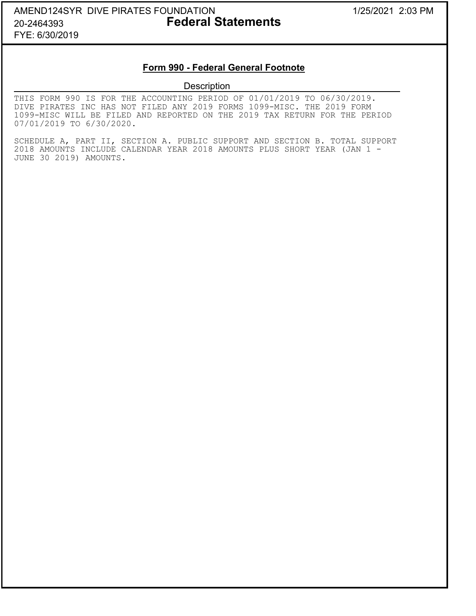## AMEND124SYR DIVE PIRATES FOUNDATION 1/25/2021 2:03 PM 20-2464393 **Federal Statements** FYE: 6/30/2019

### **Form 990 - Federal General Footnote**

### **Description**

THIS FORM 990 IS FOR THE ACCOUNTING PERIOD OF 01/01/2019 TO 06/30/2019. DIVE PIRATES INC HAS NOT FILED ANY 2019 FORMS 1099-MISC. THE 2019 FORM 1099-MISC WILL BE FILED AND REPORTED ON THE 2019 TAX RETURN FOR THE PERIOD 07/01/2019 TO 6/30/2020.

SCHEDULE A, PART II, SECTION A. PUBLIC SUPPORT AND SECTION B. TOTAL SUPPORT 2018 AMOUNTS INCLUDE CALENDAR YEAR 2018 AMOUNTS PLUS SHORT YEAR (JAN 1 - JUNE 30 2019) AMOUNTS.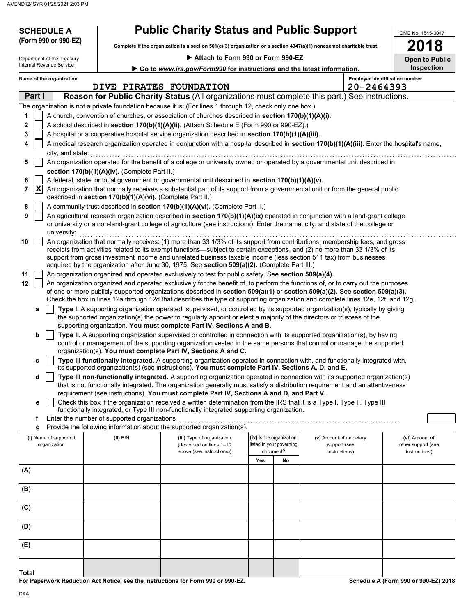| <b>Public Charity Status and Public Support</b><br><b>SCHEDULE A</b><br>OMB No. 1545-0047<br>(Form 990 or 990-EZ)<br>18<br>Complete if the organization is a section 501(c)(3) organization or a section 4947(a)(1) nonexempt charitable trust.<br>Attach to Form 990 or Form 990-EZ.<br>Department of the Treasury<br><b>Open to Public</b><br>Internal Revenue Service<br><b>Inspection</b><br>Go to www.irs.gov/Form990 for instructions and the latest information.                                                                                                                                                                                                                                                                                                                                                                                                                                                                                                                                                                                                                                                                                                                                                                                                                                                                                                                                                                                                                                                                                                                                                                                                                                                                                                                                                                                                                                                                                                                                                                                                                                                                                                                                                                                                                                                                                                                                                                                                                                            |                                                            |                                                                                                                                                                                                                                                                                                                                                                                                                                                                                                                                                                                                                                                                                              |                                                                          |    |                                                         |  |                                                       |  |  |
|--------------------------------------------------------------------------------------------------------------------------------------------------------------------------------------------------------------------------------------------------------------------------------------------------------------------------------------------------------------------------------------------------------------------------------------------------------------------------------------------------------------------------------------------------------------------------------------------------------------------------------------------------------------------------------------------------------------------------------------------------------------------------------------------------------------------------------------------------------------------------------------------------------------------------------------------------------------------------------------------------------------------------------------------------------------------------------------------------------------------------------------------------------------------------------------------------------------------------------------------------------------------------------------------------------------------------------------------------------------------------------------------------------------------------------------------------------------------------------------------------------------------------------------------------------------------------------------------------------------------------------------------------------------------------------------------------------------------------------------------------------------------------------------------------------------------------------------------------------------------------------------------------------------------------------------------------------------------------------------------------------------------------------------------------------------------------------------------------------------------------------------------------------------------------------------------------------------------------------------------------------------------------------------------------------------------------------------------------------------------------------------------------------------------------------------------------------------------------------------------------------------------|------------------------------------------------------------|----------------------------------------------------------------------------------------------------------------------------------------------------------------------------------------------------------------------------------------------------------------------------------------------------------------------------------------------------------------------------------------------------------------------------------------------------------------------------------------------------------------------------------------------------------------------------------------------------------------------------------------------------------------------------------------------|--------------------------------------------------------------------------|----|---------------------------------------------------------|--|-------------------------------------------------------|--|--|
| <b>Employer identification number</b><br>Name of the organization<br>20-2464393<br>DIVE PIRATES FOUNDATION                                                                                                                                                                                                                                                                                                                                                                                                                                                                                                                                                                                                                                                                                                                                                                                                                                                                                                                                                                                                                                                                                                                                                                                                                                                                                                                                                                                                                                                                                                                                                                                                                                                                                                                                                                                                                                                                                                                                                                                                                                                                                                                                                                                                                                                                                                                                                                                                         |                                                            |                                                                                                                                                                                                                                                                                                                                                                                                                                                                                                                                                                                                                                                                                              |                                                                          |    |                                                         |  |                                                       |  |  |
| Part I<br>Reason for Public Charity Status (All organizations must complete this part.) See instructions.                                                                                                                                                                                                                                                                                                                                                                                                                                                                                                                                                                                                                                                                                                                                                                                                                                                                                                                                                                                                                                                                                                                                                                                                                                                                                                                                                                                                                                                                                                                                                                                                                                                                                                                                                                                                                                                                                                                                                                                                                                                                                                                                                                                                                                                                                                                                                                                                          |                                                            |                                                                                                                                                                                                                                                                                                                                                                                                                                                                                                                                                                                                                                                                                              |                                                                          |    |                                                         |  |                                                       |  |  |
| 1<br>2<br>3<br>4<br>city, and state:<br>5                                                                                                                                                                                                                                                                                                                                                                                                                                                                                                                                                                                                                                                                                                                                                                                                                                                                                                                                                                                                                                                                                                                                                                                                                                                                                                                                                                                                                                                                                                                                                                                                                                                                                                                                                                                                                                                                                                                                                                                                                                                                                                                                                                                                                                                                                                                                                                                                                                                                          |                                                            | The organization is not a private foundation because it is: (For lines 1 through 12, check only one box.)<br>A church, convention of churches, or association of churches described in section 170(b)(1)(A)(i).<br>A school described in section 170(b)(1)(A)(ii). (Attach Schedule E (Form 990 or 990-EZ).)<br>A hospital or a cooperative hospital service organization described in section 170(b)(1)(A)(iii).<br>A medical research organization operated in conjunction with a hospital described in section 170(b)(1)(A)(iii). Enter the hospital's name,<br>An organization operated for the benefit of a college or university owned or operated by a governmental unit described in |                                                                          |    |                                                         |  |                                                       |  |  |
|                                                                                                                                                                                                                                                                                                                                                                                                                                                                                                                                                                                                                                                                                                                                                                                                                                                                                                                                                                                                                                                                                                                                                                                                                                                                                                                                                                                                                                                                                                                                                                                                                                                                                                                                                                                                                                                                                                                                                                                                                                                                                                                                                                                                                                                                                                                                                                                                                                                                                                                    | section 170(b)(1)(A)(iv). (Complete Part II.)              |                                                                                                                                                                                                                                                                                                                                                                                                                                                                                                                                                                                                                                                                                              |                                                                          |    |                                                         |  |                                                       |  |  |
| 6<br>$ \mathbf{X} $<br>7<br>8                                                                                                                                                                                                                                                                                                                                                                                                                                                                                                                                                                                                                                                                                                                                                                                                                                                                                                                                                                                                                                                                                                                                                                                                                                                                                                                                                                                                                                                                                                                                                                                                                                                                                                                                                                                                                                                                                                                                                                                                                                                                                                                                                                                                                                                                                                                                                                                                                                                                                      | described in section 170(b)(1)(A)(vi). (Complete Part II.) | A federal, state, or local government or governmental unit described in section 170(b)(1)(A)(v).<br>An organization that normally receives a substantial part of its support from a governmental unit or from the general public<br>A community trust described in section 170(b)(1)(A)(vi). (Complete Part II.)                                                                                                                                                                                                                                                                                                                                                                             |                                                                          |    |                                                         |  |                                                       |  |  |
| 9<br>university:                                                                                                                                                                                                                                                                                                                                                                                                                                                                                                                                                                                                                                                                                                                                                                                                                                                                                                                                                                                                                                                                                                                                                                                                                                                                                                                                                                                                                                                                                                                                                                                                                                                                                                                                                                                                                                                                                                                                                                                                                                                                                                                                                                                                                                                                                                                                                                                                                                                                                                   |                                                            | An agricultural research organization described in section 170(b)(1)(A)(ix) operated in conjunction with a land-grant college<br>or university or a non-land-grant college of agriculture (see instructions). Enter the name, city, and state of the college or                                                                                                                                                                                                                                                                                                                                                                                                                              |                                                                          |    |                                                         |  |                                                       |  |  |
| An organization that normally receives: (1) more than 33 1/3% of its support from contributions, membership fees, and gross<br>10<br>receipts from activities related to its exempt functions—subject to certain exceptions, and (2) no more than 33 1/3% of its<br>support from gross investment income and unrelated business taxable income (less section 511 tax) from businesses<br>acquired by the organization after June 30, 1975. See section 509(a)(2). (Complete Part III.)<br>11<br>An organization organized and operated exclusively to test for public safety. See section 509(a)(4).<br>12<br>An organization organized and operated exclusively for the benefit of, to perform the functions of, or to carry out the purposes<br>of one or more publicly supported organizations described in section 509(a)(1) or section 509(a)(2). See section 509(a)(3).<br>Check the box in lines 12a through 12d that describes the type of supporting organization and complete lines 12e, 12f, and 12g.<br>Type I. A supporting organization operated, supervised, or controlled by its supported organization(s), typically by giving<br>a<br>the supported organization(s) the power to regularly appoint or elect a majority of the directors or trustees of the<br>supporting organization. You must complete Part IV, Sections A and B.<br>b<br>Type II. A supporting organization supervised or controlled in connection with its supported organization(s), by having<br>control or management of the supporting organization vested in the same persons that control or manage the supported<br>organization(s). You must complete Part IV, Sections A and C.<br>Type III functionally integrated. A supporting organization operated in connection with, and functionally integrated with,<br>C<br>its supported organization(s) (see instructions). You must complete Part IV, Sections A, D, and E.<br>Type III non-functionally integrated. A supporting organization operated in connection with its supported organization(s)<br>d<br>that is not functionally integrated. The organization generally must satisfy a distribution requirement and an attentiveness<br>requirement (see instructions). You must complete Part IV, Sections A and D, and Part V.<br>Check this box if the organization received a written determination from the IRS that it is a Type I, Type II, Type III<br>е<br>functionally integrated, or Type III non-functionally integrated supporting organization. |                                                            |                                                                                                                                                                                                                                                                                                                                                                                                                                                                                                                                                                                                                                                                                              |                                                                          |    |                                                         |  |                                                       |  |  |
| (i) Name of supported<br>organization                                                                                                                                                                                                                                                                                                                                                                                                                                                                                                                                                                                                                                                                                                                                                                                                                                                                                                                                                                                                                                                                                                                                                                                                                                                                                                                                                                                                                                                                                                                                                                                                                                                                                                                                                                                                                                                                                                                                                                                                                                                                                                                                                                                                                                                                                                                                                                                                                                                                              | (ii) EIN                                                   | (iii) Type of organization<br>(described on lines 1-10<br>above (see instructions))                                                                                                                                                                                                                                                                                                                                                                                                                                                                                                                                                                                                          | (iv) Is the organization<br>listed in your governing<br>document?<br>Yes | No | (v) Amount of monetary<br>support (see<br>instructions) |  | (vi) Amount of<br>other support (see<br>instructions) |  |  |
| (A)                                                                                                                                                                                                                                                                                                                                                                                                                                                                                                                                                                                                                                                                                                                                                                                                                                                                                                                                                                                                                                                                                                                                                                                                                                                                                                                                                                                                                                                                                                                                                                                                                                                                                                                                                                                                                                                                                                                                                                                                                                                                                                                                                                                                                                                                                                                                                                                                                                                                                                                |                                                            |                                                                                                                                                                                                                                                                                                                                                                                                                                                                                                                                                                                                                                                                                              |                                                                          |    |                                                         |  |                                                       |  |  |
| (B)                                                                                                                                                                                                                                                                                                                                                                                                                                                                                                                                                                                                                                                                                                                                                                                                                                                                                                                                                                                                                                                                                                                                                                                                                                                                                                                                                                                                                                                                                                                                                                                                                                                                                                                                                                                                                                                                                                                                                                                                                                                                                                                                                                                                                                                                                                                                                                                                                                                                                                                |                                                            |                                                                                                                                                                                                                                                                                                                                                                                                                                                                                                                                                                                                                                                                                              |                                                                          |    |                                                         |  |                                                       |  |  |
| (C)                                                                                                                                                                                                                                                                                                                                                                                                                                                                                                                                                                                                                                                                                                                                                                                                                                                                                                                                                                                                                                                                                                                                                                                                                                                                                                                                                                                                                                                                                                                                                                                                                                                                                                                                                                                                                                                                                                                                                                                                                                                                                                                                                                                                                                                                                                                                                                                                                                                                                                                |                                                            |                                                                                                                                                                                                                                                                                                                                                                                                                                                                                                                                                                                                                                                                                              |                                                                          |    |                                                         |  |                                                       |  |  |
| (D)                                                                                                                                                                                                                                                                                                                                                                                                                                                                                                                                                                                                                                                                                                                                                                                                                                                                                                                                                                                                                                                                                                                                                                                                                                                                                                                                                                                                                                                                                                                                                                                                                                                                                                                                                                                                                                                                                                                                                                                                                                                                                                                                                                                                                                                                                                                                                                                                                                                                                                                |                                                            |                                                                                                                                                                                                                                                                                                                                                                                                                                                                                                                                                                                                                                                                                              |                                                                          |    |                                                         |  |                                                       |  |  |
| (E)                                                                                                                                                                                                                                                                                                                                                                                                                                                                                                                                                                                                                                                                                                                                                                                                                                                                                                                                                                                                                                                                                                                                                                                                                                                                                                                                                                                                                                                                                                                                                                                                                                                                                                                                                                                                                                                                                                                                                                                                                                                                                                                                                                                                                                                                                                                                                                                                                                                                                                                |                                                            |                                                                                                                                                                                                                                                                                                                                                                                                                                                                                                                                                                                                                                                                                              |                                                                          |    |                                                         |  |                                                       |  |  |
|                                                                                                                                                                                                                                                                                                                                                                                                                                                                                                                                                                                                                                                                                                                                                                                                                                                                                                                                                                                                                                                                                                                                                                                                                                                                                                                                                                                                                                                                                                                                                                                                                                                                                                                                                                                                                                                                                                                                                                                                                                                                                                                                                                                                                                                                                                                                                                                                                                                                                                                    |                                                            |                                                                                                                                                                                                                                                                                                                                                                                                                                                                                                                                                                                                                                                                                              |                                                                          |    |                                                         |  |                                                       |  |  |

**For Paperwork Reduction Act Notice, see the Instructions for Form 990 or 990-EZ.**

**Schedule A (Form 990 or 990-EZ) 2018**

**Total**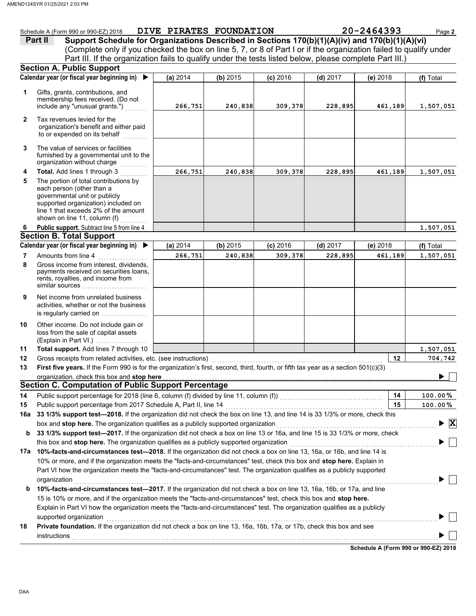|              | Schedule A (Form 990 or 990-EZ) 2018                                                                                                                                                                                                                  |          | DIVE PIRATES FOUNDATION |            |            | 20-2464393 | Page 2                             |
|--------------|-------------------------------------------------------------------------------------------------------------------------------------------------------------------------------------------------------------------------------------------------------|----------|-------------------------|------------|------------|------------|------------------------------------|
|              | Support Schedule for Organizations Described in Sections 170(b)(1)(A)(iv) and 170(b)(1)(A)(vi)<br>Part II                                                                                                                                             |          |                         |            |            |            |                                    |
|              | (Complete only if you checked the box on line 5, 7, or 8 of Part I or if the organization failed to qualify under<br>Part III. If the organization fails to qualify under the tests listed below, please complete Part III.)                          |          |                         |            |            |            |                                    |
|              | <b>Section A. Public Support</b>                                                                                                                                                                                                                      |          |                         |            |            |            |                                    |
|              | Calendar year (or fiscal year beginning in)<br>▶                                                                                                                                                                                                      | (a) 2014 | (b) 2015                |            |            |            |                                    |
|              |                                                                                                                                                                                                                                                       |          |                         | $(c)$ 2016 | $(d)$ 2017 | $(e)$ 2018 | (f) Total                          |
| 1            | Gifts, grants, contributions, and<br>membership fees received. (Do not<br>include any "unusual grants.")                                                                                                                                              | 266,751  | 240,838                 | 309,378    | 228,895    | 461,189    | 1,507,051                          |
| $\mathbf{2}$ | Tax revenues levied for the<br>organization's benefit and either paid<br>to or expended on its behalf                                                                                                                                                 |          |                         |            |            |            |                                    |
| 3            | The value of services or facilities<br>furnished by a governmental unit to the<br>organization without charge                                                                                                                                         |          |                         |            |            |            |                                    |
| 4            | Total. Add lines 1 through 3                                                                                                                                                                                                                          | 266,751  | 240,838                 | 309,378    | 228,895    | 461,189    | 1,507,051                          |
| 5            | The portion of total contributions by<br>each person (other than a<br>governmental unit or publicly<br>supported organization) included on<br>line 1 that exceeds 2% of the amount<br>shown on line 11, column (f)                                    |          |                         |            |            |            |                                    |
| 6            | Public support. Subtract line 5 from line 4                                                                                                                                                                                                           |          |                         |            |            |            | 1,507,051                          |
|              | <b>Section B. Total Support</b>                                                                                                                                                                                                                       |          |                         |            |            |            |                                    |
|              | Calendar year (or fiscal year beginning in) $\blacktriangleright$                                                                                                                                                                                     | (a) 2014 | (b) 2015                | $(c)$ 2016 | $(d)$ 2017 | $(e)$ 2018 | (f) Total                          |
| 7            | Amounts from line 4<br>.                                                                                                                                                                                                                              | 266,751  | 240,838                 | 309,378    | 228,895    | 461,189    | 1,507,051                          |
| 8            | Gross income from interest, dividends,<br>payments received on securities loans,<br>rents, royalties, and income from<br>similar sources                                                                                                              |          |                         |            |            |            |                                    |
| 9            | Net income from unrelated business<br>activities, whether or not the business<br>is regularly carried on                                                                                                                                              |          |                         |            |            |            |                                    |
| 10           | Other income. Do not include gain or<br>loss from the sale of capital assets<br>(Explain in Part VI.)                                                                                                                                                 |          |                         |            |            |            |                                    |
| 11           | Total support. Add lines 7 through 10                                                                                                                                                                                                                 |          |                         |            |            |            | 1,507,051                          |
| 12           | Gross receipts from related activities, etc. (see instructions)                                                                                                                                                                                       |          |                         |            |            | $12 \,$    | 704,742                            |
| 13           | First five years. If the Form 990 is for the organization's first, second, third, fourth, or fifth tax year as a section 501(c)(3)                                                                                                                    |          |                         |            |            |            |                                    |
|              | organization, check this box and stop here                                                                                                                                                                                                            |          |                         |            |            |            |                                    |
|              | <b>Section C. Computation of Public Support Percentage</b>                                                                                                                                                                                            |          |                         |            |            |            |                                    |
| 14           |                                                                                                                                                                                                                                                       |          |                         |            |            | 14         | $100.00\,\%$                       |
| 15           | Public support percentage from 2017 Schedule A, Part II, line 14                                                                                                                                                                                      |          |                         |            |            | 15         | 100.00%                            |
| 16a          | 33 1/3% support test-2018. If the organization did not check the box on line 13, and line 14 is 33 1/3% or more, check this                                                                                                                           |          |                         |            |            |            |                                    |
|              |                                                                                                                                                                                                                                                       |          |                         |            |            |            | $\blacktriangleright$ $\mathbf{X}$ |
| b            | 33 1/3% support test-2017. If the organization did not check a box on line 13 or 16a, and line 15 is 33 1/3% or more, check                                                                                                                           |          |                         |            |            |            |                                    |
|              | this box and stop here. The organization qualifies as a publicly supported organization                                                                                                                                                               |          |                         |            |            |            |                                    |
|              | 17a 10%-facts-and-circumstances test-2018. If the organization did not check a box on line 13, 16a, or 16b, and line 14 is<br>10% or more, and if the organization meets the "facts-and-circumstances" test, check this box and stop here. Explain in |          |                         |            |            |            |                                    |
|              | Part VI how the organization meets the "facts-and-circumstances" test. The organization qualifies as a publicly supported<br>organization                                                                                                             |          |                         |            |            |            |                                    |
| b            | 10%-facts-and-circumstances test-2017. If the organization did not check a box on line 13, 16a, 16b, or 17a, and line<br>15 is 10% or more, and if the organization meets the "facts-and-circumstances" test, check this box and stop here.           |          |                         |            |            |            |                                    |

|    | supported organization                                                                                                       |
|----|------------------------------------------------------------------------------------------------------------------------------|
| 18 | <b>Private foundation.</b> If the organization did not check a box on line 13, 16a, 16b, 17a, or 17b, check this box and see |
|    | instructions                                                                                                                 |

Explain in Part VI how the organization meets the "facts-and-circumstances" test. The organization qualifies as a publicly

**Schedule A (Form 990 or 990-EZ) 2018**

 $\blacktriangleright \Box$ 

DAA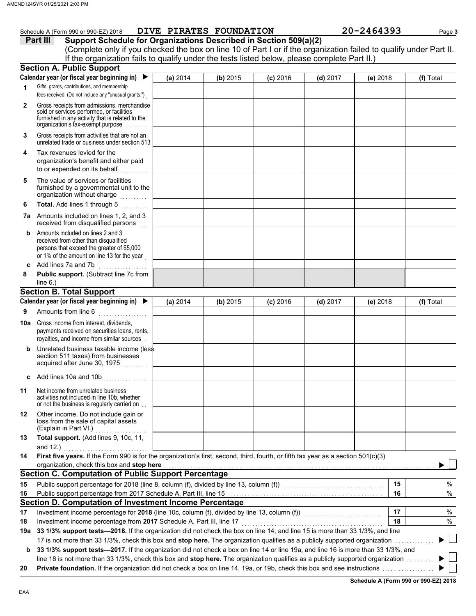|     | Schedule A (Form 990 or 990-EZ) 2018                                                                                                                                                                               | DIVE PIRATES FOUNDATION |          |            |            | 20-2464393 | Page 3    |
|-----|--------------------------------------------------------------------------------------------------------------------------------------------------------------------------------------------------------------------|-------------------------|----------|------------|------------|------------|-----------|
|     | Support Schedule for Organizations Described in Section 509(a)(2)<br>Part III                                                                                                                                      |                         |          |            |            |            |           |
|     | (Complete only if you checked the box on line 10 of Part I or if the organization failed to qualify under Part II.<br>If the organization fails to qualify under the tests listed below, please complete Part II.) |                         |          |            |            |            |           |
|     | <b>Section A. Public Support</b>                                                                                                                                                                                   |                         |          |            |            |            |           |
|     | Calendar year (or fiscal year beginning in)                                                                                                                                                                        | (a) 2014                | (b) 2015 | $(c)$ 2016 | $(d)$ 2017 | $(e)$ 2018 | (f) Total |
| 1   | Gifts, grants, contributions, and membership                                                                                                                                                                       |                         |          |            |            |            |           |
|     | fees received. (Do not include any "unusual grants.")                                                                                                                                                              |                         |          |            |            |            |           |
| 2   | Gross receipts from admissions, merchandise<br>sold or services performed, or facilities<br>furnished in any activity that is related to the<br>organization's tax-exempt purpose                                  |                         |          |            |            |            |           |
| 3   | Gross receipts from activities that are not an<br>unrelated trade or business under section 513                                                                                                                    |                         |          |            |            |            |           |
| 4   | Tax revenues levied for the<br>organization's benefit and either paid<br>to or expended on its behalf                                                                                                              |                         |          |            |            |            |           |
| 5   | The value of services or facilities<br>furnished by a governmental unit to the<br>organization without charge<br>.                                                                                                 |                         |          |            |            |            |           |
| 6   | Total. Add lines 1 through 5<br>.                                                                                                                                                                                  |                         |          |            |            |            |           |
|     | 7a Amounts included on lines 1, 2, and 3<br>received from disqualified persons                                                                                                                                     |                         |          |            |            |            |           |
| b   | Amounts included on lines 2 and 3<br>received from other than disqualified<br>persons that exceed the greater of \$5,000<br>or 1% of the amount on line 13 for the year                                            |                         |          |            |            |            |           |
| c   | Add lines 7a and 7b                                                                                                                                                                                                |                         |          |            |            |            |           |
| 8   | Public support. (Subtract line 7c from<br>line $6.$ )                                                                                                                                                              |                         |          |            |            |            |           |
|     | <b>Section B. Total Support</b>                                                                                                                                                                                    |                         |          |            |            |            |           |
|     | Calendar year (or fiscal year beginning in) $\blacktriangleright$                                                                                                                                                  | (a) 2014                | (b) 2015 | $(c)$ 2016 | $(d)$ 2017 | $(e)$ 2018 | (f) Total |
| 9   | Amounts from line 6<br><u> 1999 - Alexandr Steinberg, ameri</u> kan                                                                                                                                                |                         |          |            |            |            |           |
| 10a | Gross income from interest, dividends,<br>payments received on securities loans, rents,<br>royalties, and income from similar sources                                                                              |                         |          |            |            |            |           |
|     | Unrelated business taxable income (less<br>section 511 taxes) from businesses<br>acquired after June 30, 1975                                                                                                      |                         |          |            |            |            |           |
| c   | Add lines 10a and 10b                                                                                                                                                                                              |                         |          |            |            |            |           |
| 11  | Net income from unrelated business<br>activities not included in line 10b, whether<br>or not the business is regularly carried on                                                                                  |                         |          |            |            |            |           |
| 12  | Other income. Do not include gain or<br>loss from the sale of capital assets<br>(Explain in Part VI.)<br>.                                                                                                         |                         |          |            |            |            |           |
| 13  | Total support. (Add lines 9, 10c, 11,<br>and 12.)                                                                                                                                                                  |                         |          |            |            |            |           |
| 14  | First five years. If the Form 990 is for the organization's first, second, third, fourth, or fifth tax year as a section 501(c)(3)                                                                                 |                         |          |            |            |            |           |
|     | organization, check this box and stop here                                                                                                                                                                         |                         |          |            |            |            |           |
|     | <b>Section C. Computation of Public Support Percentage</b>                                                                                                                                                         |                         |          |            |            |            |           |
| 15  |                                                                                                                                                                                                                    |                         |          |            |            | 15         | $\%$      |
| 16  |                                                                                                                                                                                                                    |                         |          |            |            | 16         | $\%$      |
|     | Section D. Computation of Investment Income Percentage                                                                                                                                                             |                         |          |            |            |            |           |
| 17  | Investment income percentage for 2018 (line 10c, column (f), divided by line 13, column (f))<br>Investment income percentage for 2018 (line 10c, column (f), divided by line 13, column (f))                       |                         |          |            |            | 17         | %         |
| 18  | Investment income percentage from 2017 Schedule A, Part III, line 17                                                                                                                                               |                         |          |            |            | 18         | $\%$      |
| 19a | 33 1/3% support tests-2018. If the organization did not check the box on line 14, and line 15 is more than 33 1/3%, and line                                                                                       |                         |          |            |            |            |           |
|     | 17 is not more than 33 1/3%, check this box and stop here. The organization qualifies as a publicly supported organization                                                                                         |                         |          |            |            |            |           |

17 is not more than 33 1/3%, check this box and **stop here.** The organization qualifies as a publicly supported organization . . . . . . . . . . . . . . . **b** 33 1/3% support tests—2017. If the organization did not check a box on line 14 or line 19a, and line 16 is more than 33 1/3%, and

line 18 is not more than 33 1/3%, check this box and **stop here.** The organization qualifies as a publicly supported organization . . . . . . . . . .

**20 Private foundation.** If the organization did not check a box on line 14, 19a, or 19b, check this box and see instructions . . . . . . . . . . . . . . . . . . .

**Schedule A (Form 990 or 990-EZ) 2018**

 $\blacktriangleright$  $\blacktriangleright$  $\mathbb{R}$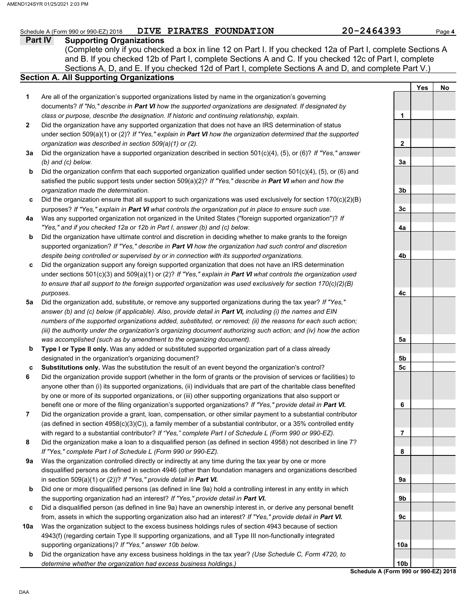#### **Part IV Supporting Organizations** Sections A, D, and E. If you checked 12d of Part I, complete Sections A and D, and complete Part V.) Schedule A (Form 990 or 990-EZ) 2018 **DIVE PIRATES FOUNDATION 20-2464393** Page 4 **Section A. All Supporting Organizations** (Complete only if you checked a box in line 12 on Part I. If you checked 12a of Part I, complete Sections A and B. If you checked 12b of Part I, complete Sections A and C. If you checked 12c of Part I, complete Are all of the organization's supported organizations listed by name in the organization's governing documents? *If "No," describe in Part VI how the supported organizations are designated. If designated by class or purpose, describe the designation. If historic and continuing relationship, explain.* Did the organization have any supported organization that does not have an IRS determination of status under section 509(a)(1) or (2)? *If "Yes," explain in Part VI how the organization determined that the supported organization was described in section 509(a)(1) or (2).* **1 2 3a** Did the organization have a supported organization described in section 501(c)(4), (5), or (6)? *If "Yes," answer* **b c** Did the organization ensure that all support to such organizations was used exclusively for section 170(c)(2)(B) **4a** Was any supported organization not organized in the United States ("foreign supported organization")? *If* **b c** Did the organization support any foreign supported organization that does not have an IRS determination **5a** Did the organization add, substitute, or remove any supported organizations during the tax year? *If "Yes,"* **b c 6 7 8 9a b c 10a** *(b) and (c) below.* Did the organization confirm that each supported organization qualified under section 501(c)(4), (5), or (6) and satisfied the public support tests under section 509(a)(2)? *If "Yes," describe in Part VI when and how the organization made the determination.* purposes? *If "Yes," explain in Part VI what controls the organization put in place to ensure such use. "Yes," and if you checked 12a or 12b in Part I, answer (b) and (c) below.* Did the organization have ultimate control and discretion in deciding whether to make grants to the foreign supported organization? *If "Yes," describe in Part VI how the organization had such control and discretion despite being controlled or supervised by or in connection with its supported organizations.* under sections 501(c)(3) and 509(a)(1) or (2)? *If "Yes," explain in Part VI what controls the organization used to ensure that all support to the foreign supported organization was used exclusively for section 170(c)(2)(B) purposes. answer (b) and (c) below (if applicable). Also, provide detail in Part VI, including (i) the names and EIN numbers of the supported organizations added, substituted, or removed; (ii) the reasons for each such action; (iii) the authority under the organization's organizing document authorizing such action; and (iv) how the action was accomplished (such as by amendment to the organizing document).* **Type I or Type II only.** Was any added or substituted supported organization part of a class already designated in the organization's organizing document? **Substitutions only.** Was the substitution the result of an event beyond the organization's control? Did the organization provide support (whether in the form of grants or the provision of services or facilities) to anyone other than (i) its supported organizations, (ii) individuals that are part of the charitable class benefited by one or more of its supported organizations, or (iii) other supporting organizations that also support or benefit one or more of the filing organization's supported organizations? *If "Yes," provide detail in Part VI.* Did the organization provide a grant, loan, compensation, or other similar payment to a substantial contributor (as defined in section 4958(c)(3)(C)), a family member of a substantial contributor, or a 35% controlled entity with regard to a substantial contributor? *If "Yes," complete Part I of Schedule L (Form 990 or 990-EZ).* Did the organization make a loan to a disqualified person (as defined in section 4958) not described in line 7? *If "Yes," complete Part I of Schedule L (Form 990 or 990-EZ).* Was the organization controlled directly or indirectly at any time during the tax year by one or more disqualified persons as defined in section 4946 (other than foundation managers and organizations described in section 509(a)(1) or (2))? *If "Yes," provide detail in Part VI.* Did one or more disqualified persons (as defined in line 9a) hold a controlling interest in any entity in which the supporting organization had an interest? *If "Yes," provide detail in Part VI.* Did a disqualified person (as defined in line 9a) have an ownership interest in, or derive any personal benefit from, assets in which the supporting organization also had an interest? *If "Yes," provide detail in Part VI.* Was the organization subject to the excess business holdings rules of section 4943 because of section 4943(f) (regarding certain Type II supporting organizations, and all Type III non-functionally integrated **Yes No 1 2 3a 3b 3c 4a 4b 4c 5a 5b 5c 6 7 8 9a 9b 9c** AMEND124SYR 01/25/2021 2:03 PM

**Schedule A (Form 990 or 990-EZ) 2018 10b**

**10a**

**b**

supporting organizations)? *If "Yes," answer 10b below.*

*determine whether the organization had excess business holdings.)*

Did the organization have any excess business holdings in the tax year? *(Use Schedule C, Form 4720, to*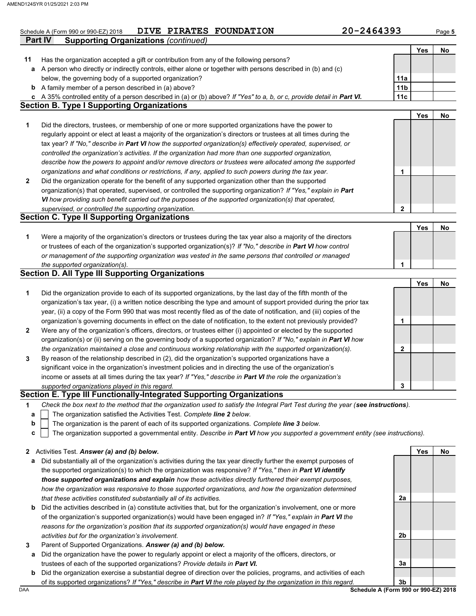|              | 20-2464393<br>DIVE PIRATES FOUNDATION<br>Schedule A (Form 990 or 990-EZ) 2018                                                     |                        |            | Page 5 |
|--------------|-----------------------------------------------------------------------------------------------------------------------------------|------------------------|------------|--------|
|              | <b>Part IV</b><br><b>Supporting Organizations (continued)</b>                                                                     |                        |            |        |
|              |                                                                                                                                   |                        | Yes        | No     |
| 11           | Has the organization accepted a gift or contribution from any of the following persons?                                           |                        |            |        |
| а            | A person who directly or indirectly controls, either alone or together with persons described in (b) and (c)                      |                        |            |        |
|              | below, the governing body of a supported organization?<br><b>b</b> A family member of a person described in (a) above?            | 11a<br>11 <sub>b</sub> |            |        |
|              | c A 35% controlled entity of a person described in (a) or (b) above? If "Yes" to a, b, or c, provide detail in Part VI.           | 11c                    |            |        |
|              | <b>Section B. Type I Supporting Organizations</b>                                                                                 |                        |            |        |
|              |                                                                                                                                   |                        | <b>Yes</b> | No     |
| 1            | Did the directors, trustees, or membership of one or more supported organizations have the power to                               |                        |            |        |
|              | regularly appoint or elect at least a majority of the organization's directors or trustees at all times during the                |                        |            |        |
|              | tax year? If "No," describe in Part VI how the supported organization(s) effectively operated, supervised, or                     |                        |            |        |
|              | controlled the organization's activities. If the organization had more than one supported organization,                           |                        |            |        |
|              | describe how the powers to appoint and/or remove directors or trustees were allocated among the supported                         |                        |            |        |
|              | organizations and what conditions or restrictions, if any, applied to such powers during the tax year.                            | 1                      |            |        |
| $\mathbf{2}$ | Did the organization operate for the benefit of any supported organization other than the supported                               |                        |            |        |
|              | organization(s) that operated, supervised, or controlled the supporting organization? If "Yes," explain in Part                   |                        |            |        |
|              | VI how providing such benefit carried out the purposes of the supported organization(s) that operated,                            |                        |            |        |
|              | supervised, or controlled the supporting organization.                                                                            | 2                      |            |        |
|              | <b>Section C. Type II Supporting Organizations</b>                                                                                |                        |            |        |
|              |                                                                                                                                   |                        | Yes        | No     |
| 1            | Were a majority of the organization's directors or trustees during the tax year also a majority of the directors                  |                        |            |        |
|              | or trustees of each of the organization's supported organization(s)? If "No," describe in Part VI how control                     |                        |            |        |
|              | or management of the supporting organization was vested in the same persons that controlled or managed                            |                        |            |        |
|              | the supported organization(s).                                                                                                    | 1                      |            |        |
|              | <b>Section D. All Type III Supporting Organizations</b>                                                                           |                        |            |        |
|              |                                                                                                                                   |                        | Yes        | No     |
| 1            | Did the organization provide to each of its supported organizations, by the last day of the fifth month of the                    |                        |            |        |
|              | organization's tax year, (i) a written notice describing the type and amount of support provided during the prior tax             |                        |            |        |
|              | year, (ii) a copy of the Form 990 that was most recently filed as of the date of notification, and (iii) copies of the            |                        |            |        |
|              | organization's governing documents in effect on the date of notification, to the extent not previously provided?                  | 1                      |            |        |
| 2            | Were any of the organization's officers, directors, or trustees either (i) appointed or elected by the supported                  |                        |            |        |
|              | organization(s) or (ii) serving on the governing body of a supported organization? If "No," explain in Part VI how                |                        |            |        |
|              | the organization maintained a close and continuous working relationship with the supported organization(s).                       | 2                      |            |        |
| 3            | By reason of the relationship described in (2), did the organization's supported organizations have a                             |                        |            |        |
|              | significant voice in the organization's investment policies and in directing the use of the organization's                        |                        |            |        |
|              | income or assets at all times during the tax year? If "Yes," describe in Part VI the role the organization's                      |                        |            |        |
|              | supported organizations played in this regard.                                                                                    | 3                      |            |        |
|              | Section E. Type III Functionally-Integrated Supporting Organizations                                                              |                        |            |        |
| 1            | Check the box next to the method that the organization used to satisfy the Integral Part Test during the year (see instructions). |                        |            |        |
| а            | The organization satisfied the Activities Test. Complete line 2 below.                                                            |                        |            |        |
| b            | The organization is the parent of each of its supported organizations. Complete line 3 below.                                     |                        |            |        |
| c            | The organization supported a governmental entity. Describe in Part VI how you supported a government entity (see instructions).   |                        |            |        |
| $\mathbf{2}$ | Activities Test. Answer (a) and (b) below.                                                                                        |                        | Yes        | No     |
| а            | Did substantially all of the organization's activities during the tax year directly further the exempt purposes of                |                        |            |        |
|              | the supported organization(s) to which the organization was responsive? If "Yes," then in Part VI identify                        |                        |            |        |
|              | those supported organizations and explain how these activities directly furthered their exempt purposes,                          |                        |            |        |
|              | how the organization was responsive to those supported organizations, and how the organization determined                         |                        |            |        |
|              | that these activities constituted substantially all of its activities.                                                            | 2a                     |            |        |
| $\mathbf b$  | Did the activities described in (a) constitute activities that, but for the organization's involvement, one or more               |                        |            |        |

- of the organization's supported organization(s) would have been engaged in? *If "Yes," explain in Part VI the reasons for the organization's position that its supported organization(s) would have engaged in these activities but for the organization's involvement.*
- **3** Parent of Supported Organizations. *Answer (a) and (b) below.*
- **a** Did the organization have the power to regularly appoint or elect a majority of the officers, directors, or trustees of each of the supported organizations? *Provide details in Part VI.*
- **b** Did the organization exercise a substantial degree of direction over the policies, programs, and activities of each of its supported organizations? *If "Yes," describe in Part VI the role played by the organization in this regard.*

DAA **Schedule A (Form 990 or 990-EZ) 2018 3b**

**3a**

**2b**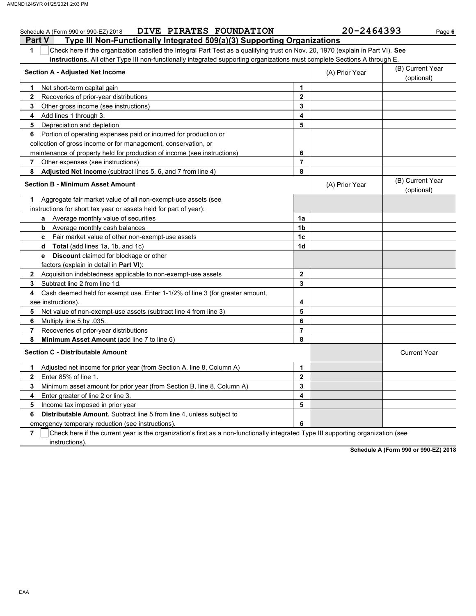|               | <b>DIVE PIRATES FOUNDATION</b><br>Schedule A (Form 990 or 990-EZ) 2018                                                           |                | 20-2464393     | Page 6                         |  |  |  |  |  |
|---------------|----------------------------------------------------------------------------------------------------------------------------------|----------------|----------------|--------------------------------|--|--|--|--|--|
| <b>Part V</b> | Type III Non-Functionally Integrated 509(a)(3) Supporting Organizations                                                          |                |                |                                |  |  |  |  |  |
| 1             | Check here if the organization satisfied the Integral Part Test as a qualifying trust on Nov. 20, 1970 (explain in Part VI). See |                |                |                                |  |  |  |  |  |
|               | <b>instructions.</b> All other Type III non-functionally integrated supporting organizations must complete Sections A through E. |                |                |                                |  |  |  |  |  |
|               | <b>Section A - Adjusted Net Income</b>                                                                                           |                | (A) Prior Year | (B) Current Year               |  |  |  |  |  |
|               |                                                                                                                                  |                |                | (optional)                     |  |  |  |  |  |
| 1.            | Net short-term capital gain                                                                                                      | 1              |                |                                |  |  |  |  |  |
| $\mathbf{2}$  | Recoveries of prior-year distributions                                                                                           | $\mathbf{2}$   |                |                                |  |  |  |  |  |
| 3             | Other gross income (see instructions)                                                                                            | 3              |                |                                |  |  |  |  |  |
| 4             | Add lines 1 through 3.                                                                                                           | 4              |                |                                |  |  |  |  |  |
| 5             | Depreciation and depletion                                                                                                       | 5              |                |                                |  |  |  |  |  |
| 6             | Portion of operating expenses paid or incurred for production or                                                                 |                |                |                                |  |  |  |  |  |
|               | collection of gross income or for management, conservation, or                                                                   |                |                |                                |  |  |  |  |  |
|               | maintenance of property held for production of income (see instructions)                                                         | 6              |                |                                |  |  |  |  |  |
| 7             | Other expenses (see instructions)                                                                                                | $\overline{7}$ |                |                                |  |  |  |  |  |
| 8             | Adjusted Net Income (subtract lines 5, 6, and 7 from line 4)                                                                     | 8              |                |                                |  |  |  |  |  |
|               | <b>Section B - Minimum Asset Amount</b>                                                                                          |                | (A) Prior Year | (B) Current Year<br>(optional) |  |  |  |  |  |
| 1             | Aggregate fair market value of all non-exempt-use assets (see                                                                    |                |                |                                |  |  |  |  |  |
|               | instructions for short tax year or assets held for part of year):                                                                |                |                |                                |  |  |  |  |  |
|               | a Average monthly value of securities                                                                                            | 1a             |                |                                |  |  |  |  |  |
|               | Average monthly cash balances<br>b                                                                                               | 1b             |                |                                |  |  |  |  |  |
|               | <b>c</b> Fair market value of other non-exempt-use assets                                                                        | 1c             |                |                                |  |  |  |  |  |
|               | <b>Total</b> (add lines 1a, 1b, and 1c)<br>d                                                                                     | 1d             |                |                                |  |  |  |  |  |
|               | <b>Discount</b> claimed for blockage or other<br>e                                                                               |                |                |                                |  |  |  |  |  |
|               | factors (explain in detail in <b>Part VI)</b> :                                                                                  |                |                |                                |  |  |  |  |  |
|               | 2 Acquisition indebtedness applicable to non-exempt-use assets                                                                   | $\mathbf{2}$   |                |                                |  |  |  |  |  |
| 3             | Subtract line 2 from line 1d.                                                                                                    | 3              |                |                                |  |  |  |  |  |
| 4             | Cash deemed held for exempt use. Enter 1-1/2% of line 3 (for greater amount,                                                     |                |                |                                |  |  |  |  |  |
|               | see instructions).                                                                                                               | 4              |                |                                |  |  |  |  |  |
| 5             | Net value of non-exempt-use assets (subtract line 4 from line 3)                                                                 | 5              |                |                                |  |  |  |  |  |
| 6             | Multiply line 5 by 035.                                                                                                          | 6              |                |                                |  |  |  |  |  |
| 7             | Recoveries of prior-year distributions                                                                                           | $\overline{7}$ |                |                                |  |  |  |  |  |
| 8             | Minimum Asset Amount (add line 7 to line 6)                                                                                      | 8              |                |                                |  |  |  |  |  |
|               | <b>Section C - Distributable Amount</b>                                                                                          |                |                | <b>Current Year</b>            |  |  |  |  |  |
| 1.            | Adjusted net income for prior year (from Section A, line 8, Column A)                                                            | $\mathbf{1}$   |                |                                |  |  |  |  |  |
| $\mathbf{2}$  | Enter 85% of line 1.                                                                                                             | $\mathbf{2}$   |                |                                |  |  |  |  |  |
| 3             | Minimum asset amount for prior year (from Section B, line 8, Column A)                                                           | 3              |                |                                |  |  |  |  |  |
| 4             | Enter greater of line 2 or line 3.                                                                                               | 4              |                |                                |  |  |  |  |  |
| 5             | Income tax imposed in prior year                                                                                                 | 5              |                |                                |  |  |  |  |  |
| 6             | Distributable Amount. Subtract line 5 from line 4, unless subject to                                                             |                |                |                                |  |  |  |  |  |
|               | emergency temporary reduction (see instructions)                                                                                 | 6              |                |                                |  |  |  |  |  |

**7** Check here if the current year is the organization's first as a non-functionally integrated Type III supporting organization (see instructions).

**Schedule A (Form 990 or 990-EZ) 2018**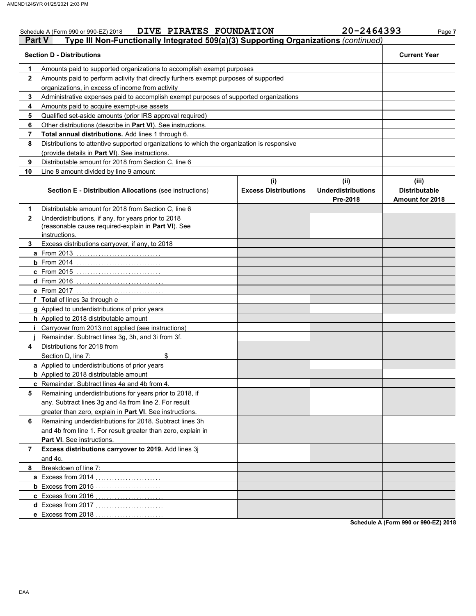|              | DIVE PIRATES FOUNDATION<br>Schedule A (Form 990 or 990-EZ) 2018                                                             |                                    | 20-2464393                                    | Page 7                                                  |  |  |  |  |  |  |
|--------------|-----------------------------------------------------------------------------------------------------------------------------|------------------------------------|-----------------------------------------------|---------------------------------------------------------|--|--|--|--|--|--|
| Part V       | Type III Non-Functionally Integrated 509(a)(3) Supporting Organizations (continued)                                         |                                    |                                               |                                                         |  |  |  |  |  |  |
|              | <b>Section D - Distributions</b>                                                                                            |                                    |                                               | <b>Current Year</b>                                     |  |  |  |  |  |  |
| 1            | Amounts paid to supported organizations to accomplish exempt purposes                                                       |                                    |                                               |                                                         |  |  |  |  |  |  |
| $\mathbf{2}$ | Amounts paid to perform activity that directly furthers exempt purposes of supported                                        |                                    |                                               |                                                         |  |  |  |  |  |  |
|              | organizations, in excess of income from activity                                                                            |                                    |                                               |                                                         |  |  |  |  |  |  |
| 3            | Administrative expenses paid to accomplish exempt purposes of supported organizations                                       |                                    |                                               |                                                         |  |  |  |  |  |  |
| 4            | Amounts paid to acquire exempt-use assets                                                                                   |                                    |                                               |                                                         |  |  |  |  |  |  |
| 5            | Qualified set-aside amounts (prior IRS approval required)                                                                   |                                    |                                               |                                                         |  |  |  |  |  |  |
| 6            | Other distributions (describe in Part VI). See instructions.                                                                |                                    |                                               |                                                         |  |  |  |  |  |  |
| 7            | Total annual distributions. Add lines 1 through 6.                                                                          |                                    |                                               |                                                         |  |  |  |  |  |  |
| 8            | Distributions to attentive supported organizations to which the organization is responsive                                  |                                    |                                               |                                                         |  |  |  |  |  |  |
|              | (provide details in Part VI). See instructions.                                                                             |                                    |                                               |                                                         |  |  |  |  |  |  |
| 9            | Distributable amount for 2018 from Section C, line 6                                                                        |                                    |                                               |                                                         |  |  |  |  |  |  |
| 10           | Line 8 amount divided by line 9 amount                                                                                      |                                    |                                               |                                                         |  |  |  |  |  |  |
|              | <b>Section E - Distribution Allocations (see instructions)</b>                                                              | (i)<br><b>Excess Distributions</b> | (ii)<br><b>Underdistributions</b><br>Pre-2018 | (iii)<br><b>Distributable</b><br><b>Amount for 2018</b> |  |  |  |  |  |  |
| 1            | Distributable amount for 2018 from Section C, line 6                                                                        |                                    |                                               |                                                         |  |  |  |  |  |  |
| $\mathbf{2}$ | Underdistributions, if any, for years prior to 2018<br>(reasonable cause required-explain in Part VI). See<br>instructions. |                                    |                                               |                                                         |  |  |  |  |  |  |
| 3.           | Excess distributions carryover, if any, to 2018                                                                             |                                    |                                               |                                                         |  |  |  |  |  |  |
|              | a From 2013                                                                                                                 |                                    |                                               |                                                         |  |  |  |  |  |  |
|              | $b$ From 2014                                                                                                               |                                    |                                               |                                                         |  |  |  |  |  |  |
|              | c From 2015                                                                                                                 |                                    |                                               |                                                         |  |  |  |  |  |  |
|              | <b>d</b> From 2016                                                                                                          |                                    |                                               |                                                         |  |  |  |  |  |  |
|              | e From 2017                                                                                                                 |                                    |                                               |                                                         |  |  |  |  |  |  |
|              | f Total of lines 3a through e                                                                                               |                                    |                                               |                                                         |  |  |  |  |  |  |
|              | g Applied to underdistributions of prior years                                                                              |                                    |                                               |                                                         |  |  |  |  |  |  |
|              | h Applied to 2018 distributable amount                                                                                      |                                    |                                               |                                                         |  |  |  |  |  |  |
| Ī.           | Carryover from 2013 not applied (see instructions)                                                                          |                                    |                                               |                                                         |  |  |  |  |  |  |
|              | Remainder. Subtract lines 3g, 3h, and 3i from 3f.                                                                           |                                    |                                               |                                                         |  |  |  |  |  |  |
| 4            | Distributions for 2018 from                                                                                                 |                                    |                                               |                                                         |  |  |  |  |  |  |
|              | Section D, line 7:<br>\$                                                                                                    |                                    |                                               |                                                         |  |  |  |  |  |  |
|              | a Applied to underdistributions of prior years                                                                              |                                    |                                               |                                                         |  |  |  |  |  |  |
|              | <b>b</b> Applied to 2018 distributable amount                                                                               |                                    |                                               |                                                         |  |  |  |  |  |  |
|              | c Remainder. Subtract lines 4a and 4b from 4.                                                                               |                                    |                                               |                                                         |  |  |  |  |  |  |
| 5            | Remaining underdistributions for years prior to 2018, if                                                                    |                                    |                                               |                                                         |  |  |  |  |  |  |
|              | any. Subtract lines 3g and 4a from line 2. For result                                                                       |                                    |                                               |                                                         |  |  |  |  |  |  |
|              | greater than zero, explain in Part VI. See instructions.                                                                    |                                    |                                               |                                                         |  |  |  |  |  |  |
| 6            | Remaining underdistributions for 2018. Subtract lines 3h                                                                    |                                    |                                               |                                                         |  |  |  |  |  |  |
|              | and 4b from line 1. For result greater than zero, explain in                                                                |                                    |                                               |                                                         |  |  |  |  |  |  |
|              | Part VI. See instructions.                                                                                                  |                                    |                                               |                                                         |  |  |  |  |  |  |
| 7            | Excess distributions carryover to 2019. Add lines 3j                                                                        |                                    |                                               |                                                         |  |  |  |  |  |  |
|              | and 4c.                                                                                                                     |                                    |                                               |                                                         |  |  |  |  |  |  |
| 8            | Breakdown of line 7:                                                                                                        |                                    |                                               |                                                         |  |  |  |  |  |  |
|              | a Excess from 2014<br>.                                                                                                     |                                    |                                               |                                                         |  |  |  |  |  |  |
|              | <b>b</b> Excess from 2015                                                                                                   |                                    |                                               |                                                         |  |  |  |  |  |  |
|              | c Excess from 2016                                                                                                          |                                    |                                               |                                                         |  |  |  |  |  |  |
|              | d Excess from 2017                                                                                                          |                                    |                                               |                                                         |  |  |  |  |  |  |
|              | e Excess from 2018                                                                                                          |                                    |                                               |                                                         |  |  |  |  |  |  |

**Schedule A (Form 990 or 990-EZ) 2018**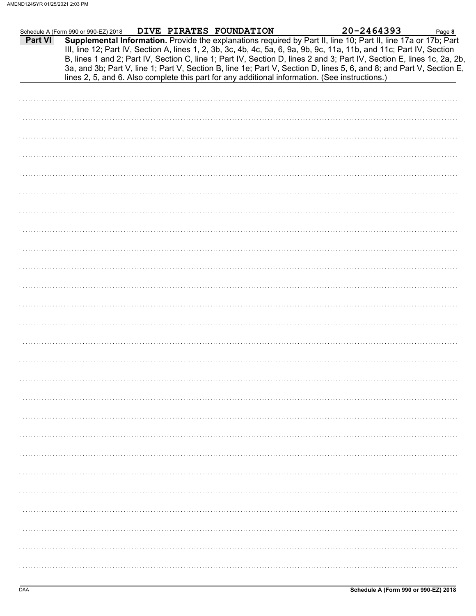|         | Schedule A (Form 990 or 990-EZ) 2018 DIVE PIRATES FOUNDATION |  |                                                                                                | 20-2464393                                                                                                                                                                                                                                                                                                                                                                                                                                                                                | Page 8 |
|---------|--------------------------------------------------------------|--|------------------------------------------------------------------------------------------------|-------------------------------------------------------------------------------------------------------------------------------------------------------------------------------------------------------------------------------------------------------------------------------------------------------------------------------------------------------------------------------------------------------------------------------------------------------------------------------------------|--------|
| Part VI |                                                              |  | lines 2, 5, and 6. Also complete this part for any additional information. (See instructions.) | Supplemental Information. Provide the explanations required by Part II, line 10; Part II, line 17a or 17b; Part<br>III, line 12; Part IV, Section A, lines 1, 2, 3b, 3c, 4b, 4c, 5a, 6, 9a, 9b, 9c, 11a, 11b, and 11c; Part IV, Section<br>B, lines 1 and 2; Part IV, Section C, line 1; Part IV, Section D, lines 2 and 3; Part IV, Section E, lines 1c, 2a, 2b,<br>3a, and 3b; Part V, line 1; Part V, Section B, line 1e; Part V, Section D, lines 5, 6, and 8; and Part V, Section E, |        |
|         |                                                              |  |                                                                                                |                                                                                                                                                                                                                                                                                                                                                                                                                                                                                           |        |
|         |                                                              |  |                                                                                                |                                                                                                                                                                                                                                                                                                                                                                                                                                                                                           |        |
|         |                                                              |  |                                                                                                |                                                                                                                                                                                                                                                                                                                                                                                                                                                                                           |        |
|         |                                                              |  |                                                                                                |                                                                                                                                                                                                                                                                                                                                                                                                                                                                                           |        |
|         |                                                              |  |                                                                                                |                                                                                                                                                                                                                                                                                                                                                                                                                                                                                           |        |
|         |                                                              |  |                                                                                                |                                                                                                                                                                                                                                                                                                                                                                                                                                                                                           |        |
|         |                                                              |  |                                                                                                |                                                                                                                                                                                                                                                                                                                                                                                                                                                                                           |        |
|         |                                                              |  |                                                                                                |                                                                                                                                                                                                                                                                                                                                                                                                                                                                                           |        |
|         |                                                              |  |                                                                                                |                                                                                                                                                                                                                                                                                                                                                                                                                                                                                           |        |
|         |                                                              |  |                                                                                                |                                                                                                                                                                                                                                                                                                                                                                                                                                                                                           |        |
|         |                                                              |  |                                                                                                |                                                                                                                                                                                                                                                                                                                                                                                                                                                                                           |        |
|         |                                                              |  |                                                                                                |                                                                                                                                                                                                                                                                                                                                                                                                                                                                                           |        |
|         |                                                              |  |                                                                                                |                                                                                                                                                                                                                                                                                                                                                                                                                                                                                           |        |
|         |                                                              |  |                                                                                                |                                                                                                                                                                                                                                                                                                                                                                                                                                                                                           |        |
|         |                                                              |  |                                                                                                |                                                                                                                                                                                                                                                                                                                                                                                                                                                                                           |        |
|         |                                                              |  |                                                                                                |                                                                                                                                                                                                                                                                                                                                                                                                                                                                                           |        |
|         |                                                              |  |                                                                                                |                                                                                                                                                                                                                                                                                                                                                                                                                                                                                           |        |
|         |                                                              |  |                                                                                                |                                                                                                                                                                                                                                                                                                                                                                                                                                                                                           |        |
|         |                                                              |  |                                                                                                |                                                                                                                                                                                                                                                                                                                                                                                                                                                                                           |        |
|         |                                                              |  |                                                                                                |                                                                                                                                                                                                                                                                                                                                                                                                                                                                                           |        |
|         |                                                              |  |                                                                                                |                                                                                                                                                                                                                                                                                                                                                                                                                                                                                           |        |
|         |                                                              |  |                                                                                                |                                                                                                                                                                                                                                                                                                                                                                                                                                                                                           |        |
|         |                                                              |  |                                                                                                |                                                                                                                                                                                                                                                                                                                                                                                                                                                                                           |        |
|         |                                                              |  |                                                                                                |                                                                                                                                                                                                                                                                                                                                                                                                                                                                                           |        |
|         |                                                              |  |                                                                                                |                                                                                                                                                                                                                                                                                                                                                                                                                                                                                           |        |
|         |                                                              |  |                                                                                                |                                                                                                                                                                                                                                                                                                                                                                                                                                                                                           |        |
|         |                                                              |  |                                                                                                |                                                                                                                                                                                                                                                                                                                                                                                                                                                                                           |        |
|         |                                                              |  |                                                                                                |                                                                                                                                                                                                                                                                                                                                                                                                                                                                                           |        |
|         |                                                              |  |                                                                                                |                                                                                                                                                                                                                                                                                                                                                                                                                                                                                           |        |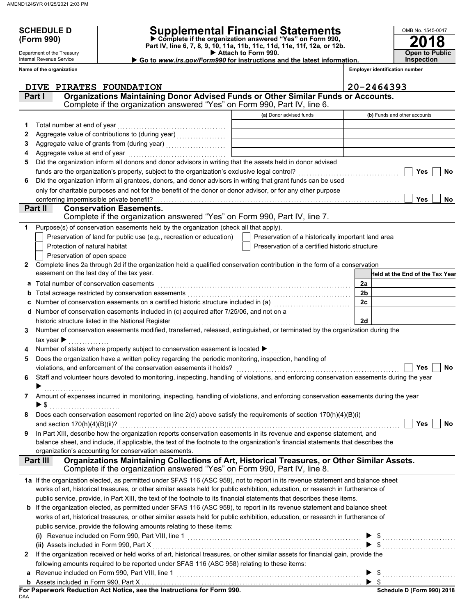Department of the Treasury Internal Revenue Service **Name of the organization**

## **SCHEDULE D Supplemental Financial Statements**

 **Attach to Form 990. (Form 990) Part IV, line 6, 7, 8, 9, 10, 11a, 11b, 11c, 11d, 11e, 11f, 12a, or 12b. Complete if the organization answered "Yes" on Form 990,**

 **Go to** *www.irs.gov/Form990* **for instructions and the latest information.**

**Open to Public Inspection**

**2018**

OMB No. 1545-0047

**Employer identification number**

|              | PIRATES FOUNDATION<br><b>DIVE</b>                                                                                                         |                                                    | 20-2464393                                                                                                                                                                                                                                                                                                |
|--------------|-------------------------------------------------------------------------------------------------------------------------------------------|----------------------------------------------------|-----------------------------------------------------------------------------------------------------------------------------------------------------------------------------------------------------------------------------------------------------------------------------------------------------------|
|              | Organizations Maintaining Donor Advised Funds or Other Similar Funds or Accounts.<br>Part I                                               |                                                    |                                                                                                                                                                                                                                                                                                           |
|              | Complete if the organization answered "Yes" on Form 990, Part IV, line 6.                                                                 |                                                    |                                                                                                                                                                                                                                                                                                           |
|              |                                                                                                                                           | (a) Donor advised funds                            | (b) Funds and other accounts                                                                                                                                                                                                                                                                              |
| 1            | Total number at end of year                                                                                                               |                                                    |                                                                                                                                                                                                                                                                                                           |
| 2            |                                                                                                                                           |                                                    |                                                                                                                                                                                                                                                                                                           |
| З            |                                                                                                                                           |                                                    |                                                                                                                                                                                                                                                                                                           |
| 4            | Aggregate value at end of year                                                                                                            |                                                    |                                                                                                                                                                                                                                                                                                           |
| 5            | Did the organization inform all donors and donor advisors in writing that the assets held in donor advised                                |                                                    |                                                                                                                                                                                                                                                                                                           |
|              | funds are the organization's property, subject to the organization's exclusive legal control?                                             |                                                    | Yes<br><b>No</b>                                                                                                                                                                                                                                                                                          |
| 6            | Did the organization inform all grantees, donors, and donor advisors in writing that grant funds can be used                              |                                                    |                                                                                                                                                                                                                                                                                                           |
|              | only for charitable purposes and not for the benefit of the donor or donor advisor, or for any other purpose                              |                                                    |                                                                                                                                                                                                                                                                                                           |
|              | conferring impermissible private benefit?                                                                                                 |                                                    | <b>Yes</b><br>No                                                                                                                                                                                                                                                                                          |
|              | Part II<br><b>Conservation Easements.</b>                                                                                                 |                                                    |                                                                                                                                                                                                                                                                                                           |
|              | Complete if the organization answered "Yes" on Form 990, Part IV, line 7.                                                                 |                                                    |                                                                                                                                                                                                                                                                                                           |
| 1            | Purpose(s) of conservation easements held by the organization (check all that apply).                                                     |                                                    |                                                                                                                                                                                                                                                                                                           |
|              | Preservation of land for public use (e.g., recreation or education)                                                                       | Preservation of a historically important land area |                                                                                                                                                                                                                                                                                                           |
|              | Protection of natural habitat                                                                                                             | Preservation of a certified historic structure     |                                                                                                                                                                                                                                                                                                           |
|              | Preservation of open space                                                                                                                |                                                    |                                                                                                                                                                                                                                                                                                           |
| 2            | Complete lines 2a through 2d if the organization held a qualified conservation contribution in the form of a conservation                 |                                                    |                                                                                                                                                                                                                                                                                                           |
|              | easement on the last day of the tax year.                                                                                                 |                                                    | Held at the End of the Tax Year                                                                                                                                                                                                                                                                           |
| а            | Total number of conservation easements                                                                                                    |                                                    | 2a                                                                                                                                                                                                                                                                                                        |
|              |                                                                                                                                           |                                                    | 2 <sub>b</sub>                                                                                                                                                                                                                                                                                            |
|              |                                                                                                                                           |                                                    | 2c                                                                                                                                                                                                                                                                                                        |
| d            | Number of conservation easements included in (c) acquired after 7/25/06, and not on a                                                     |                                                    |                                                                                                                                                                                                                                                                                                           |
|              | historic structure listed in the National Register                                                                                        |                                                    | 2d                                                                                                                                                                                                                                                                                                        |
| 3            | Number of conservation easements modified, transferred, released, extinguished, or terminated by the organization during the              |                                                    |                                                                                                                                                                                                                                                                                                           |
|              | tax year $\blacktriangleright$                                                                                                            |                                                    |                                                                                                                                                                                                                                                                                                           |
|              | Number of states where property subject to conservation easement is located ▶                                                             |                                                    |                                                                                                                                                                                                                                                                                                           |
| 5            | Does the organization have a written policy regarding the periodic monitoring, inspection, handling of                                    |                                                    |                                                                                                                                                                                                                                                                                                           |
|              | violations, and enforcement of the conservation easements it holds?                                                                       |                                                    | No<br>Yes                                                                                                                                                                                                                                                                                                 |
| 6            | Staff and volunteer hours devoted to monitoring, inspecting, handling of violations, and enforcing conservation easements during the year |                                                    |                                                                                                                                                                                                                                                                                                           |
|              |                                                                                                                                           |                                                    |                                                                                                                                                                                                                                                                                                           |
| 7            | Amount of expenses incurred in monitoring, inspecting, handling of violations, and enforcing conservation easements during the year       |                                                    |                                                                                                                                                                                                                                                                                                           |
|              |                                                                                                                                           |                                                    |                                                                                                                                                                                                                                                                                                           |
|              | Does each conservation easement reported on line $2(d)$ above satisfy the requirements of section $170(h)(4)(B)(i)$                       |                                                    |                                                                                                                                                                                                                                                                                                           |
|              |                                                                                                                                           |                                                    | $\Box$ Yes $\Box$ No                                                                                                                                                                                                                                                                                      |
| 9            | In Part XIII, describe how the organization reports conservation easements in its revenue and expense statement, and                      |                                                    |                                                                                                                                                                                                                                                                                                           |
|              | balance sheet, and include, if applicable, the text of the footnote to the organization's financial statements that describes the         |                                                    |                                                                                                                                                                                                                                                                                                           |
|              | organization's accounting for conservation easements.                                                                                     |                                                    |                                                                                                                                                                                                                                                                                                           |
|              | Organizations Maintaining Collections of Art, Historical Treasures, or Other Similar Assets.<br>Part III                                  |                                                    |                                                                                                                                                                                                                                                                                                           |
|              | Complete if the organization answered "Yes" on Form 990, Part IV, line 8.                                                                 |                                                    |                                                                                                                                                                                                                                                                                                           |
|              | 1a If the organization elected, as permitted under SFAS 116 (ASC 958), not to report in its revenue statement and balance sheet           |                                                    |                                                                                                                                                                                                                                                                                                           |
|              | works of art, historical treasures, or other similar assets held for public exhibition, education, or research in furtherance of          |                                                    |                                                                                                                                                                                                                                                                                                           |
|              | public service, provide, in Part XIII, the text of the footnote to its financial statements that describes these items.                   |                                                    |                                                                                                                                                                                                                                                                                                           |
|              | b If the organization elected, as permitted under SFAS 116 (ASC 958), to report in its revenue statement and balance sheet                |                                                    |                                                                                                                                                                                                                                                                                                           |
|              | works of art, historical treasures, or other similar assets held for public exhibition, education, or research in furtherance of          |                                                    |                                                                                                                                                                                                                                                                                                           |
|              | public service, provide the following amounts relating to these items:                                                                    |                                                    |                                                                                                                                                                                                                                                                                                           |
|              |                                                                                                                                           |                                                    |                                                                                                                                                                                                                                                                                                           |
|              | (ii) Assets included in Form 990, Part X                                                                                                  |                                                    |                                                                                                                                                                                                                                                                                                           |
| $\mathbf{2}$ | If the organization received or held works of art, historical treasures, or other similar assets for financial gain, provide the          |                                                    |                                                                                                                                                                                                                                                                                                           |
|              | following amounts required to be reported under SFAS 116 (ASC 958) relating to these items:                                               |                                                    |                                                                                                                                                                                                                                                                                                           |
|              | a Revenue included on Form 990, Part VIII, line 1                                                                                         |                                                    | $\frac{1}{2}$ , $\frac{1}{2}$ , $\frac{1}{2}$ , $\frac{1}{2}$ , $\frac{1}{2}$ , $\frac{1}{2}$ , $\frac{1}{2}$ , $\frac{1}{2}$ , $\frac{1}{2}$ , $\frac{1}{2}$ , $\frac{1}{2}$ , $\frac{1}{2}$ , $\frac{1}{2}$ , $\frac{1}{2}$ , $\frac{1}{2}$ , $\frac{1}{2}$ , $\frac{1}{2}$ , $\frac{1}{2}$ , $\frac{1$ |
|              |                                                                                                                                           |                                                    |                                                                                                                                                                                                                                                                                                           |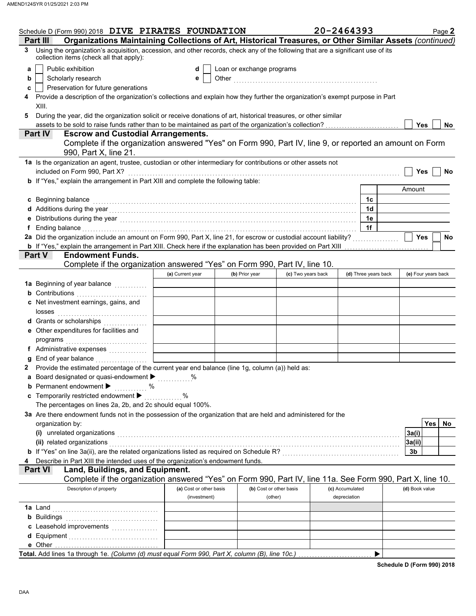| Schedule D (Form 990) 2018 DIVE PIRATES FOUNDATION                                                                                                                                                                                                                                                                                                          |                         |                           |                         | 20-2464393           | Page 2              |
|-------------------------------------------------------------------------------------------------------------------------------------------------------------------------------------------------------------------------------------------------------------------------------------------------------------------------------------------------------------|-------------------------|---------------------------|-------------------------|----------------------|---------------------|
| Organizations Maintaining Collections of Art, Historical Treasures, or Other Similar Assets (continued)<br>Part III                                                                                                                                                                                                                                         |                         |                           |                         |                      |                     |
| Using the organization's acquisition, accession, and other records, check any of the following that are a significant use of its<br>3<br>collection items (check all that apply):                                                                                                                                                                           |                         |                           |                         |                      |                     |
| Public exhibition<br>a                                                                                                                                                                                                                                                                                                                                      | d                       | Loan or exchange programs |                         |                      |                     |
| Scholarly research<br>b                                                                                                                                                                                                                                                                                                                                     | е                       |                           |                         |                      |                     |
| Preservation for future generations<br>c                                                                                                                                                                                                                                                                                                                    |                         |                           |                         |                      |                     |
| Provide a description of the organization's collections and explain how they further the organization's exempt purpose in Part<br>4                                                                                                                                                                                                                         |                         |                           |                         |                      |                     |
| XIII.                                                                                                                                                                                                                                                                                                                                                       |                         |                           |                         |                      |                     |
| During the year, did the organization solicit or receive donations of art, historical treasures, or other similar<br>5                                                                                                                                                                                                                                      |                         |                           |                         |                      |                     |
|                                                                                                                                                                                                                                                                                                                                                             |                         |                           |                         |                      | Yes<br>No.          |
| Part IV<br><b>Escrow and Custodial Arrangements.</b>                                                                                                                                                                                                                                                                                                        |                         |                           |                         |                      |                     |
| Complete if the organization answered "Yes" on Form 990, Part IV, line 9, or reported an amount on Form<br>990, Part X, line 21.                                                                                                                                                                                                                            |                         |                           |                         |                      |                     |
| 1a Is the organization an agent, trustee, custodian or other intermediary for contributions or other assets not                                                                                                                                                                                                                                             |                         |                           |                         |                      |                     |
| included on Form 990, Part X?                                                                                                                                                                                                                                                                                                                               |                         |                           |                         |                      | <b>Yes</b><br>No    |
| b If "Yes," explain the arrangement in Part XIII and complete the following table:                                                                                                                                                                                                                                                                          |                         |                           |                         |                      | Amount              |
|                                                                                                                                                                                                                                                                                                                                                             |                         |                           |                         | 1c                   |                     |
| c Beginning balance                                                                                                                                                                                                                                                                                                                                         |                         |                           |                         | 1 <sub>d</sub>       |                     |
| d Additions during the year contact the set of the set of the set of the set of the set of the set of the set of the set of the set of the set of the set of the set of the set of the set of the set of the set of the set of<br>e Distributions during the year [1, 1, 2001] The Contract of Distribution of the Verman and Distributions during the year |                         |                           |                         | 1e                   |                     |
| f Ending balance encourance and a series of the series of the series of the series of the series of the series of the series of the series of the series of the series of the series of the series of the series of the series                                                                                                                              |                         |                           |                         | 1f                   |                     |
|                                                                                                                                                                                                                                                                                                                                                             |                         |                           |                         |                      | Yes<br>No           |
| b If "Yes," explain the arrangement in Part XIII. Check here if the explanation has been provided on Part XIII                                                                                                                                                                                                                                              |                         |                           |                         |                      |                     |
| <b>Part V</b><br><b>Endowment Funds.</b>                                                                                                                                                                                                                                                                                                                    |                         |                           |                         |                      |                     |
| Complete if the organization answered "Yes" on Form 990, Part IV, line 10.                                                                                                                                                                                                                                                                                  |                         |                           |                         |                      |                     |
|                                                                                                                                                                                                                                                                                                                                                             | (a) Current year        | (b) Prior year            | (c) Two years back      | (d) Three years back | (e) Four years back |
| 1a Beginning of year balance                                                                                                                                                                                                                                                                                                                                |                         |                           |                         |                      |                     |
| <b>b</b> Contributions <b>contributions</b>                                                                                                                                                                                                                                                                                                                 |                         |                           |                         |                      |                     |
| c Net investment earnings, gains, and<br>losses                                                                                                                                                                                                                                                                                                             |                         |                           |                         |                      |                     |
| d Grants or scholarships                                                                                                                                                                                                                                                                                                                                    |                         |                           |                         |                      |                     |
| e Other expenditures for facilities and                                                                                                                                                                                                                                                                                                                     |                         |                           |                         |                      |                     |
|                                                                                                                                                                                                                                                                                                                                                             |                         |                           |                         |                      |                     |
| f Administrative expenses                                                                                                                                                                                                                                                                                                                                   |                         |                           |                         |                      |                     |
| <b>g</b> End of year balance <b>constructs Letter and Separate Property</b>                                                                                                                                                                                                                                                                                 |                         |                           |                         |                      |                     |
| 2 Provide the estimated percentage of the current year end balance (line 1g, column (a)) held as:                                                                                                                                                                                                                                                           |                         |                           |                         |                      |                     |
| a Board designated or quasi-endowment $\blacktriangleright$                                                                                                                                                                                                                                                                                                 | $\%$                    |                           |                         |                      |                     |
| <b>b</b> Permanent endowment ><br>. %                                                                                                                                                                                                                                                                                                                       |                         |                           |                         |                      |                     |
| c Temporarily restricted endowment ▶<br>The percentages on lines 2a, 2b, and 2c should equal 100%.                                                                                                                                                                                                                                                          | $\ldots$ %              |                           |                         |                      |                     |
| 3a Are there endowment funds not in the possession of the organization that are held and administered for the                                                                                                                                                                                                                                               |                         |                           |                         |                      |                     |
| organization by:                                                                                                                                                                                                                                                                                                                                            |                         |                           |                         |                      | <b>Yes</b><br>No.   |
|                                                                                                                                                                                                                                                                                                                                                             |                         |                           |                         |                      | 3a(i)               |
| (i) unrelated organizations <i>community contained as a community contained as a community contained as a community contained as a contained as a contained as a contained as a contained as a contained as a contained as a con</i><br>(ii) related organizations                                                                                          |                         |                           |                         |                      | 3a(ii)              |
| b If "Yes" on line 3a(ii), are the related organizations listed as required on Schedule R? [[[[[[[[[[[[[[[[[[[                                                                                                                                                                                                                                              |                         |                           |                         |                      | 3b                  |
| Describe in Part XIII the intended uses of the organization's endowment funds.<br>4                                                                                                                                                                                                                                                                         |                         |                           |                         |                      |                     |
| Land, Buildings, and Equipment.<br><b>Part VI</b>                                                                                                                                                                                                                                                                                                           |                         |                           |                         |                      |                     |
| Complete if the organization answered "Yes" on Form 990, Part IV, line 11a. See Form 990, Part X, line 10.                                                                                                                                                                                                                                                  |                         |                           |                         |                      |                     |
| Description of property                                                                                                                                                                                                                                                                                                                                     | (a) Cost or other basis |                           | (b) Cost or other basis | (c) Accumulated      | (d) Book value      |
|                                                                                                                                                                                                                                                                                                                                                             | (investment)            |                           | (other)                 | depreciation         |                     |
| <b>1a</b> Land                                                                                                                                                                                                                                                                                                                                              |                         |                           |                         |                      |                     |
|                                                                                                                                                                                                                                                                                                                                                             |                         |                           |                         |                      |                     |
| c Leasehold improvements                                                                                                                                                                                                                                                                                                                                    |                         |                           |                         |                      |                     |
|                                                                                                                                                                                                                                                                                                                                                             |                         |                           |                         |                      |                     |
|                                                                                                                                                                                                                                                                                                                                                             |                         |                           |                         |                      |                     |
| Total. Add lines 1a through 1e. (Column (d) must equal Form 990, Part X, column (B), line 10c.)                                                                                                                                                                                                                                                             |                         |                           |                         | ▶                    |                     |

**Schedule D (Form 990) 2018**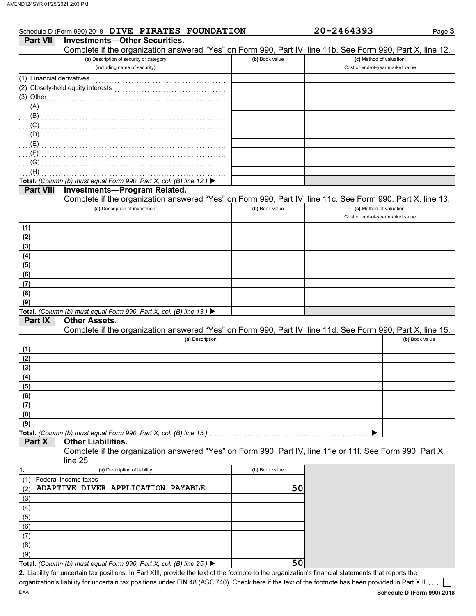| <b>Part VII</b>           | Schedule D (Form 990) 2018 DIVE PIRATES FOUNDATION<br><b>Investments-Other Securities.</b>                 |                | 20-2464393                       | Page |
|---------------------------|------------------------------------------------------------------------------------------------------------|----------------|----------------------------------|------|
|                           | Complete if the organization answered "Yes" on Form 990, Part IV, line 11b. See Form 990, Part X, line 12. |                |                                  |      |
|                           | (a) Description of security or category                                                                    | (b) Book value | (c) Method of valuation:         |      |
|                           | (including name of security)                                                                               |                | Cost or end-of-year market value |      |
| (1) Financial derivatives |                                                                                                            |                |                                  |      |
|                           |                                                                                                            |                |                                  |      |
| (3) Other                 |                                                                                                            |                |                                  |      |
| (A)                       |                                                                                                            |                |                                  |      |
| $\ldots$ (B)              |                                                                                                            |                |                                  |      |
| (C)                       |                                                                                                            |                |                                  |      |
| $\Box$ (D)                |                                                                                                            |                |                                  |      |
| $\mathcal{L}(\mathsf{E})$ |                                                                                                            |                |                                  |      |
| (F)                       |                                                                                                            |                |                                  |      |
| (G)                       |                                                                                                            |                |                                  |      |
| (H)                       |                                                                                                            |                |                                  |      |
|                           | Total. (Column (b) must equal Form 990, Part X, col. (B) line 12.) $\blacktriangleright$                   |                |                                  |      |
| <b>Part VIII</b>          | <b>Investments-Program Related.</b>                                                                        |                |                                  |      |
|                           | Complete if the organization answered "Yes" on Form 990, Part IV, line 11c. See Form 990, Part X, line 13. |                |                                  |      |
|                           | (a) Description of investment                                                                              | (b) Book value | (c) Method of valuation:         |      |
|                           |                                                                                                            |                | Cost or end-of-year market value |      |
| (1)                       |                                                                                                            |                |                                  |      |
| (2)                       |                                                                                                            |                |                                  |      |

#### **Other Assets.**

Complete if the organization answered "Yes" on Form 990, Part IV, line 11d. See Form 990, Part X, line 15.

| (a) Description                                                    | (b) Book value |
|--------------------------------------------------------------------|----------------|
| (1)                                                                |                |
| (2)                                                                |                |
| (3)                                                                |                |
| (4)                                                                |                |
| (5)                                                                |                |
| (6)                                                                |                |
| (7)                                                                |                |
| (8)                                                                |                |
| (9)                                                                |                |
| Total. (Column (b) must equal Form 990, Part X, col. (B) line 15.) |                |

#### **Part X Other Liabilities.**

Complete if the organization answered "Yes" on Form 990, Part IV, line 11e or 11f. See Form 990, Part X, line 25.

| 1.  | (a) Description of liability                                                             | (b) Book value |
|-----|------------------------------------------------------------------------------------------|----------------|
|     | Federal income taxes                                                                     |                |
| (2) | ADAPTIVE DIVER APPLICATION PAYABLE                                                       | 50             |
| (3) |                                                                                          |                |
| (4) |                                                                                          |                |
| (5) |                                                                                          |                |
| (6) |                                                                                          |                |
| (7) |                                                                                          |                |
| (8) |                                                                                          |                |
| (9) |                                                                                          |                |
|     | Total. (Column (b) must equal Form 990, Part X, col. (B) line 25.) $\blacktriangleright$ |                |

Liability for uncertain tax positions. In Part XIII, provide the text of the footnote to the organization's financial statements that reports the **2.** organization's liability for uncertain tax positions under FIN 48 (ASC 740). Check here if the text of the footnote has been provided in Part XIII

Page **3**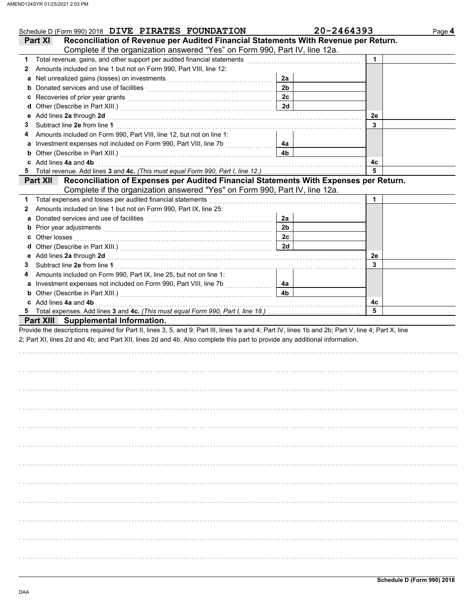| Schedule D (Form 990) 2018 DIVE PIRATES FOUNDATION                                                                                                                                                                                       |                | 20-2464393 | Page 4 |
|------------------------------------------------------------------------------------------------------------------------------------------------------------------------------------------------------------------------------------------|----------------|------------|--------|
| Reconciliation of Revenue per Audited Financial Statements With Revenue per Return.<br>Part XI                                                                                                                                           |                |            |        |
| Complete if the organization answered "Yes" on Form 990, Part IV, line 12a.                                                                                                                                                              |                |            |        |
| 1 Total revenue, gains, and other support per audited financial statements                                                                                                                                                               |                | 1          |        |
| Amounts included on line 1 but not on Form 990, Part VIII, line 12:<br>2                                                                                                                                                                 |                |            |        |
|                                                                                                                                                                                                                                          | 2a             |            |        |
|                                                                                                                                                                                                                                          | 2 <sub>b</sub> |            |        |
| c Recoveries of prior year grants [11] Recovering the Recoveries of prior year grants [11] Recoveries of prior                                                                                                                           | 2c             |            |        |
|                                                                                                                                                                                                                                          | 2d             |            |        |
| e Add lines 2a through 2d [11] [12] [12] And The Add lines 2a through 2d [12] And The Management Add lines 2a through 2d [12] [12] And The Add Lines 2a through 2d [12] And The Add Lines 2a through 2d [12] And The Add Lines           |                | 2e         |        |
| 3                                                                                                                                                                                                                                        |                | 3          |        |
| Amounts included on Form 990, Part VIII, line 12, but not on line 1:<br>4                                                                                                                                                                |                |            |        |
| a Investment expenses not included on Form 990, Part VIII, line 7b [[[[[[[[[[[[[[[[[[[[[[[[[[[[[[[[[                                                                                                                                     | 4а             |            |        |
|                                                                                                                                                                                                                                          | 4 <sub>b</sub> |            |        |
| <b>b</b> Other (Describe in Part XIII.) <b>CONSIDENT DESCRIPTION DESCRIPTION DESCRIPTION DESCRIPTION DESCRIPTION DESCRIPTION DESCRIPTION DESCRIPTION DESCRIPTION DESCRIPTION DESCRIPTION DESCRIPTION DESCRI</b><br>c Add lines 4a and 4b |                | 4с         |        |
|                                                                                                                                                                                                                                          |                | 5          |        |
| Reconciliation of Expenses per Audited Financial Statements With Expenses per Return.<br><b>Part XII</b>                                                                                                                                 |                |            |        |
| Complete if the organization answered "Yes" on Form 990, Part IV, line 12a.                                                                                                                                                              |                |            |        |
|                                                                                                                                                                                                                                          |                |            |        |
| 1 Total expenses and losses per audited financial statements                                                                                                                                                                             |                | 1.         |        |
| Amounts included on line 1 but not on Form 990, Part IX, line 25:<br>2                                                                                                                                                                   |                |            |        |
|                                                                                                                                                                                                                                          | 2a             |            |        |
|                                                                                                                                                                                                                                          | 2 <sub>b</sub> |            |        |
| <b>c</b> Other losses                                                                                                                                                                                                                    | 2c             |            |        |
|                                                                                                                                                                                                                                          | 2d             |            |        |
| e Add lines 2a through 2d [11] [12] [12] And The Add lines 2a through 2d [12] And The Management Add lines 2a through 2d [12] [12] And The Add Lines 2a through 2d [12] And The Add Lines 2a through 2d [12] And The Add Lines           |                | 2e         |        |
| 3                                                                                                                                                                                                                                        |                | 3          |        |
| Amounts included on Form 990, Part IX, line 25, but not on line 1:<br>4                                                                                                                                                                  |                |            |        |
|                                                                                                                                                                                                                                          | 4а             |            |        |
|                                                                                                                                                                                                                                          | 4b             |            |        |
| c Add lines 4a and 4b                                                                                                                                                                                                                    |                | 4c         |        |
|                                                                                                                                                                                                                                          |                | 5          |        |
| Part XIII Supplemental Information.                                                                                                                                                                                                      |                |            |        |
| Provide the descriptions required for Part II, lines 3, 5, and 9; Part III, lines 1a and 4; Part IV, lines 1b and 2b; Part V, line 4; Part X, line                                                                                       |                |            |        |
| 2; Part XI, lines 2d and 4b; and Part XII, lines 2d and 4b. Also complete this part to provide any additional information.                                                                                                               |                |            |        |
|                                                                                                                                                                                                                                          |                |            |        |
|                                                                                                                                                                                                                                          |                |            |        |
|                                                                                                                                                                                                                                          |                |            |        |
|                                                                                                                                                                                                                                          |                |            |        |
|                                                                                                                                                                                                                                          |                |            |        |
|                                                                                                                                                                                                                                          |                |            |        |
|                                                                                                                                                                                                                                          |                |            |        |
|                                                                                                                                                                                                                                          |                |            |        |
|                                                                                                                                                                                                                                          |                |            |        |
|                                                                                                                                                                                                                                          |                |            |        |
|                                                                                                                                                                                                                                          |                |            |        |
|                                                                                                                                                                                                                                          |                |            |        |
|                                                                                                                                                                                                                                          |                |            |        |
|                                                                                                                                                                                                                                          |                |            |        |
|                                                                                                                                                                                                                                          |                |            |        |
|                                                                                                                                                                                                                                          |                |            |        |
|                                                                                                                                                                                                                                          |                |            |        |
|                                                                                                                                                                                                                                          |                |            |        |
|                                                                                                                                                                                                                                          |                |            |        |
|                                                                                                                                                                                                                                          |                |            |        |
|                                                                                                                                                                                                                                          |                |            |        |
|                                                                                                                                                                                                                                          |                |            |        |
|                                                                                                                                                                                                                                          |                |            |        |
|                                                                                                                                                                                                                                          |                |            |        |
|                                                                                                                                                                                                                                          |                |            |        |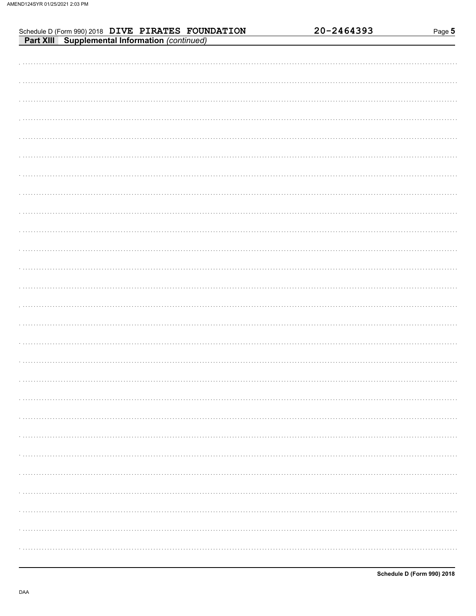| Schedule D (Form 990) 2018 DIVE PIRATES FOUNDATION<br>Part XIII Supplemental Information (continued) | 20-2464393 | Page 5 |
|------------------------------------------------------------------------------------------------------|------------|--------|
|                                                                                                      |            |        |
|                                                                                                      |            |        |
|                                                                                                      |            |        |
|                                                                                                      |            |        |
|                                                                                                      |            |        |
|                                                                                                      |            |        |
|                                                                                                      |            |        |
|                                                                                                      |            |        |
|                                                                                                      |            |        |
|                                                                                                      |            |        |
|                                                                                                      |            |        |
|                                                                                                      |            |        |
|                                                                                                      |            |        |
|                                                                                                      |            |        |
|                                                                                                      |            |        |
|                                                                                                      |            |        |
|                                                                                                      |            |        |
|                                                                                                      |            |        |
|                                                                                                      |            |        |
|                                                                                                      |            |        |
|                                                                                                      |            |        |
|                                                                                                      |            |        |
|                                                                                                      |            |        |
|                                                                                                      |            |        |
|                                                                                                      |            |        |
|                                                                                                      |            |        |
|                                                                                                      |            |        |
|                                                                                                      |            |        |
|                                                                                                      |            |        |
|                                                                                                      |            |        |
|                                                                                                      |            |        |
|                                                                                                      |            |        |
|                                                                                                      |            |        |
|                                                                                                      |            |        |
|                                                                                                      |            |        |
|                                                                                                      |            |        |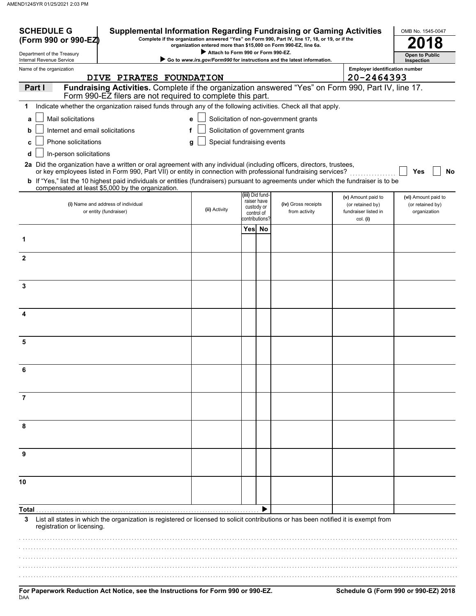| <b>SCHEDULE G</b><br>(Form 990 or 990-EZ)              | <b>Supplemental Information Regarding Fundraising or Gaming Activities</b>                                                                                                                 |                                     |      |                                | Complete if the organization answered "Yes" on Form 990, Part IV, line 17, 18, or 19, or if the<br>organization entered more than \$15,000 on Form 990-EZ, line 6a. |                                          | OMB No. 1545-0047                |
|--------------------------------------------------------|--------------------------------------------------------------------------------------------------------------------------------------------------------------------------------------------|-------------------------------------|------|--------------------------------|---------------------------------------------------------------------------------------------------------------------------------------------------------------------|------------------------------------------|----------------------------------|
| Department of the Treasury<br>Internal Revenue Service | Go to www.irs.gov/Form990 for instructions and the latest information.                                                                                                                     | <b>Open to Public</b><br>Inspection |      |                                |                                                                                                                                                                     |                                          |                                  |
| Name of the organization                               |                                                                                                                                                                                            |                                     |      |                                |                                                                                                                                                                     | <b>Employer identification number</b>    |                                  |
|                                                        | DIVE PIRATES FOUNDATION                                                                                                                                                                    |                                     |      |                                |                                                                                                                                                                     | 20-2464393                               |                                  |
| Part I                                                 | Fundraising Activities. Complete if the organization answered "Yes" on Form 990, Part IV, line 17.<br>Form 990-EZ filers are not required to complete this part.                           |                                     |      |                                |                                                                                                                                                                     |                                          |                                  |
| 1                                                      | Indicate whether the organization raised funds through any of the following activities. Check all that apply.                                                                              |                                     |      |                                |                                                                                                                                                                     |                                          |                                  |
| Mail solicitations<br>a                                |                                                                                                                                                                                            | e                                   |      |                                | Solicitation of non-government grants                                                                                                                               |                                          |                                  |
| Internet and email solicitations<br>b                  |                                                                                                                                                                                            |                                     |      |                                | Solicitation of government grants                                                                                                                                   |                                          |                                  |
| Phone solicitations<br>c                               |                                                                                                                                                                                            | Special fundraising events<br>g     |      |                                |                                                                                                                                                                     |                                          |                                  |
| In-person solicitations<br>d                           |                                                                                                                                                                                            |                                     |      |                                |                                                                                                                                                                     |                                          |                                  |
|                                                        | 2a Did the organization have a written or oral agreement with any individual (including officers, directors, trustees,                                                                     |                                     |      |                                |                                                                                                                                                                     |                                          |                                  |
|                                                        | or key employees listed in Form 990, Part VII) or entity in connection with professional fundraising services?                                                                             |                                     |      |                                |                                                                                                                                                                     |                                          | Yes<br><b>No</b>                 |
|                                                        | b If "Yes," list the 10 highest paid individuals or entities (fundraisers) pursuant to agreements under which the fundraiser is to be<br>compensated at least \$5,000 by the organization. |                                     |      |                                |                                                                                                                                                                     |                                          |                                  |
|                                                        |                                                                                                                                                                                            |                                     |      | (iii) Did fund-<br>raiser have |                                                                                                                                                                     | (v) Amount paid to                       | (vi) Amount paid to              |
|                                                        | (i) Name and address of individual<br>or entity (fundraiser)                                                                                                                               | (ii) Activity                       |      | custody or<br>control of       | (iv) Gross receipts<br>from activity                                                                                                                                | (or retained by)<br>fundraiser listed in | (or retained by)<br>organization |
|                                                        |                                                                                                                                                                                            |                                     |      | contributions?                 |                                                                                                                                                                     | col. (i)                                 |                                  |
|                                                        |                                                                                                                                                                                            |                                     | Yesl | No                             |                                                                                                                                                                     |                                          |                                  |
| 1                                                      |                                                                                                                                                                                            |                                     |      |                                |                                                                                                                                                                     |                                          |                                  |
| $\mathbf{2}$                                           |                                                                                                                                                                                            |                                     |      |                                |                                                                                                                                                                     |                                          |                                  |
|                                                        |                                                                                                                                                                                            |                                     |      |                                |                                                                                                                                                                     |                                          |                                  |
| 3                                                      |                                                                                                                                                                                            |                                     |      |                                |                                                                                                                                                                     |                                          |                                  |
|                                                        |                                                                                                                                                                                            |                                     |      |                                |                                                                                                                                                                     |                                          |                                  |
|                                                        |                                                                                                                                                                                            |                                     |      |                                |                                                                                                                                                                     |                                          |                                  |
| 4                                                      |                                                                                                                                                                                            |                                     |      |                                |                                                                                                                                                                     |                                          |                                  |
|                                                        |                                                                                                                                                                                            |                                     |      |                                |                                                                                                                                                                     |                                          |                                  |
| 5                                                      |                                                                                                                                                                                            |                                     |      |                                |                                                                                                                                                                     |                                          |                                  |
|                                                        |                                                                                                                                                                                            |                                     |      |                                |                                                                                                                                                                     |                                          |                                  |
|                                                        |                                                                                                                                                                                            |                                     |      |                                |                                                                                                                                                                     |                                          |                                  |
| 6                                                      |                                                                                                                                                                                            |                                     |      |                                |                                                                                                                                                                     |                                          |                                  |
|                                                        |                                                                                                                                                                                            |                                     |      |                                |                                                                                                                                                                     |                                          |                                  |
| 7                                                      |                                                                                                                                                                                            |                                     |      |                                |                                                                                                                                                                     |                                          |                                  |
|                                                        |                                                                                                                                                                                            |                                     |      |                                |                                                                                                                                                                     |                                          |                                  |
| 8                                                      |                                                                                                                                                                                            |                                     |      |                                |                                                                                                                                                                     |                                          |                                  |
|                                                        |                                                                                                                                                                                            |                                     |      |                                |                                                                                                                                                                     |                                          |                                  |
|                                                        |                                                                                                                                                                                            |                                     |      |                                |                                                                                                                                                                     |                                          |                                  |
| 9                                                      |                                                                                                                                                                                            |                                     |      |                                |                                                                                                                                                                     |                                          |                                  |
|                                                        |                                                                                                                                                                                            |                                     |      |                                |                                                                                                                                                                     |                                          |                                  |
| 10                                                     |                                                                                                                                                                                            |                                     |      |                                |                                                                                                                                                                     |                                          |                                  |
|                                                        |                                                                                                                                                                                            |                                     |      |                                |                                                                                                                                                                     |                                          |                                  |
| Total                                                  |                                                                                                                                                                                            |                                     |      |                                |                                                                                                                                                                     |                                          |                                  |
| 3<br>registration or licensing.                        | List all states in which the organization is registered or licensed to solicit contributions or has been notified it is exempt from                                                        |                                     |      |                                |                                                                                                                                                                     |                                          |                                  |
|                                                        |                                                                                                                                                                                            |                                     |      |                                |                                                                                                                                                                     |                                          |                                  |
|                                                        |                                                                                                                                                                                            |                                     |      |                                |                                                                                                                                                                     |                                          |                                  |
|                                                        |                                                                                                                                                                                            |                                     |      |                                |                                                                                                                                                                     |                                          |                                  |
|                                                        |                                                                                                                                                                                            |                                     |      |                                |                                                                                                                                                                     |                                          |                                  |
|                                                        |                                                                                                                                                                                            |                                     |      |                                |                                                                                                                                                                     |                                          |                                  |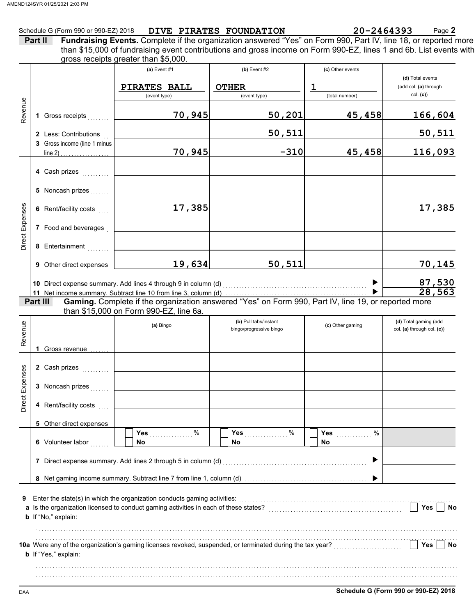### Schedule G (Form 990 or 990-EZ) 2018 **DIVE PIRATES FOUNDATION 20-2464393** Page **2**

| Part II | <b>Fundraising Events.</b> Complete if the organization answered "Yes" on Form 990, Part IV, line 18, or reported more |
|---------|------------------------------------------------------------------------------------------------------------------------|
|         | than \$15,000 of fundraising event contributions and gross income on Form 990-EZ, lines 1 and 6b. List events with     |
|         | gross receipts greater than \$5,000.                                                                                   |

|                 |                                                       | (a) Event $#1$<br>PIRATES BALL<br>$\overline{$ (event type)                                                                                                                                                                     | $(b)$ Event #2<br><b>OTHER</b><br>(event type)   | (c) Other events<br>$\mathbf 1$<br>(total number) | (d) Total events<br>(add col. (a) through<br>col. (c) |
|-----------------|-------------------------------------------------------|---------------------------------------------------------------------------------------------------------------------------------------------------------------------------------------------------------------------------------|--------------------------------------------------|---------------------------------------------------|-------------------------------------------------------|
| Revenue         | 1 Gross receipts                                      | 70,945                                                                                                                                                                                                                          | 50,201                                           | 45,458                                            | 166,604                                               |
|                 | 2 Less: Contributions<br>3 Gross income (line 1 minus |                                                                                                                                                                                                                                 | 50,511                                           |                                                   | 50,511                                                |
|                 |                                                       | 70,945                                                                                                                                                                                                                          | $-310$                                           | 45,458                                            | 116,093                                               |
|                 | 4 Cash prizes                                         |                                                                                                                                                                                                                                 |                                                  |                                                   |                                                       |
|                 | 5 Noncash prizes                                      |                                                                                                                                                                                                                                 |                                                  |                                                   |                                                       |
|                 | 6 Rent/facility costs                                 | 17,385                                                                                                                                                                                                                          |                                                  |                                                   | 17,385                                                |
| Direct Expenses | 7 Food and beverages                                  |                                                                                                                                                                                                                                 |                                                  |                                                   |                                                       |
|                 | 8 Entertainment                                       |                                                                                                                                                                                                                                 |                                                  |                                                   |                                                       |
|                 | 9 Other direct expenses                               | 19,634                                                                                                                                                                                                                          | 50, 511                                          |                                                   | 70,145                                                |
|                 |                                                       | 10 Direct expense summary. Add lines 4 through 9 in column (d) [11] content content content content of the summary.                                                                                                             |                                                  |                                                   | $\frac{87,530}{28,563}$                               |
|                 | Part III                                              | Gaming. Complete if the organization answered "Yes" on Form 990, Part IV, line 19, or reported more                                                                                                                             |                                                  |                                                   |                                                       |
|                 |                                                       | than \$15,000 on Form 990-EZ, line 6a.                                                                                                                                                                                          |                                                  |                                                   |                                                       |
| Revenue         |                                                       | (a) Bingo                                                                                                                                                                                                                       | (b) Pull tabs/instant<br>bingo/progressive bingo | (c) Other gaming                                  | (d) Total gaming (add<br>col. (a) through col. (c))   |
|                 | 1 Gross revenue                                       |                                                                                                                                                                                                                                 |                                                  |                                                   |                                                       |
|                 | 2 Cash prizes                                         |                                                                                                                                                                                                                                 |                                                  |                                                   |                                                       |
| Direct Expenses | 3 Noncash prizes                                      | the contract of the contract of the contract of the contract of the contract of                                                                                                                                                 |                                                  |                                                   |                                                       |
|                 | 4 Rent/facility costs                                 |                                                                                                                                                                                                                                 |                                                  |                                                   |                                                       |
|                 | 5 Other direct expenses                               |                                                                                                                                                                                                                                 |                                                  |                                                   |                                                       |
|                 | 6 Volunteer labor                                     | No                                                                                                                                                                                                                              | Yes $%$<br>No.                                   | %<br>Yes<br>No.                                   |                                                       |
|                 |                                                       | 7 Direct expense summary. Add lines 2 through 5 in column (d)                                                                                                                                                                   |                                                  | ▶                                                 |                                                       |
|                 |                                                       |                                                                                                                                                                                                                                 |                                                  |                                                   |                                                       |
| 9               | b If "No," explain:                                   | Enter the state(s) in which the organization conducts gaming activities:<br>[[CONDIDERET] [CONDIDERET IN STATE IN STATES IN STATES IN STATES IN STATES IN STATES IN STATES IN STATES IN STATES IN STATES IN STATES IN STATES IN |                                                  |                                                   | Yes<br>No                                             |
|                 | b If "Yes," explain:                                  |                                                                                                                                                                                                                                 |                                                  |                                                   | Yes<br>No                                             |
|                 |                                                       |                                                                                                                                                                                                                                 |                                                  |                                                   |                                                       |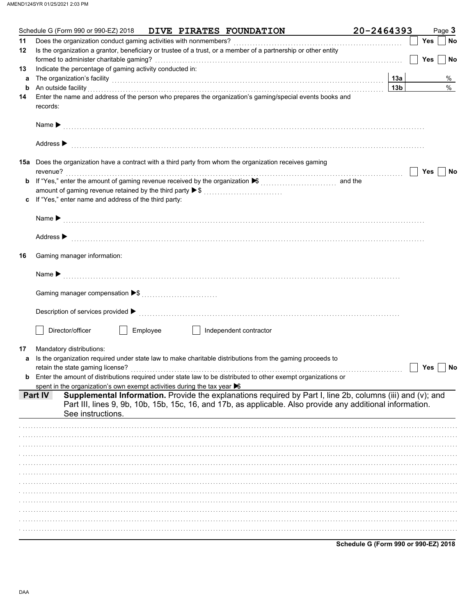|    | Schedule G (Form 990 or 990-EZ) 2018                                                                                                                                                                                                                     |  | DIVE PIRATES FOUNDATION | 20-2464393 |                 |     | Page 3    |
|----|----------------------------------------------------------------------------------------------------------------------------------------------------------------------------------------------------------------------------------------------------------|--|-------------------------|------------|-----------------|-----|-----------|
| 11 |                                                                                                                                                                                                                                                          |  |                         |            |                 | Yes | <b>No</b> |
| 12 | Is the organization a grantor, beneficiary or trustee of a trust, or a member of a partnership or other entity                                                                                                                                           |  |                         |            |                 |     |           |
|    |                                                                                                                                                                                                                                                          |  |                         |            |                 | Yes | <b>No</b> |
| 13 | Indicate the percentage of gaming activity conducted in:                                                                                                                                                                                                 |  |                         |            |                 |     |           |
| a  | The organization's facility [1, 2003] The organization's facility [1, 2004] The organization's facility [1, 2004] The organization's facility [1, 2004] The organization's facility [1, 2004] The organization of the organiza                           |  |                         |            | 13a             |     | %         |
| b  | An outside facility encourance and account of the contract of the contract of the contract of the contract of the contract of the contract of the contract of the contract of the contract of the contract of the contract of                            |  |                         |            | 13 <sub>b</sub> |     | $\%$      |
| 14 | Enter the name and address of the person who prepares the organization's gaming/special events books and<br>records:                                                                                                                                     |  |                         |            |                 |     |           |
|    |                                                                                                                                                                                                                                                          |  |                         |            |                 |     |           |
|    | Address $\blacktriangleright$                                                                                                                                                                                                                            |  |                         |            |                 |     |           |
|    | <b>15a</b> Does the organization have a contract with a third party from whom the organization receives gaming                                                                                                                                           |  |                         |            |                 |     |           |
|    | revenue?                                                                                                                                                                                                                                                 |  |                         |            |                 | Yes | No        |
| b  | If "Yes," enter the amount of gaming revenue received by the organization ▶ ( ( ( ) ) ( ) and the                                                                                                                                                        |  |                         |            |                 |     |           |
|    | amount of gaming revenue retained by the third party ▶ \$                                                                                                                                                                                                |  |                         |            |                 |     |           |
| c  | If "Yes," enter name and address of the third party:                                                                                                                                                                                                     |  |                         |            |                 |     |           |
|    |                                                                                                                                                                                                                                                          |  |                         |            |                 |     |           |
|    | Address $\blacktriangleright$                                                                                                                                                                                                                            |  |                         |            |                 |     |           |
| 16 | Gaming manager information:                                                                                                                                                                                                                              |  |                         |            |                 |     |           |
|    |                                                                                                                                                                                                                                                          |  |                         |            |                 |     |           |
|    |                                                                                                                                                                                                                                                          |  |                         |            |                 |     |           |
|    |                                                                                                                                                                                                                                                          |  |                         |            |                 |     |           |
|    | Director/officer<br>Employee<br>and the state of the state                                                                                                                                                                                               |  | Independent contractor  |            |                 |     |           |
| 17 | Mandatory distributions:                                                                                                                                                                                                                                 |  |                         |            |                 |     |           |
| a  | Is the organization required under state law to make charitable distributions from the gaming proceeds to                                                                                                                                                |  |                         |            |                 |     |           |
|    |                                                                                                                                                                                                                                                          |  |                         |            |                 | Yes | No        |
| b  | Enter the amount of distributions required under state law to be distributed to other exempt organizations or                                                                                                                                            |  |                         |            |                 |     |           |
|    | spent in the organization's own exempt activities during the tax year S                                                                                                                                                                                  |  |                         |            |                 |     |           |
|    | Supplemental Information. Provide the explanations required by Part I, line 2b, columns (iii) and (v); and<br>Part IV<br>Part III, lines 9, 9b, 10b, 15b, 15c, 16, and 17b, as applicable. Also provide any additional information.<br>See instructions. |  |                         |            |                 |     |           |
|    |                                                                                                                                                                                                                                                          |  |                         |            |                 |     |           |
|    |                                                                                                                                                                                                                                                          |  |                         |            |                 |     |           |
|    |                                                                                                                                                                                                                                                          |  |                         |            |                 |     |           |
|    |                                                                                                                                                                                                                                                          |  |                         |            |                 |     |           |
|    |                                                                                                                                                                                                                                                          |  |                         |            |                 |     |           |
|    |                                                                                                                                                                                                                                                          |  |                         |            |                 |     |           |
|    |                                                                                                                                                                                                                                                          |  |                         |            |                 |     |           |
|    |                                                                                                                                                                                                                                                          |  |                         |            |                 |     |           |
|    |                                                                                                                                                                                                                                                          |  |                         |            |                 |     |           |
|    |                                                                                                                                                                                                                                                          |  |                         |            |                 |     |           |
|    |                                                                                                                                                                                                                                                          |  |                         |            |                 |     |           |
|    |                                                                                                                                                                                                                                                          |  |                         |            |                 |     |           |

Schedule G (Form 990 or 990-EZ) 2018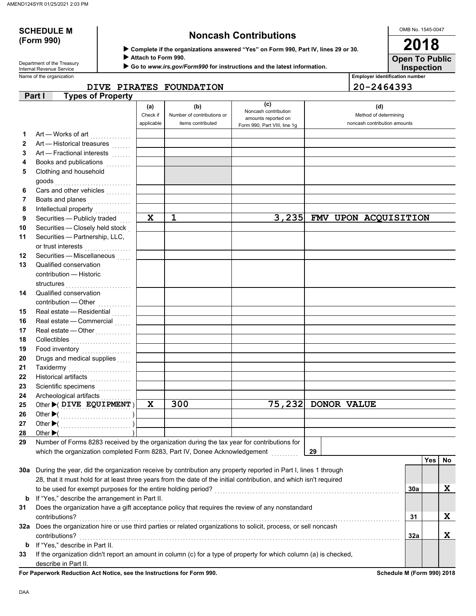# **(Form 990)**

## **SCHEDULE M Noncash Contributions**

OMB No. 1545-0047 **2018**

| Department of the Treasury |
|----------------------------|
| Internal Revenue Service   |

 **Complete if the organizations answered "Yes" on Form 990, Part IV, lines 29 or 30. Attach to Form 990.**

 **Go to** *www.irs.gov/Form990* **for instructions and the latest information.**

Name of the organization **Employer identification number Employer identification number Inspection Open To Public**

**DIVE PIRATES FOUNDATION 20-2464393**

|              | <b>Types of Property</b><br>Part I                                                                                                                                                                                                       |                 |                                   |                                                     |                              |     |     |    |
|--------------|------------------------------------------------------------------------------------------------------------------------------------------------------------------------------------------------------------------------------------------|-----------------|-----------------------------------|-----------------------------------------------------|------------------------------|-----|-----|----|
|              |                                                                                                                                                                                                                                          | (a)<br>Check if | (b)<br>Number of contributions or | (c)<br>Noncash contribution                         | (d)<br>Method of determining |     |     |    |
|              |                                                                                                                                                                                                                                          | applicable      | items contributed                 | amounts reported on<br>Form 990, Part VIII, line 1g | noncash contribution amounts |     |     |    |
| 1            | Art - Works of art                                                                                                                                                                                                                       |                 |                                   |                                                     |                              |     |     |    |
| $\mathbf{2}$ | Art - Historical treasures                                                                                                                                                                                                               |                 |                                   |                                                     |                              |     |     |    |
| 3            | Art - Fractional interests                                                                                                                                                                                                               |                 |                                   |                                                     |                              |     |     |    |
| 4            | Books and publications                                                                                                                                                                                                                   |                 |                                   |                                                     |                              |     |     |    |
| 5            | Clothing and household                                                                                                                                                                                                                   |                 |                                   |                                                     |                              |     |     |    |
|              | goods                                                                                                                                                                                                                                    |                 |                                   |                                                     |                              |     |     |    |
| 6            | Cars and other vehicles                                                                                                                                                                                                                  |                 |                                   |                                                     |                              |     |     |    |
| 7            | Boats and planes<br>.                                                                                                                                                                                                                    |                 |                                   |                                                     |                              |     |     |    |
| 8            |                                                                                                                                                                                                                                          |                 |                                   |                                                     |                              |     |     |    |
| 9            | Securities - Publicly traded                                                                                                                                                                                                             | $\mathbf x$     | $\mathbf{1}$                      |                                                     | 3,235 FMV UPON ACQUISITION   |     |     |    |
| 10           | Securities - Closely held stock                                                                                                                                                                                                          |                 |                                   |                                                     |                              |     |     |    |
| 11           | Securities - Partnership, LLC,                                                                                                                                                                                                           |                 |                                   |                                                     |                              |     |     |    |
|              | or trust interests                                                                                                                                                                                                                       |                 |                                   |                                                     |                              |     |     |    |
| 12           | Securities - Miscellaneous                                                                                                                                                                                                               |                 |                                   |                                                     |                              |     |     |    |
| 13           | Qualified conservation                                                                                                                                                                                                                   |                 |                                   |                                                     |                              |     |     |    |
|              | contribution - Historic                                                                                                                                                                                                                  |                 |                                   |                                                     |                              |     |     |    |
|              | structures                                                                                                                                                                                                                               |                 |                                   |                                                     |                              |     |     |    |
| 14           | Qualified conservation                                                                                                                                                                                                                   |                 |                                   |                                                     |                              |     |     |    |
|              | contribution - Other                                                                                                                                                                                                                     |                 |                                   |                                                     |                              |     |     |    |
| 15           | Real estate - Residential                                                                                                                                                                                                                |                 |                                   |                                                     |                              |     |     |    |
| 16           | Real estate - Commercial                                                                                                                                                                                                                 |                 |                                   |                                                     |                              |     |     |    |
| 17           | Real estate - Other                                                                                                                                                                                                                      |                 |                                   |                                                     |                              |     |     |    |
| 18           | Collectibles                                                                                                                                                                                                                             |                 |                                   |                                                     |                              |     |     |    |
| 19           | Food inventory                                                                                                                                                                                                                           |                 |                                   |                                                     |                              |     |     |    |
| 20           | Drugs and medical supplies                                                                                                                                                                                                               |                 |                                   |                                                     |                              |     |     |    |
| 21           | Taxidermy<br>.                                                                                                                                                                                                                           |                 |                                   |                                                     |                              |     |     |    |
| 22           | Historical artifacts                                                                                                                                                                                                                     |                 |                                   |                                                     |                              |     |     |    |
| 23           | Scientific specimens<br>.                                                                                                                                                                                                                |                 |                                   |                                                     |                              |     |     |    |
| 24           | Archeological artifacts                                                                                                                                                                                                                  | $\mathbf x$     | 300                               |                                                     | 75,232 DONOR VALUE           |     |     |    |
| 25<br>26     | Other $\blacktriangleright$ ( DIVE EQUIPMENT)                                                                                                                                                                                            |                 |                                   |                                                     |                              |     |     |    |
| 27           |                                                                                                                                                                                                                                          |                 |                                   |                                                     |                              |     |     |    |
| 28           | Other $\blacktriangleright$ (                                                                                                                                                                                                            |                 |                                   |                                                     |                              |     |     |    |
| 29           | Number of Forms 8283 received by the organization during the tax year for contributions for                                                                                                                                              |                 |                                   |                                                     |                              |     |     |    |
|              | which the organization completed Form 8283, Part IV, Donee Acknowledgement                                                                                                                                                               |                 |                                   |                                                     | 29                           |     |     |    |
|              |                                                                                                                                                                                                                                          |                 |                                   |                                                     |                              |     | Yes | No |
|              |                                                                                                                                                                                                                                          |                 |                                   |                                                     |                              |     |     |    |
|              | 30a During the year, did the organization receive by contribution any property reported in Part I, lines 1 through<br>28, that it must hold for at least three years from the date of the initial contribution, and which isn't required |                 |                                   |                                                     |                              |     |     |    |
|              | to be used for exempt purposes for the entire holding period?                                                                                                                                                                            |                 |                                   |                                                     |                              | 30a |     | X  |
| b            | If "Yes," describe the arrangement in Part II.                                                                                                                                                                                           |                 |                                   |                                                     |                              |     |     |    |
| 31           | Does the organization have a gift acceptance policy that requires the review of any nonstandard                                                                                                                                          |                 |                                   |                                                     |                              |     |     |    |
|              | contributions?                                                                                                                                                                                                                           |                 |                                   |                                                     |                              |     |     | X  |
|              | 32a Does the organization hire or use third parties or related organizations to solicit, process, or sell noncash                                                                                                                        |                 |                                   |                                                     |                              | 31  |     |    |
|              | contributions?                                                                                                                                                                                                                           |                 |                                   |                                                     |                              |     |     | X  |
| b            | If "Yes," describe in Part II.                                                                                                                                                                                                           |                 |                                   |                                                     |                              | 32a |     |    |
| 33           | If the organization didn't report an amount in column (c) for a type of property for which column (a) is checked,                                                                                                                        |                 |                                   |                                                     |                              |     |     |    |
|              | describe in Part II.                                                                                                                                                                                                                     |                 |                                   |                                                     |                              |     |     |    |

For Paperwork Reduction Act Notice, see the Instructions for Form 990. **Schedule M** (Form 990) 2018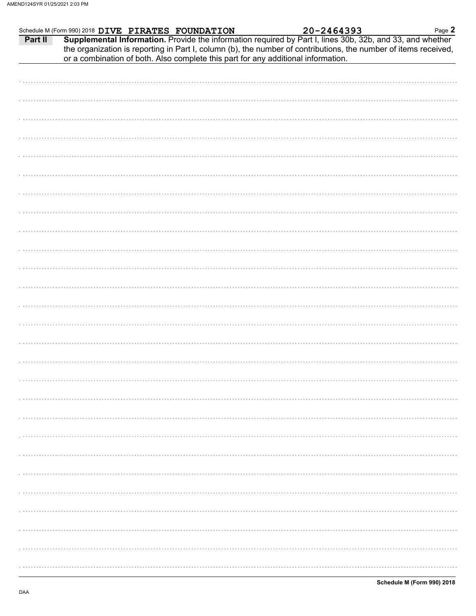|         | Schedule M (Form 990) 2018 DIVE PIRATES FOUNDATION                                                                                                                                                                                                                                                                | 20-2464393 | Page 2 |
|---------|-------------------------------------------------------------------------------------------------------------------------------------------------------------------------------------------------------------------------------------------------------------------------------------------------------------------|------------|--------|
| Part II | Supplemental Information. Provide the information required by Part I, lines 30b, 32b, and 33, and whether<br>the organization is reporting in Part I, column (b), the number of contributions, the number of items received,<br>or a combination of both. Also complete this part for any additional information. |            |        |
|         |                                                                                                                                                                                                                                                                                                                   |            |        |
|         |                                                                                                                                                                                                                                                                                                                   |            |        |
|         |                                                                                                                                                                                                                                                                                                                   |            |        |
|         |                                                                                                                                                                                                                                                                                                                   |            |        |
|         |                                                                                                                                                                                                                                                                                                                   |            |        |
|         |                                                                                                                                                                                                                                                                                                                   |            |        |
|         |                                                                                                                                                                                                                                                                                                                   |            |        |
|         |                                                                                                                                                                                                                                                                                                                   |            |        |
|         |                                                                                                                                                                                                                                                                                                                   |            |        |
|         |                                                                                                                                                                                                                                                                                                                   |            |        |
|         |                                                                                                                                                                                                                                                                                                                   |            |        |
|         |                                                                                                                                                                                                                                                                                                                   |            |        |
|         |                                                                                                                                                                                                                                                                                                                   |            |        |
|         |                                                                                                                                                                                                                                                                                                                   |            |        |
|         |                                                                                                                                                                                                                                                                                                                   |            |        |
|         |                                                                                                                                                                                                                                                                                                                   |            |        |
|         |                                                                                                                                                                                                                                                                                                                   |            |        |
|         |                                                                                                                                                                                                                                                                                                                   |            |        |
|         |                                                                                                                                                                                                                                                                                                                   |            |        |
|         |                                                                                                                                                                                                                                                                                                                   |            |        |
|         |                                                                                                                                                                                                                                                                                                                   |            |        |
|         |                                                                                                                                                                                                                                                                                                                   |            |        |
|         |                                                                                                                                                                                                                                                                                                                   |            |        |
|         |                                                                                                                                                                                                                                                                                                                   |            |        |
|         |                                                                                                                                                                                                                                                                                                                   |            |        |
|         |                                                                                                                                                                                                                                                                                                                   |            |        |
|         |                                                                                                                                                                                                                                                                                                                   |            |        |
|         |                                                                                                                                                                                                                                                                                                                   |            |        |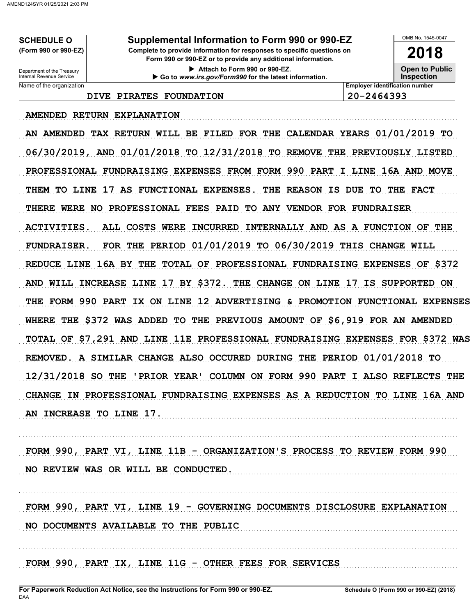**SCHEDULE O** (Form 990 or 990-EZ)

Supplemental Information to Form 990 or 990-EZ

Complete to provide information for responses to specific questions on Form 990 or 990-EZ or to provide any additional information.

> Attach to Form 990 or 990-EZ. Go to www.irs.gov/Form990 for the latest information.

OMB No. 1545-0047

2018 **Open to Public** 

**Inspection** 

Department of the Treasury<br>Internal Revenue Service Name of the organization

DIVE PIRATES FOUNDATION

**Employer identification number** 20-2464393

AMENDED RETURN EXPLANATION

AN AMENDED TAX RETURN WILL BE FILED FOR THE CALENDAR YEARS 01/01/2019 TO 06/30/2019, AND 01/01/2018 TO 12/31/2018 TO REMOVE THE PREVIOUSLY LISTED PROFESSIONAL FUNDRAISING EXPENSES FROM FORM 990 PART I LINE 16A AND MOVE THEM TO LINE 17 AS FUNCTIONAL EXPENSES. THE REASON IS DUE TO THE FACT THERE WERE NO PROFESSIONAL FEES PAID TO ANY VENDOR FOR FUNDRAISER **ACTIVITIES.** ALL COSTS WERE INCURRED INTERNALLY AND AS A FUNCTION OF THE FOR THE PERIOD  $01/01/2019$  TO  $06/30/2019$  THIS CHANGE WILL **FUNDRAISER.** REDUCE LINE 16A BY THE TOTAL OF PROFESSIONAL FUNDRAISING EXPENSES OF \$372 AND WILL INCREASE LINE 17 BY \$372. THE CHANGE ON LINE 17 IS SUPPORTED ON THE FORM 990 PART IX ON LINE 12 ADVERTISING & PROMOTION FUNCTIONAL EXPENSES WHERE THE \$372 WAS ADDED TO THE PREVIOUS AMOUNT OF \$6,919 FOR AN AMENDED TOTAL OF \$7,291 AND LINE 11E PROFESSIONAL FUNDRAISING EXPENSES FOR \$372 WAS REMOVED. A SIMILAR CHANGE ALSO OCCURED DURING THE PERIOD 01/01/2018 TO 12/31/2018 SO THE 'PRIOR YEAR' COLUMN ON FORM 990 PART I ALSO REFLECTS THE CHANGE IN PROFESSIONAL FUNDRAISING EXPENSES AS A REDUCTION TO LINE 16A AND AN INCREASE TO LINE 17.

FORM 990, PART VI, LINE 11B - ORGANIZATION'S PROCESS TO REVIEW FORM 990 NO REVIEW WAS OR WILL BE CONDUCTED.

FORM 990, PART VI, LINE 19 - GOVERNING DOCUMENTS DISCLOSURE EXPLANATION NO DOCUMENTS AVAILABLE TO THE PUBLIC

FORM 990, PART IX, LINE 11G - OTHER FEES FOR SERVICES